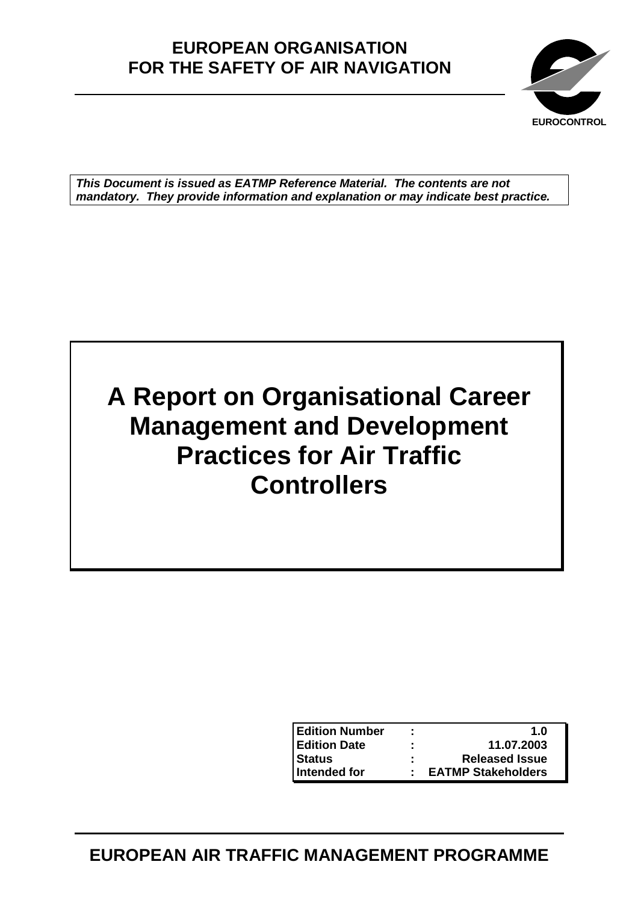### **EUROPEAN ORGANISATION FOR THE SAFETY OF AIR NAVIGATION**



*This Document is issued as EATMP Reference Material. The contents are not mandatory. They provide information and explanation or may indicate best practice.*

# **A Report on Organisational Career Management and Development Practices for Air Traffic Controllers**

| <b>Edition Number</b> |   | 1.0                       |
|-----------------------|---|---------------------------|
| <b>Edition Date</b>   |   | 11.07.2003                |
| <b>Status</b>         | ٠ | <b>Released Issue</b>     |
| Intended for          |   | <b>EATMP Stakeholders</b> |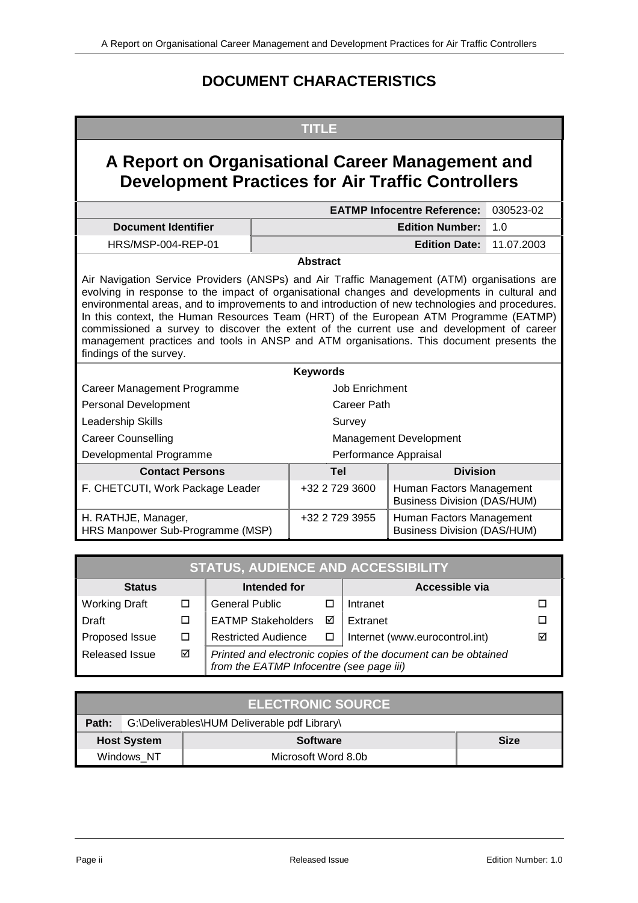### **DOCUMENT CHARACTERISTICS**

| TITLE                                                                                                                                                                                                                                                                                                                                                                                                                                                                                                                                                                                                         |  |                       |                                                                |            |  |
|---------------------------------------------------------------------------------------------------------------------------------------------------------------------------------------------------------------------------------------------------------------------------------------------------------------------------------------------------------------------------------------------------------------------------------------------------------------------------------------------------------------------------------------------------------------------------------------------------------------|--|-----------------------|----------------------------------------------------------------|------------|--|
| A Report on Organisational Career Management and<br><b>Development Practices for Air Traffic Controllers</b>                                                                                                                                                                                                                                                                                                                                                                                                                                                                                                  |  |                       |                                                                |            |  |
|                                                                                                                                                                                                                                                                                                                                                                                                                                                                                                                                                                                                               |  |                       | <b>EATMP Infocentre Reference:</b>                             | 030523-02  |  |
| <b>Document Identifier</b>                                                                                                                                                                                                                                                                                                                                                                                                                                                                                                                                                                                    |  |                       | <b>Edition Number:</b>                                         | 1.0        |  |
| <b>HRS/MSP-004-REP-01</b>                                                                                                                                                                                                                                                                                                                                                                                                                                                                                                                                                                                     |  |                       | <b>Edition Date:</b>                                           | 11.07.2003 |  |
|                                                                                                                                                                                                                                                                                                                                                                                                                                                                                                                                                                                                               |  | <b>Abstract</b>       |                                                                |            |  |
| Air Navigation Service Providers (ANSPs) and Air Traffic Management (ATM) organisations are<br>evolving in response to the impact of organisational changes and developments in cultural and<br>environmental areas, and to improvements to and introduction of new technologies and procedures.<br>In this context, the Human Resources Team (HRT) of the European ATM Programme (EATMP)<br>commissioned a survey to discover the extent of the current use and development of career<br>management practices and tools in ANSP and ATM organisations. This document presents the<br>findings of the survey. |  |                       |                                                                |            |  |
| <b>Keywords</b>                                                                                                                                                                                                                                                                                                                                                                                                                                                                                                                                                                                               |  |                       |                                                                |            |  |
| Career Management Programme                                                                                                                                                                                                                                                                                                                                                                                                                                                                                                                                                                                   |  | Job Enrichment        |                                                                |            |  |
| <b>Personal Development</b>                                                                                                                                                                                                                                                                                                                                                                                                                                                                                                                                                                                   |  | Career Path           |                                                                |            |  |
| Leadership Skills                                                                                                                                                                                                                                                                                                                                                                                                                                                                                                                                                                                             |  | Survey                |                                                                |            |  |
| <b>Career Counselling</b>                                                                                                                                                                                                                                                                                                                                                                                                                                                                                                                                                                                     |  |                       | Management Development                                         |            |  |
| Developmental Programme                                                                                                                                                                                                                                                                                                                                                                                                                                                                                                                                                                                       |  | Performance Appraisal |                                                                |            |  |
| <b>Contact Persons</b>                                                                                                                                                                                                                                                                                                                                                                                                                                                                                                                                                                                        |  | <b>Tel</b>            | <b>Division</b>                                                |            |  |
| F. CHETCUTI, Work Package Leader                                                                                                                                                                                                                                                                                                                                                                                                                                                                                                                                                                              |  | +32 2 729 3600        | Human Factors Management<br><b>Business Division (DAS/HUM)</b> |            |  |
| H. RATHJE, Manager,<br>HRS Manpower Sub-Programme (MSP)                                                                                                                                                                                                                                                                                                                                                                                                                                                                                                                                                       |  | +32 2 729 3955        | Human Factors Management<br><b>Business Division (DAS/HUM)</b> |            |  |

| <b>STATUS, AUDIENCE AND ACCESSIBILITY</b> |        |                                                                                                           |   |                                |   |  |
|-------------------------------------------|--------|-----------------------------------------------------------------------------------------------------------|---|--------------------------------|---|--|
| <b>Status</b>                             |        | Intended for                                                                                              |   | Accessible via                 |   |  |
| <b>Working Draft</b>                      | □      | <b>General Public</b>                                                                                     |   | Intranet                       |   |  |
| <b>Draft</b>                              | $\Box$ | <b>EATMP Stakeholders</b>                                                                                 | ☑ | Extranet                       |   |  |
| Proposed Issue                            | □      | <b>Restricted Audience</b>                                                                                |   | Internet (www.eurocontrol.int) | ⊠ |  |
| Released Issue                            | ☑      | Printed and electronic copies of the document can be obtained<br>from the EATMP Infocentre (see page iii) |   |                                |   |  |

| <b>ELECTRONIC SOURCE</b>                              |                    |                     |             |  |
|-------------------------------------------------------|--------------------|---------------------|-------------|--|
| Path:<br>G:\Deliverables\HUM Deliverable pdf Library\ |                    |                     |             |  |
|                                                       | <b>Host System</b> | <b>Software</b>     | <b>Size</b> |  |
|                                                       | Windows NT         | Microsoft Word 8.0b |             |  |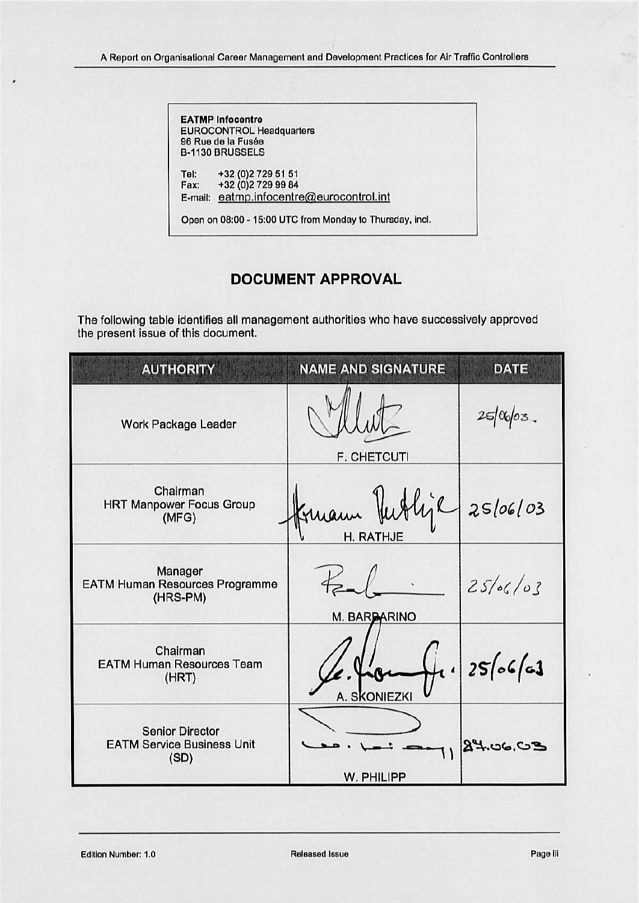|         | <b>EATMP Infocentre</b><br><b>EUROCONTROL Headquarters</b> |
|---------|------------------------------------------------------------|
|         | 96 Rue de la Fusée                                         |
|         | <b>B-1130 BRUSSELS</b>                                     |
| Tel:    | +32 (0)2 729 51 51                                         |
| Fax:    | +32 (0)2 729 99 84                                         |
| E-mail: | eatmp.infocentre@eurocontrol.int                           |

### **DOCUMENT APPROVAL**

The following table identifies all management authorities who have successively approved<br>the present issue of this document.

| <b>AUTHORITY</b>                                                    | <b>NAME AND SIGNATURE</b> | <b>DATE</b> |
|---------------------------------------------------------------------|---------------------------|-------------|
| Work Package Leader                                                 | F. CHETCUTI               | 250003      |
| Chairman<br><b>HRT Manpower Focus Group</b><br>(MFG)                | H. RATHJE                 | 25/06/03    |
| Manager<br><b>EATM Human Resources Programme</b><br>(HRS-PM)        | M. BARDARINO              | 25/06/03    |
| Chairman<br><b>EATM Human Resources Team</b><br>(HRT)               | A. SKONIEZKI              | 25/06/03    |
| <b>Senior Director</b><br><b>EATM Service Business Unit</b><br>(SD) | W. PHILIPP                | ت.20.48     |

**Released Issue**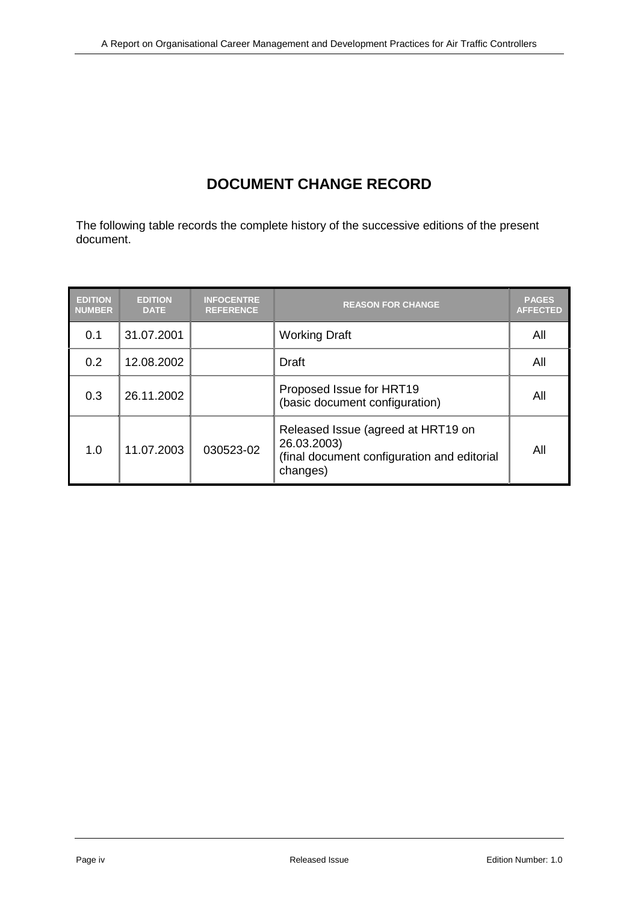### **DOCUMENT CHANGE RECORD**

The following table records the complete history of the successive editions of the present document.

| <b>EDITION</b><br><b>NUMBER</b> | <b>EDITION</b><br><b>DATE</b> | <b>INFOCENTRE</b><br><b>REFERENCE</b> | <b>REASON FOR CHANGE</b>                                                                                     | <b>PAGES</b><br><b>AFFECTED</b> |
|---------------------------------|-------------------------------|---------------------------------------|--------------------------------------------------------------------------------------------------------------|---------------------------------|
| 0.1                             | 31.07.2001                    |                                       | <b>Working Draft</b>                                                                                         | All                             |
| 0.2                             | 12.08.2002                    |                                       | Draft                                                                                                        | All                             |
| 0.3                             | 26.11.2002                    |                                       | Proposed Issue for HRT19<br>(basic document configuration)                                                   | All                             |
| 1.0                             | 11.07.2003                    | 030523-02                             | Released Issue (agreed at HRT19 on<br>26.03.2003)<br>(final document configuration and editorial<br>changes) | All                             |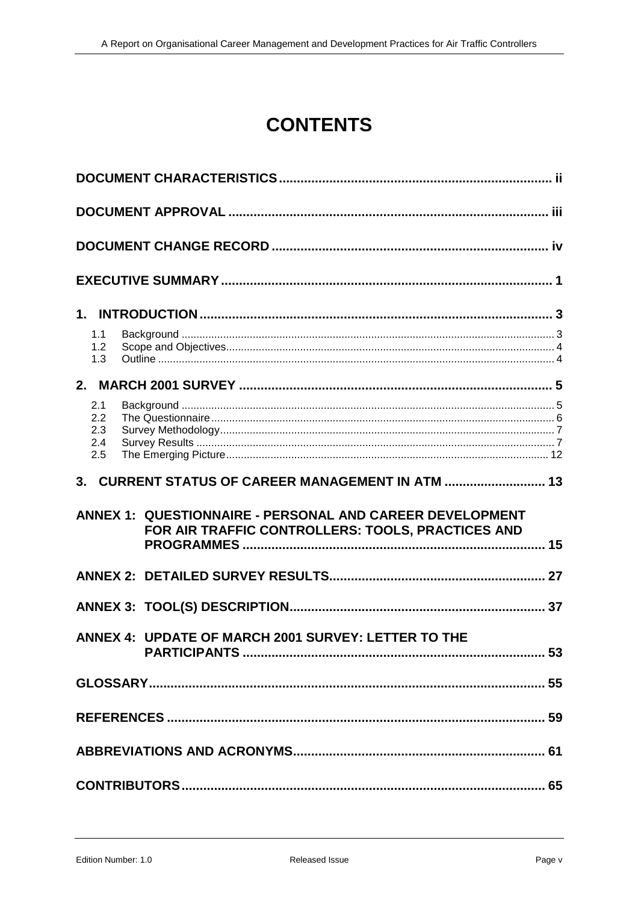## **CONTENTS**

| 1.                                                                                                                   |  |
|----------------------------------------------------------------------------------------------------------------------|--|
| 1.1<br>1.2<br>1.3                                                                                                    |  |
|                                                                                                                      |  |
| 2.1<br>2.2<br>2.3<br>2.4<br>2.5                                                                                      |  |
| 3. CURRENT STATUS OF CAREER MANAGEMENT IN ATM  13                                                                    |  |
| <b>ANNEX 1: QUESTIONNAIRE - PERSONAL AND CAREER DEVELOPMENT</b><br>FOR AIR TRAFFIC CONTROLLERS: TOOLS, PRACTICES AND |  |
|                                                                                                                      |  |
|                                                                                                                      |  |
| <b>ANNEX 4: UPDATE OF MARCH 2001 SURVEY: LETTER TO THE</b>                                                           |  |
|                                                                                                                      |  |
|                                                                                                                      |  |
|                                                                                                                      |  |
|                                                                                                                      |  |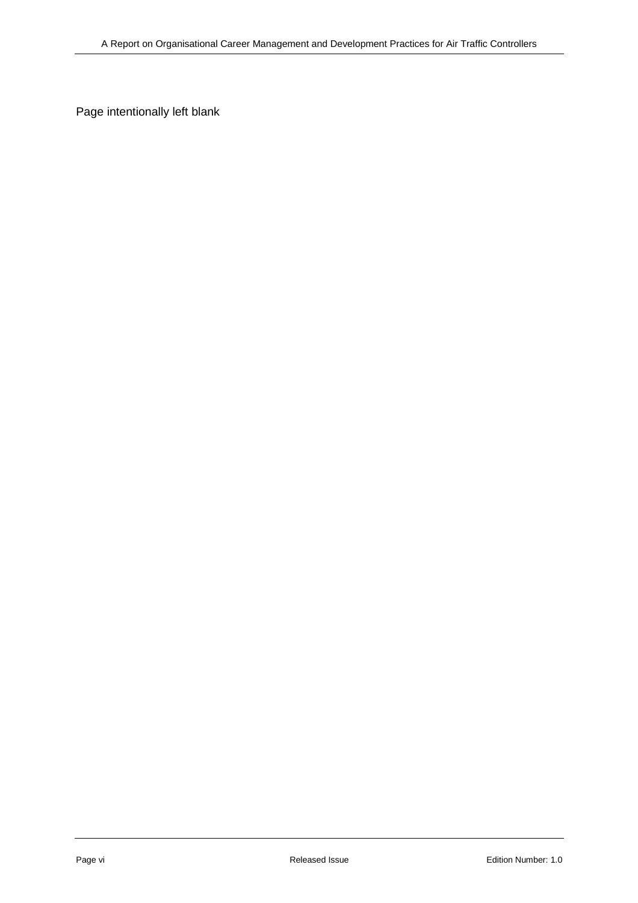Page intentionally left blank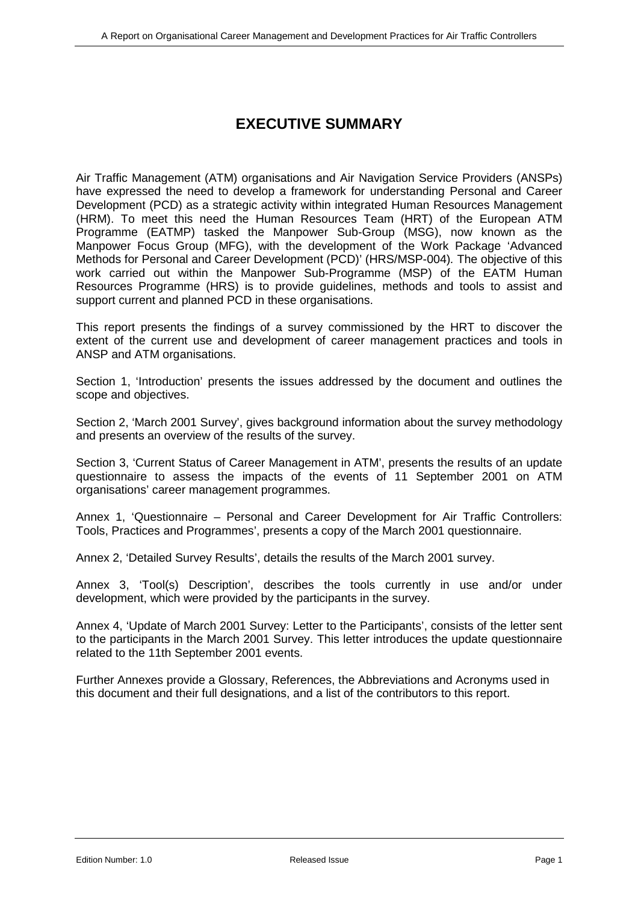### **EXECUTIVE SUMMARY**

Air Traffic Management (ATM) organisations and Air Navigation Service Providers (ANSPs) have expressed the need to develop a framework for understanding Personal and Career Development (PCD) as a strategic activity within integrated Human Resources Management (HRM). To meet this need the Human Resources Team (HRT) of the European ATM Programme (EATMP) tasked the Manpower Sub-Group (MSG), now known as the Manpower Focus Group (MFG), with the development of the Work Package 'Advanced Methods for Personal and Career Development (PCD)' (HRS/MSP-004)*.* The objective of this work carried out within the Manpower Sub-Programme (MSP) of the EATM Human Resources Programme (HRS) is to provide guidelines, methods and tools to assist and support current and planned PCD in these organisations.

This report presents the findings of a survey commissioned by the HRT to discover the extent of the current use and development of career management practices and tools in ANSP and ATM organisations.

Section 1, 'Introduction' presents the issues addressed by the document and outlines the scope and objectives.

Section 2, 'March 2001 Survey', gives background information about the survey methodology and presents an overview of the results of the survey.

Section 3, 'Current Status of Career Management in ATM', presents the results of an update questionnaire to assess the impacts of the events of 11 September 2001 on ATM organisations' career management programmes.

Annex 1, 'Questionnaire – Personal and Career Development for Air Traffic Controllers: Tools, Practices and Programmes', presents a copy of the March 2001 questionnaire.

Annex 2, 'Detailed Survey Results', details the results of the March 2001 survey.

Annex 3, 'Tool(s) Description', describes the tools currently in use and/or under development, which were provided by the participants in the survey.

Annex 4, 'Update of March 2001 Survey: Letter to the Participants', consists of the letter sent to the participants in the March 2001 Survey. This letter introduces the update questionnaire related to the 11th September 2001 events.

Further Annexes provide a Glossary, References, the Abbreviations and Acronyms used in this document and their full designations, and a list of the contributors to this report.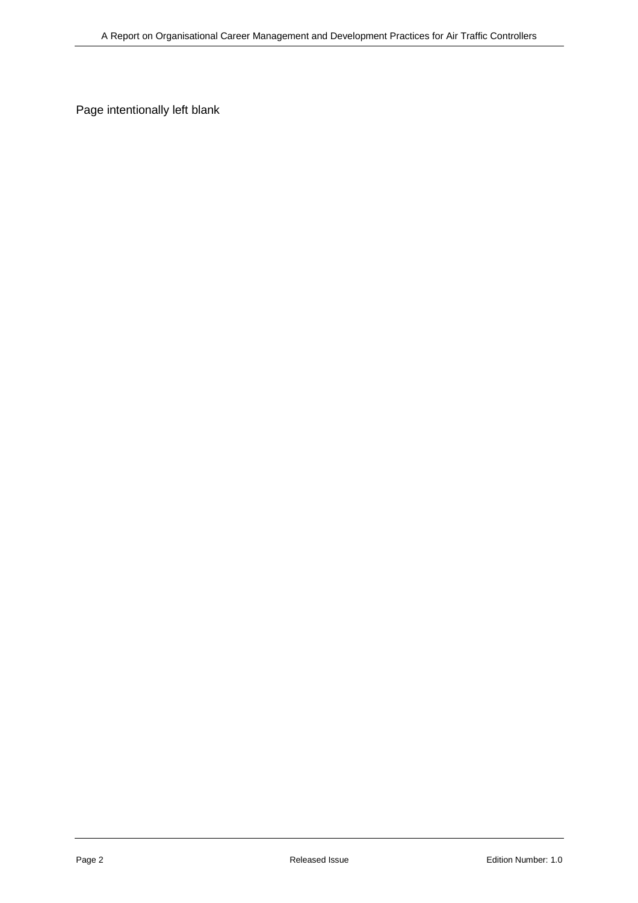Page intentionally left blank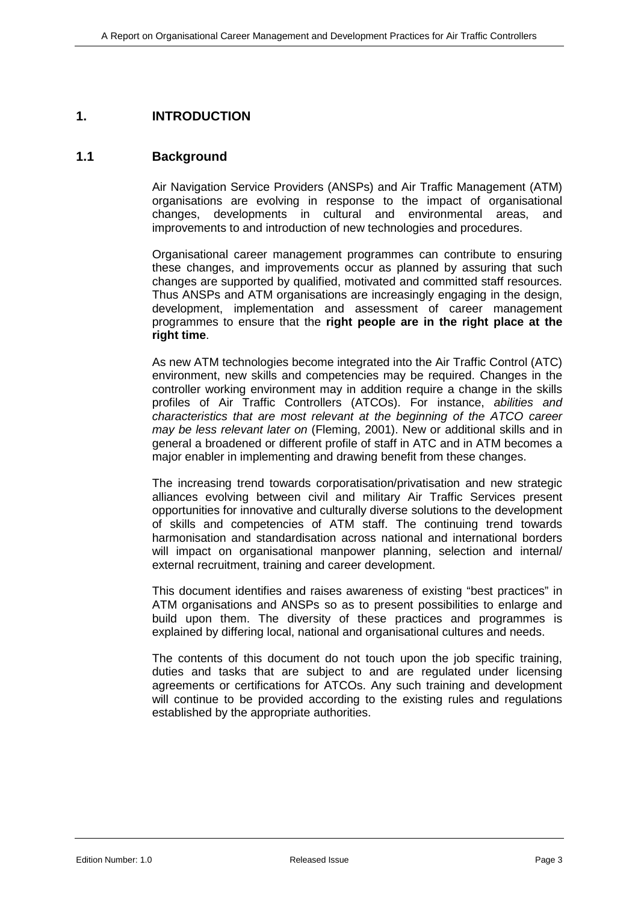#### **1. INTRODUCTION**

#### **1.1 Background**

Air Navigation Service Providers (ANSPs) and Air Traffic Management (ATM) organisations are evolving in response to the impact of organisational changes, developments in cultural and environmental areas, and improvements to and introduction of new technologies and procedures.

Organisational career management programmes can contribute to ensuring these changes, and improvements occur as planned by assuring that such changes are supported by qualified, motivated and committed staff resources. Thus ANSPs and ATM organisations are increasingly engaging in the design, development, implementation and assessment of career management programmes to ensure that the **right people are in the right place at the right time**.

As new ATM technologies become integrated into the Air Traffic Control (ATC) environment, new skills and competencies may be required. Changes in the controller working environment may in addition require a change in the skills profiles of Air Traffic Controllers (ATCOs). For instance, *abilities and characteristics that are most relevant at the beginning of the ATCO career may be less relevant later on* (Fleming, 2001). New or additional skills and in general a broadened or different profile of staff in ATC and in ATM becomes a major enabler in implementing and drawing benefit from these changes.

The increasing trend towards corporatisation/privatisation and new strategic alliances evolving between civil and military Air Traffic Services present opportunities for innovative and culturally diverse solutions to the development of skills and competencies of ATM staff. The continuing trend towards harmonisation and standardisation across national and international borders will impact on organisational manpower planning, selection and internal/ external recruitment, training and career development.

This document identifies and raises awareness of existing "best practices" in ATM organisations and ANSPs so as to present possibilities to enlarge and build upon them. The diversity of these practices and programmes is explained by differing local, national and organisational cultures and needs.

The contents of this document do not touch upon the job specific training, duties and tasks that are subject to and are regulated under licensing agreements or certifications for ATCOs. Any such training and development will continue to be provided according to the existing rules and regulations established by the appropriate authorities.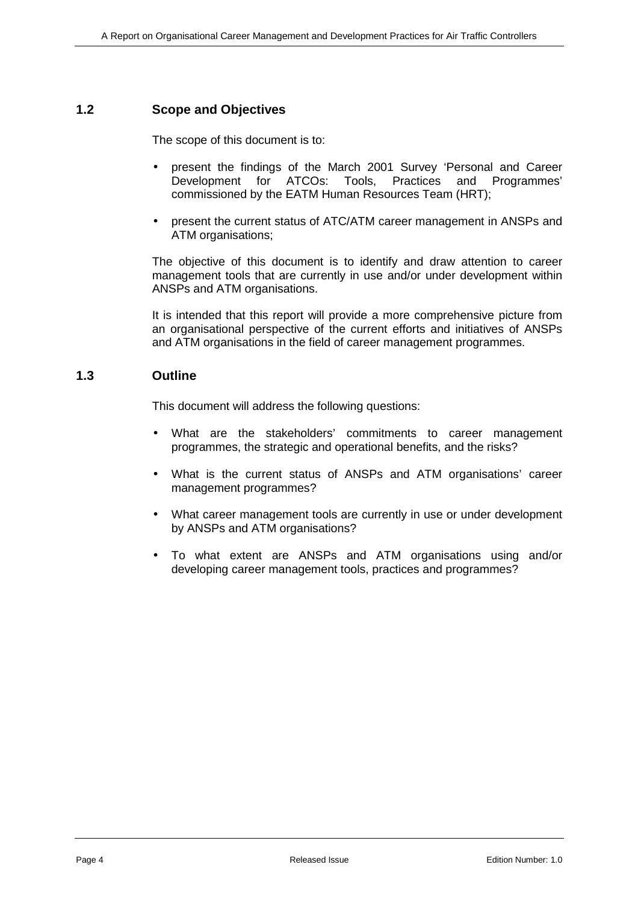#### **1.2 Scope and Objectives**

The scope of this document is to:

- present the findings of the March 2001 Survey 'Personal and Career Development for ATCOs: Tools, Practices and Programmes' commissioned by the EATM Human Resources Team (HRT);
- present the current status of ATC/ATM career management in ANSPs and ATM organisations;

The objective of this document is to identify and draw attention to career management tools that are currently in use and/or under development within ANSPs and ATM organisations.

It is intended that this report will provide a more comprehensive picture from an organisational perspective of the current efforts and initiatives of ANSPs and ATM organisations in the field of career management programmes.

#### **1.3 Outline**

This document will address the following questions:

- What are the stakeholders' commitments to career management programmes, the strategic and operational benefits, and the risks?
- What is the current status of ANSPs and ATM organisations' career management programmes?
- What career management tools are currently in use or under development by ANSPs and ATM organisations?
- To what extent are ANSPs and ATM organisations using and/or developing career management tools, practices and programmes?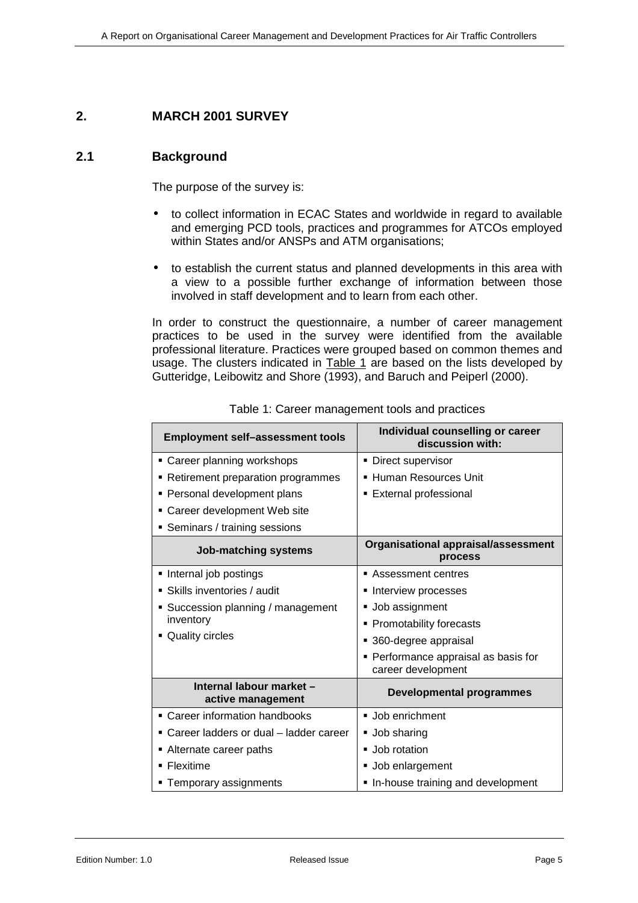#### **2. MARCH 2001 SURVEY**

#### **2.1 Background**

The purpose of the survey is:

- to collect information in ECAC States and worldwide in regard to available and emerging PCD tools, practices and programmes for ATCOs employed within States and/or ANSPs and ATM organisations:
- to establish the current status and planned developments in this area with a view to a possible further exchange of information between those involved in staff development and to learn from each other.

In order to construct the questionnaire, a number of career management practices to be used in the survey were identified from the available professional literature. Practices were grouped based on common themes and usage. The clusters indicated in Table 1 are based on the lists developed by Gutteridge, Leibowitz and Shore (1993), and Baruch and Peiperl (2000).

| <b>Employment self-assessment tools</b>       | Individual counselling or career<br>discussion with:       |  |
|-----------------------------------------------|------------------------------------------------------------|--|
| ■ Career planning workshops                   | ■ Direct supervisor                                        |  |
| Retirement preparation programmes             | ■ Human Resources Unit                                     |  |
| • Personal development plans                  | <b>External professional</b>                               |  |
| • Career development Web site                 |                                                            |  |
| • Seminars / training sessions                |                                                            |  |
| <b>Job-matching systems</b>                   | Organisational appraisal/assessment<br>process             |  |
| Internal job postings<br>п                    | ■ Assessment centres                                       |  |
| • Skills inventories / audit                  | Interview processes<br>٠                                   |  |
| • Succession planning / management            | ■ Job assignment                                           |  |
| inventory                                     | • Promotability forecasts                                  |  |
| • Quality circles                             | ■ 360-degree appraisal                                     |  |
|                                               | • Performance appraisal as basis for<br>career development |  |
| Internal labour market -<br>active management | <b>Developmental programmes</b>                            |  |
| • Career information handbooks                | ■ Job enrichment                                           |  |
| • Career ladders or dual – ladder career      | <b>Job sharing</b>                                         |  |
| • Alternate career paths                      | ■ Job rotation                                             |  |
| Flexitime                                     | Job enlargement                                            |  |
| ■ Temporary assignments                       | In-house training and development                          |  |

Table 1: Career management tools and practices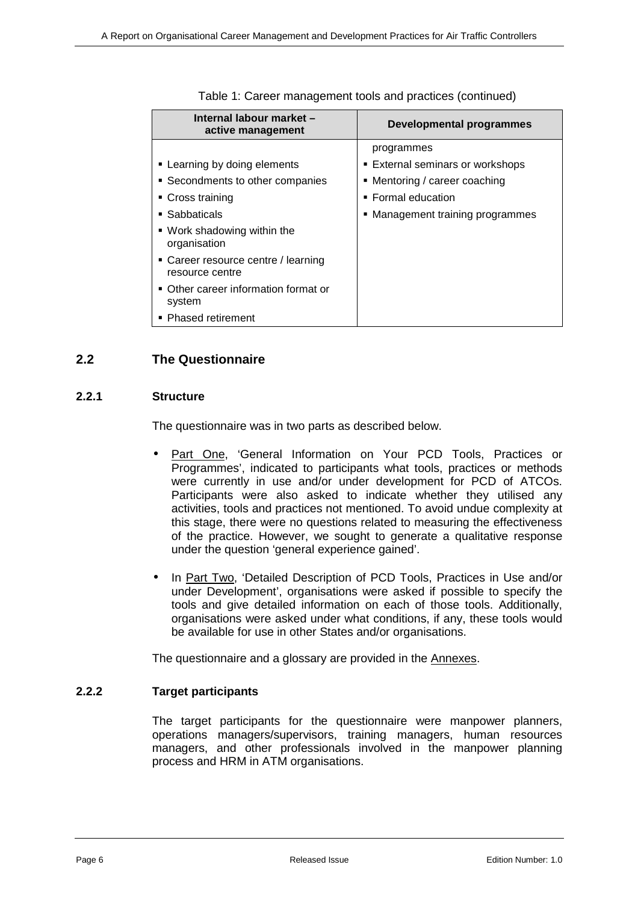| Internal labour market -<br>active management          | <b>Developmental programmes</b>  |
|--------------------------------------------------------|----------------------------------|
|                                                        | programmes                       |
| ■ Learning by doing elements                           | ■ External seminars or workshops |
| • Secondments to other companies                       | • Mentoring / career coaching    |
| $\blacksquare$ Cross training                          | ■ Formal education               |
| ■ Sabbaticals                                          | • Management training programmes |
| ■ Work shadowing within the<br>organisation            |                                  |
| • Career resource centre / learning<br>resource centre |                                  |
| • Other career information format or<br>system         |                                  |
| • Phased retirement                                    |                                  |

#### Table 1: Career management tools and practices (continued)

#### **2.2 The Questionnaire**

#### **2.2.1 Structure**

The questionnaire was in two parts as described below.

- Part One, 'General Information on Your PCD Tools, Practices or Programmes', indicated to participants what tools, practices or methods were currently in use and/or under development for PCD of ATCOs. Participants were also asked to indicate whether they utilised any activities, tools and practices not mentioned. To avoid undue complexity at this stage, there were no questions related to measuring the effectiveness of the practice. However, we sought to generate a qualitative response under the question 'general experience gained'.
- In Part Two, 'Detailed Description of PCD Tools, Practices in Use and/or under Development', organisations were asked if possible to specify the tools and give detailed information on each of those tools. Additionally, organisations were asked under what conditions, if any, these tools would be available for use in other States and/or organisations.

The questionnaire and a glossary are provided in the Annexes.

#### **2.2.2 Target participants**

The target participants for the questionnaire were manpower planners, operations managers/supervisors, training managers, human resources managers, and other professionals involved in the manpower planning process and HRM in ATM organisations.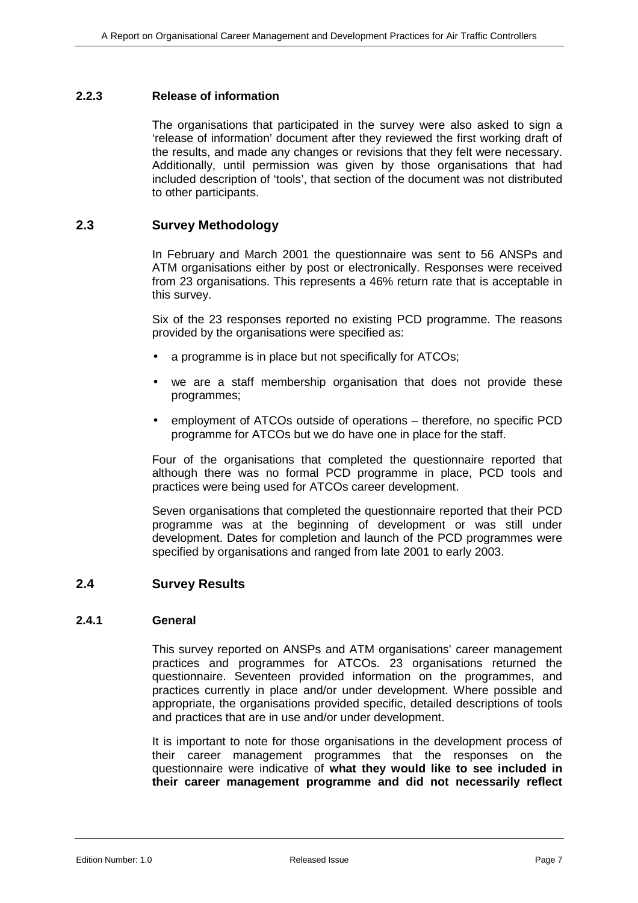#### **2.2.3 Release of information**

The organisations that participated in the survey were also asked to sign a 'release of information' document after they reviewed the first working draft of the results, and made any changes or revisions that they felt were necessary. Additionally, until permission was given by those organisations that had included description of 'tools', that section of the document was not distributed to other participants.

#### **2.3 Survey Methodology**

In February and March 2001 the questionnaire was sent to 56 ANSPs and ATM organisations either by post or electronically. Responses were received from 23 organisations. This represents a 46% return rate that is acceptable in this survey.

Six of the 23 responses reported no existing PCD programme. The reasons provided by the organisations were specified as:

- a programme is in place but not specifically for ATCOs;
- we are a staff membership organisation that does not provide these programmes;
- employment of ATCOs outside of operations therefore, no specific PCD programme for ATCOs but we do have one in place for the staff.

Four of the organisations that completed the questionnaire reported that although there was no formal PCD programme in place, PCD tools and practices were being used for ATCOs career development.

Seven organisations that completed the questionnaire reported that their PCD programme was at the beginning of development or was still under development. Dates for completion and launch of the PCD programmes were specified by organisations and ranged from late 2001 to early 2003.

#### **2.4 Survey Results**

#### **2.4.1 General**

This survey reported on ANSPs and ATM organisations' career management practices and programmes for ATCOs. 23 organisations returned the questionnaire. Seventeen provided information on the programmes, and practices currently in place and/or under development. Where possible and appropriate, the organisations provided specific, detailed descriptions of tools and practices that are in use and/or under development.

It is important to note for those organisations in the development process of their career management programmes that the responses on the questionnaire were indicative of **what they would like to see included in their career management programme and did not necessarily reflect**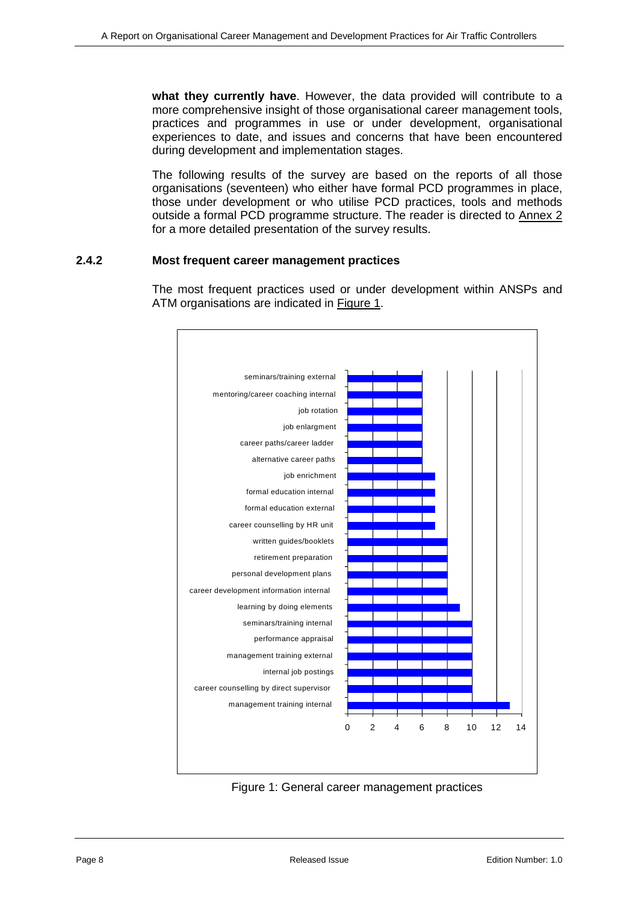**what they currently have**. However, the data provided will contribute to a more comprehensive insight of those organisational career management tools, practices and programmes in use or under development, organisational experiences to date, and issues and concerns that have been encountered during development and implementation stages.

The following results of the survey are based on the reports of all those organisations (seventeen) who either have formal PCD programmes in place, those under development or who utilise PCD practices, tools and methods outside a formal PCD programme structure. The reader is directed to Annex 2 for a more detailed presentation of the survey results.

#### **2.4.2 Most frequent career management practices**

The most frequent practices used or under development within ANSPs and ATM organisations are indicated in Figure 1.



Figure 1: General career management practices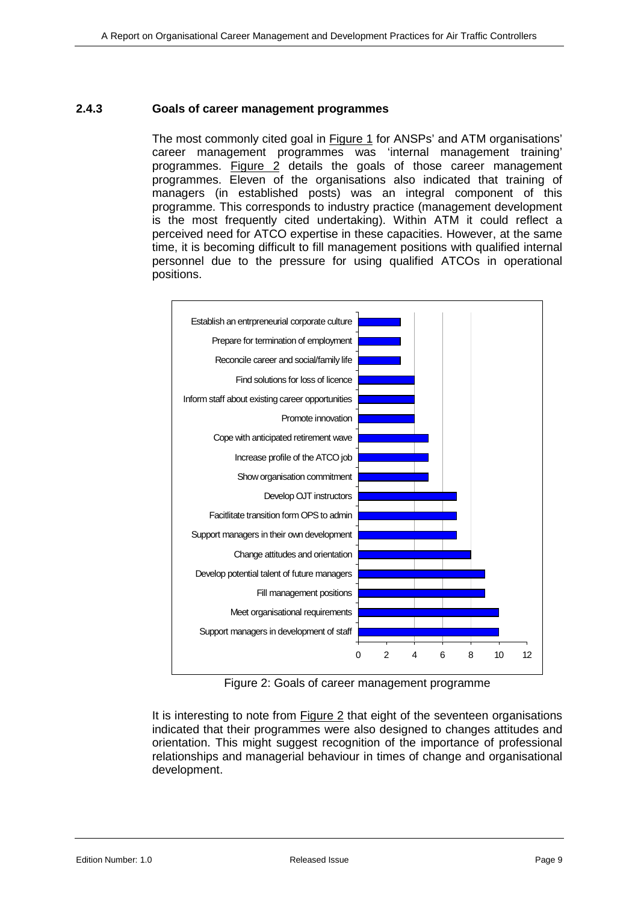#### **2.4.3 Goals of career management programmes**

The most commonly cited goal in Figure 1 for ANSPs' and ATM organisations' career management programmes was 'internal management training' programmes. Figure 2 details the goals of those career management programmes. Eleven of the organisations also indicated that training of managers (in established posts) was an integral component of this programme. This corresponds to industry practice (management development is the most frequently cited undertaking). Within ATM it could reflect a perceived need for ATCO expertise in these capacities. However, at the same time, it is becoming difficult to fill management positions with qualified internal personnel due to the pressure for using qualified ATCOs in operational positions.



Figure 2: Goals of career management programme

It is interesting to note from  $Figure 2$  that eight of the seventeen organisations indicated that their programmes were also designed to changes attitudes and orientation. This might suggest recognition of the importance of professional relationships and managerial behaviour in times of change and organisational development.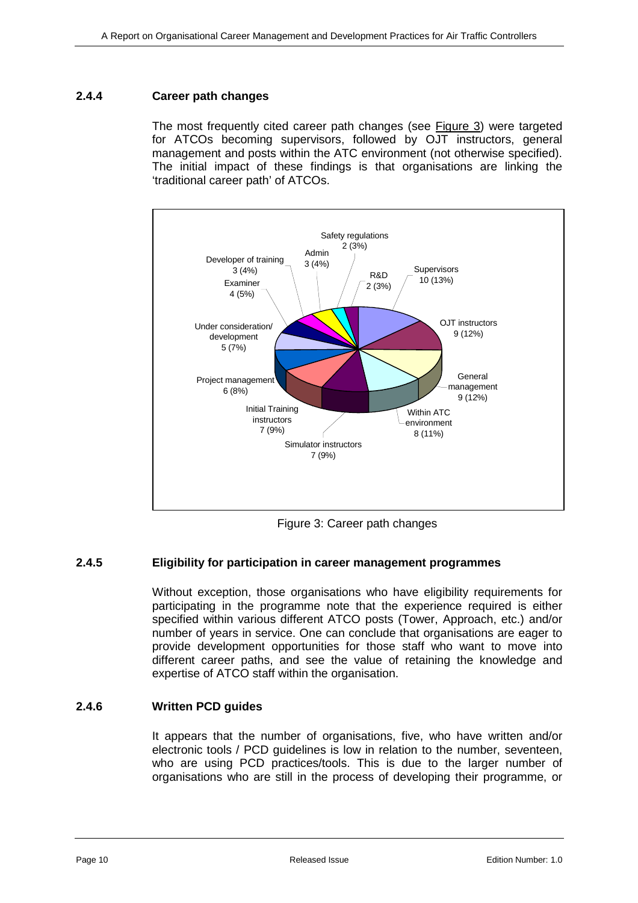#### **2.4.4 Career path changes**

The most frequently cited career path changes (see Figure 3) were targeted for ATCOs becoming supervisors, followed by OJT instructors, general management and posts within the ATC environment (not otherwise specified). The initial impact of these findings is that organisations are linking the 'traditional career path' of ATCOs.



Figure 3: Career path changes

#### **2.4.5 Eligibility for participation in career management programmes**

Without exception, those organisations who have eligibility requirements for participating in the programme note that the experience required is either specified within various different ATCO posts (Tower, Approach, etc.) and/or number of years in service. One can conclude that organisations are eager to provide development opportunities for those staff who want to move into different career paths, and see the value of retaining the knowledge and expertise of ATCO staff within the organisation.

#### **2.4.6 Written PCD guides**

It appears that the number of organisations, five, who have written and/or electronic tools / PCD guidelines is low in relation to the number, seventeen, who are using PCD practices/tools. This is due to the larger number of organisations who are still in the process of developing their programme, or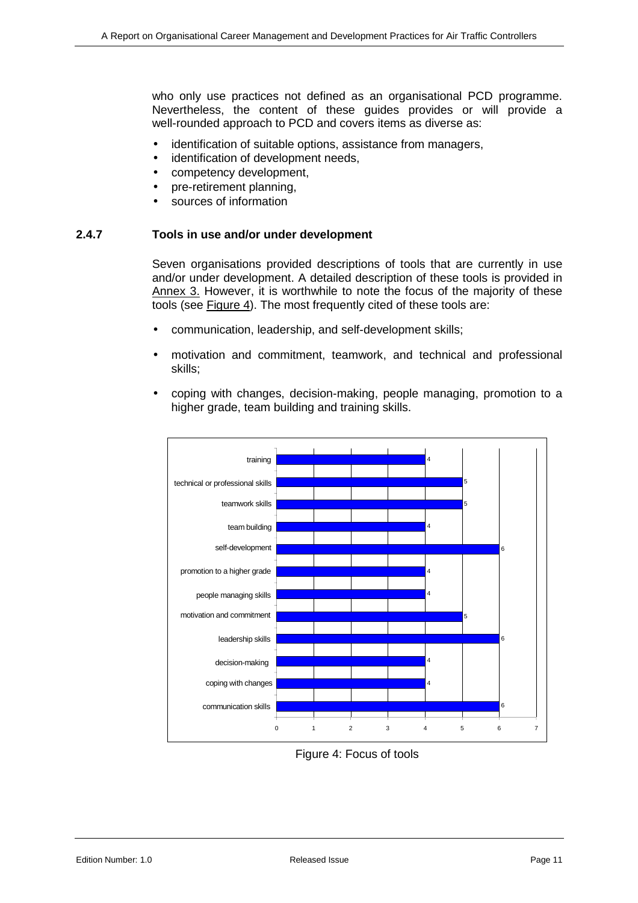who only use practices not defined as an organisational PCD programme. Nevertheless, the content of these guides provides or will provide a well-rounded approach to PCD and covers items as diverse as:

- identification of suitable options, assistance from managers,
- identification of development needs,
- competency development,
- pre-retirement planning,
- sources of information

#### **2.4.7 Tools in use and/or under development**

Seven organisations provided descriptions of tools that are currently in use and/or under development. A detailed description of these tools is provided in Annex 3. However, it is worthwhile to note the focus of the majority of these tools (see Figure 4). The most frequently cited of these tools are:

- communication, leadership, and self-development skills;
- motivation and commitment, teamwork, and technical and professional skills;
- coping with changes, decision-making, people managing, promotion to a higher grade, team building and training skills.



Figure 4: Focus of tools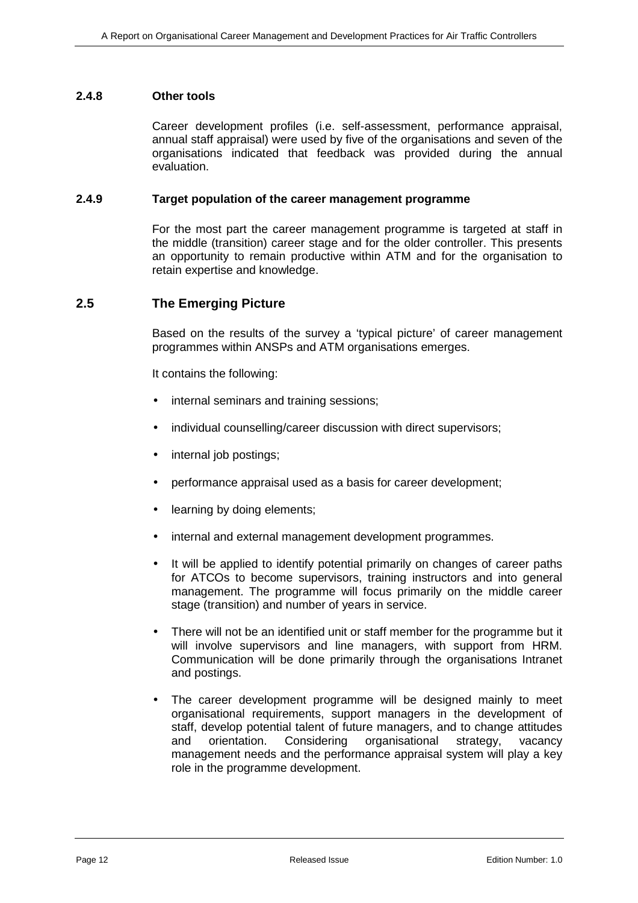#### **2.4.8 Other tools**

Career development profiles (i.e. self-assessment, performance appraisal, annual staff appraisal) were used by five of the organisations and seven of the organisations indicated that feedback was provided during the annual evaluation.

#### **2.4.9 Target population of the career management programme**

For the most part the career management programme is targeted at staff in the middle (transition) career stage and for the older controller. This presents an opportunity to remain productive within ATM and for the organisation to retain expertise and knowledge.

#### **2.5 The Emerging Picture**

Based on the results of the survey a 'typical picture' of career management programmes within ANSPs and ATM organisations emerges.

It contains the following:

- internal seminars and training sessions;
- individual counselling/career discussion with direct supervisors;
- internal job postings;
- performance appraisal used as a basis for career development;
- learning by doing elements;
- internal and external management development programmes.
- It will be applied to identify potential primarily on changes of career paths for ATCOs to become supervisors, training instructors and into general management. The programme will focus primarily on the middle career stage (transition) and number of years in service.
- There will not be an identified unit or staff member for the programme but it will involve supervisors and line managers, with support from HRM. Communication will be done primarily through the organisations Intranet and postings.
- The career development programme will be designed mainly to meet organisational requirements, support managers in the development of staff, develop potential talent of future managers, and to change attitudes and orientation. Considering organisational strategy, vacancy management needs and the performance appraisal system will play a key role in the programme development.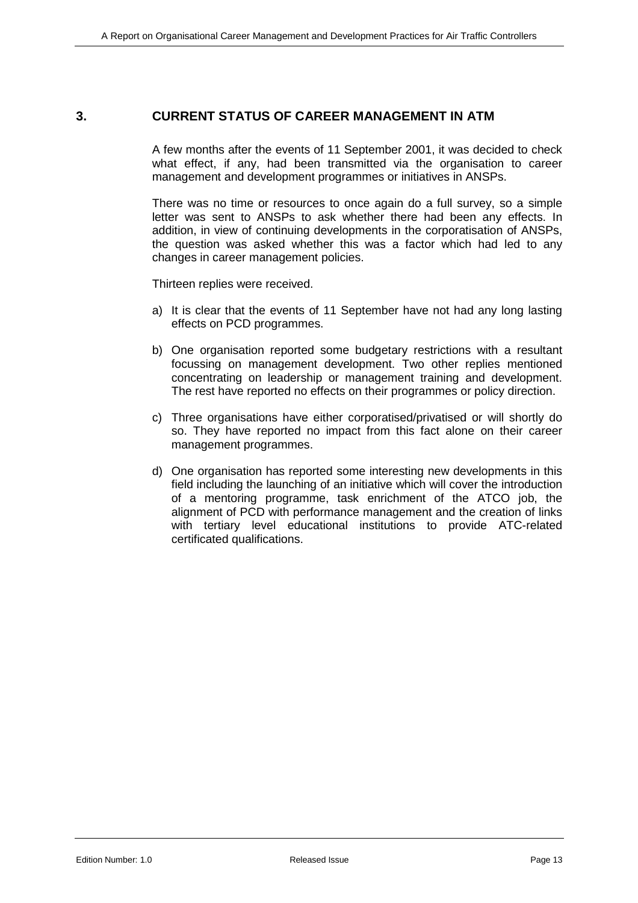#### **3. CURRENT STATUS OF CAREER MANAGEMENT IN ATM**

A few months after the events of 11 September 2001, it was decided to check what effect, if any, had been transmitted via the organisation to career management and development programmes or initiatives in ANSPs.

There was no time or resources to once again do a full survey, so a simple letter was sent to ANSPs to ask whether there had been any effects. In addition, in view of continuing developments in the corporatisation of ANSPs, the question was asked whether this was a factor which had led to any changes in career management policies.

Thirteen replies were received.

- a) It is clear that the events of 11 September have not had any long lasting effects on PCD programmes.
- b) One organisation reported some budgetary restrictions with a resultant focussing on management development. Two other replies mentioned concentrating on leadership or management training and development. The rest have reported no effects on their programmes or policy direction.
- c) Three organisations have either corporatised/privatised or will shortly do so. They have reported no impact from this fact alone on their career management programmes.
- d) One organisation has reported some interesting new developments in this field including the launching of an initiative which will cover the introduction of a mentoring programme, task enrichment of the ATCO job, the alignment of PCD with performance management and the creation of links with tertiary level educational institutions to provide ATC-related certificated qualifications.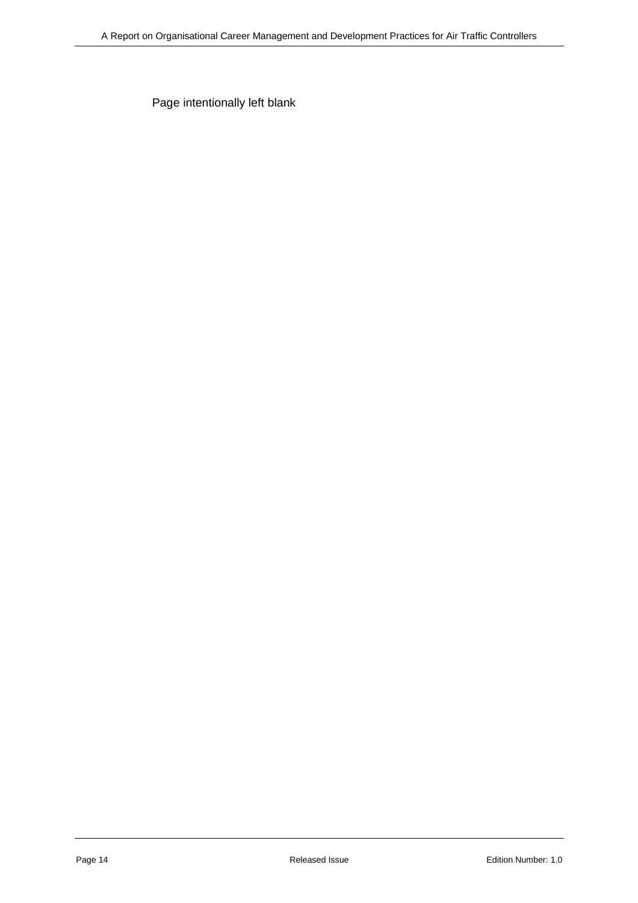Page intentionally left blank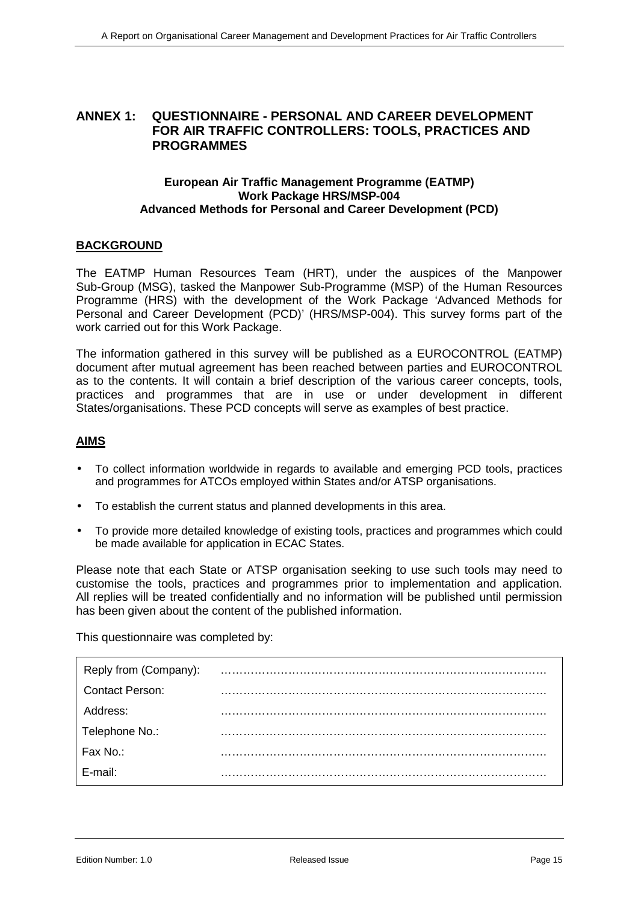#### **ANNEX 1: QUESTIONNAIRE - PERSONAL AND CAREER DEVELOPMENT FOR AIR TRAFFIC CONTROLLERS: TOOLS, PRACTICES AND PROGRAMMES**

#### **European Air Traffic Management Programme (EATMP) Work Package HRS/MSP-004 Advanced Methods for Personal and Career Development (PCD)**

#### **BACKGROUND**

The EATMP Human Resources Team (HRT), under the auspices of the Manpower Sub-Group (MSG), tasked the Manpower Sub-Programme (MSP) of the Human Resources Programme (HRS) with the development of the Work Package 'Advanced Methods for Personal and Career Development (PCD)' (HRS/MSP-004). This survey forms part of the work carried out for this Work Package.

The information gathered in this survey will be published as a EUROCONTROL (EATMP) document after mutual agreement has been reached between parties and EUROCONTROL as to the contents. It will contain a brief description of the various career concepts, tools, practices and programmes that are in use or under development in different States/organisations. These PCD concepts will serve as examples of best practice.

#### **AIMS**

- To collect information worldwide in regards to available and emerging PCD tools, practices and programmes for ATCOs employed within States and/or ATSP organisations.
- To establish the current status and planned developments in this area.
- To provide more detailed knowledge of existing tools, practices and programmes which could be made available for application in ECAC States.

Please note that each State or ATSP organisation seeking to use such tools may need to customise the tools, practices and programmes prior to implementation and application. All replies will be treated confidentially and no information will be published until permission has been given about the content of the published information.

This questionnaire was completed by:

| Reply from (Company): |  |
|-----------------------|--|
| Contact Person:       |  |
| Address:              |  |
| Telephone No.:        |  |
| Fax No.:              |  |
| E-mail:               |  |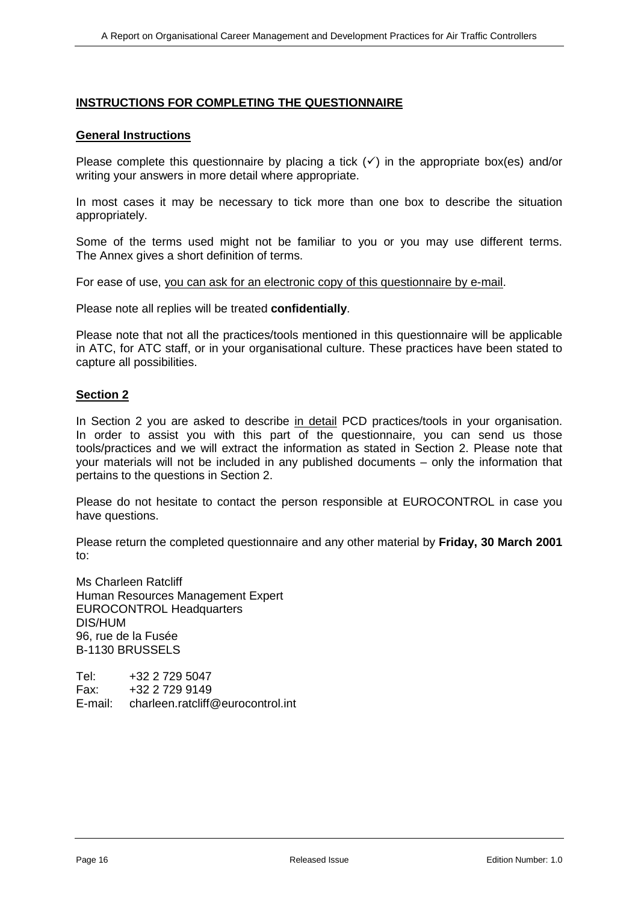#### **INSTRUCTIONS FOR COMPLETING THE QUESTIONNAIRE**

#### **General Instructions**

Please complete this questionnaire by placing a tick  $(\checkmark)$  in the appropriate box(es) and/or writing your answers in more detail where appropriate.

In most cases it may be necessary to tick more than one box to describe the situation appropriately.

Some of the terms used might not be familiar to you or you may use different terms. The Annex gives a short definition of terms.

For ease of use, you can ask for an electronic copy of this questionnaire by e-mail.

Please note all replies will be treated **confidentially**.

Please note that not all the practices/tools mentioned in this questionnaire will be applicable in ATC, for ATC staff, or in your organisational culture. These practices have been stated to capture all possibilities.

#### **Section 2**

In Section 2 you are asked to describe in detail PCD practices/tools in your organisation. In order to assist you with this part of the questionnaire, you can send us those tools/practices and we will extract the information as stated in Section 2. Please note that your materials will not be included in any published documents – only the information that pertains to the questions in Section 2.

Please do not hesitate to contact the person responsible at EUROCONTROL in case you have questions.

Please return the completed questionnaire and any other material by **Friday, 30 March 2001** to:

Ms Charleen Ratcliff Human Resources Management Expert EUROCONTROL Headquarters DIS/HUM 96, rue de la Fusée B-1130 BRUSSELS

Tel: +32 2 729 5047 Fax: +32 2 729 9149 E-mail: charleen.ratcliff@eurocontrol.int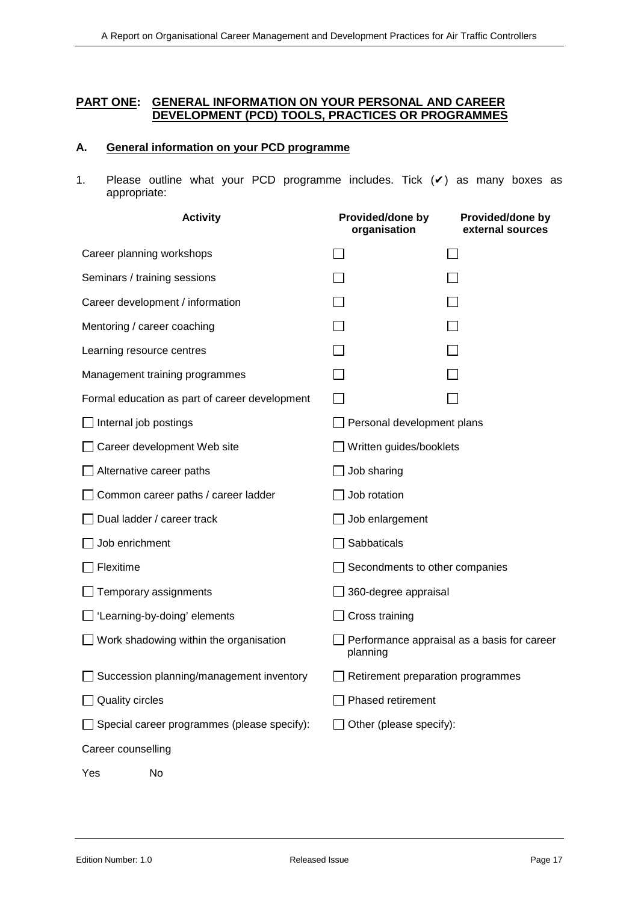#### **PART ONE: GENERAL INFORMATION ON YOUR PERSONAL AND CAREER DEVELOPMENT (PCD) TOOLS, PRACTICES OR PROGRAMMES**

#### **A. General information on your PCD programme**

1. Please outline what your PCD programme includes. Tick  $(V)$  as many boxes as appropriate:

| <b>Activity</b>                                | Provided/done by<br>organisation  | <b>Provided/done by</b><br>external sources |
|------------------------------------------------|-----------------------------------|---------------------------------------------|
| Career planning workshops                      |                                   |                                             |
| Seminars / training sessions                   |                                   |                                             |
| Career development / information               |                                   |                                             |
| Mentoring / career coaching                    |                                   |                                             |
| Learning resource centres                      |                                   |                                             |
| Management training programmes                 |                                   |                                             |
| Formal education as part of career development |                                   |                                             |
| Internal job postings                          | Personal development plans        |                                             |
| Career development Web site                    | Written guides/booklets           |                                             |
| Alternative career paths                       | Job sharing                       |                                             |
| Common career paths / career ladder            | Job rotation                      |                                             |
| Dual ladder / career track                     | Job enlargement                   |                                             |
| Job enrichment                                 | Sabbaticals                       |                                             |
| Flexitime                                      | Secondments to other companies    |                                             |
| Temporary assignments                          | 360-degree appraisal              |                                             |
| 'Learning-by-doing' elements                   | Cross training                    |                                             |
| Work shadowing within the organisation         | planning                          | Performance appraisal as a basis for career |
| Succession planning/management inventory       | Retirement preparation programmes |                                             |
| <b>Quality circles</b>                         | Phased retirement                 |                                             |
| Special career programmes (please specify):    | Other (please specify):           |                                             |
| Career counselling                             |                                   |                                             |
| No<br>Yes                                      |                                   |                                             |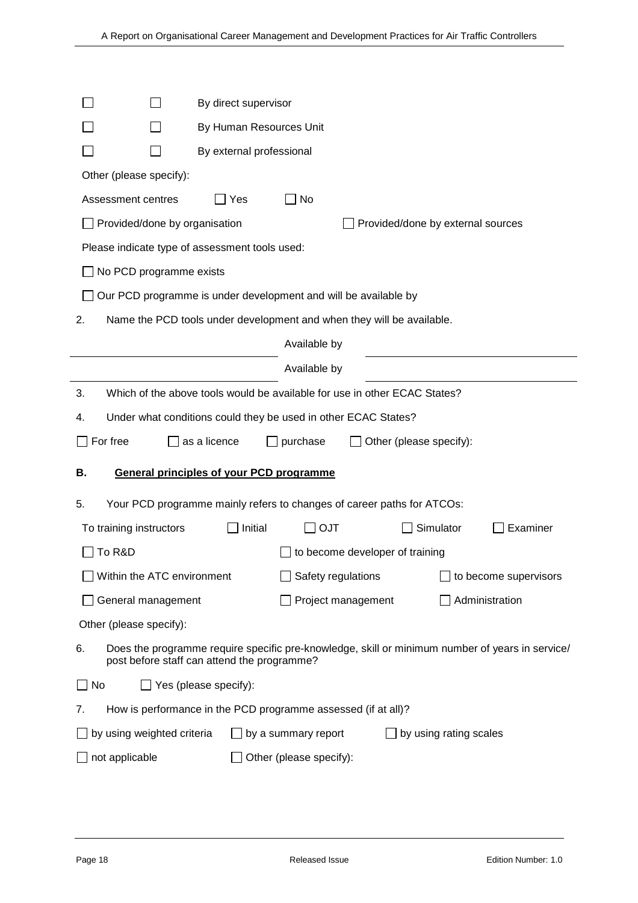|                                                |                               | By direct supervisor                        |                                                                                                 |                                 |                         |                                   |          |
|------------------------------------------------|-------------------------------|---------------------------------------------|-------------------------------------------------------------------------------------------------|---------------------------------|-------------------------|-----------------------------------|----------|
|                                                |                               | By Human Resources Unit                     |                                                                                                 |                                 |                         |                                   |          |
|                                                |                               | By external professional                    |                                                                                                 |                                 |                         |                                   |          |
| Other (please specify):                        |                               |                                             |                                                                                                 |                                 |                         |                                   |          |
| Assessment centres                             |                               | Yes                                         | $\exists$ No                                                                                    |                                 |                         |                                   |          |
|                                                | Provided/done by organisation |                                             |                                                                                                 |                                 |                         | Provided/done by external sources |          |
| Please indicate type of assessment tools used: |                               |                                             |                                                                                                 |                                 |                         |                                   |          |
|                                                | No PCD programme exists       |                                             |                                                                                                 |                                 |                         |                                   |          |
|                                                |                               |                                             | Our PCD programme is under development and will be available by                                 |                                 |                         |                                   |          |
| 2.                                             |                               |                                             | Name the PCD tools under development and when they will be available.                           |                                 |                         |                                   |          |
|                                                |                               |                                             | Available by                                                                                    |                                 |                         |                                   |          |
|                                                |                               |                                             | Available by                                                                                    |                                 |                         |                                   |          |
| 3.                                             |                               |                                             | Which of the above tools would be available for use in other ECAC States?                       |                                 |                         |                                   |          |
| 4.                                             |                               |                                             | Under what conditions could they be used in other ECAC States?                                  |                                 |                         |                                   |          |
|                                                |                               |                                             |                                                                                                 |                                 |                         |                                   |          |
| For free                                       |                               | as a licence                                | purchase                                                                                        |                                 | Other (please specify): |                                   |          |
| В.                                             |                               |                                             | <b>General principles of your PCD programme</b>                                                 |                                 |                         |                                   |          |
| 5.                                             |                               |                                             | Your PCD programme mainly refers to changes of career paths for ATCOs:                          |                                 |                         |                                   |          |
| To training instructors                        |                               | Initial                                     | OJT                                                                                             |                                 | Simulator               |                                   | Examiner |
| To R&D                                         |                               |                                             |                                                                                                 | to become developer of training |                         |                                   |          |
| $\Box$ Within the ATC environment              |                               |                                             | $\Box$ Safety regulations                                                                       |                                 |                         | $\Box$ to become supervisors      |          |
|                                                | General management            |                                             |                                                                                                 | Project management              |                         | Administration                    |          |
| Other (please specify):                        |                               |                                             |                                                                                                 |                                 |                         |                                   |          |
| 6.                                             |                               | post before staff can attend the programme? | Does the programme require specific pre-knowledge, skill or minimum number of years in service/ |                                 |                         |                                   |          |
| $\Box$ No                                      | Yes (please specify):         |                                             |                                                                                                 |                                 |                         |                                   |          |
| 7.                                             |                               |                                             | How is performance in the PCD programme assessed (if at all)?                                   |                                 |                         |                                   |          |
|                                                | by using weighted criteria    |                                             | by a summary report                                                                             |                                 |                         | by using rating scales            |          |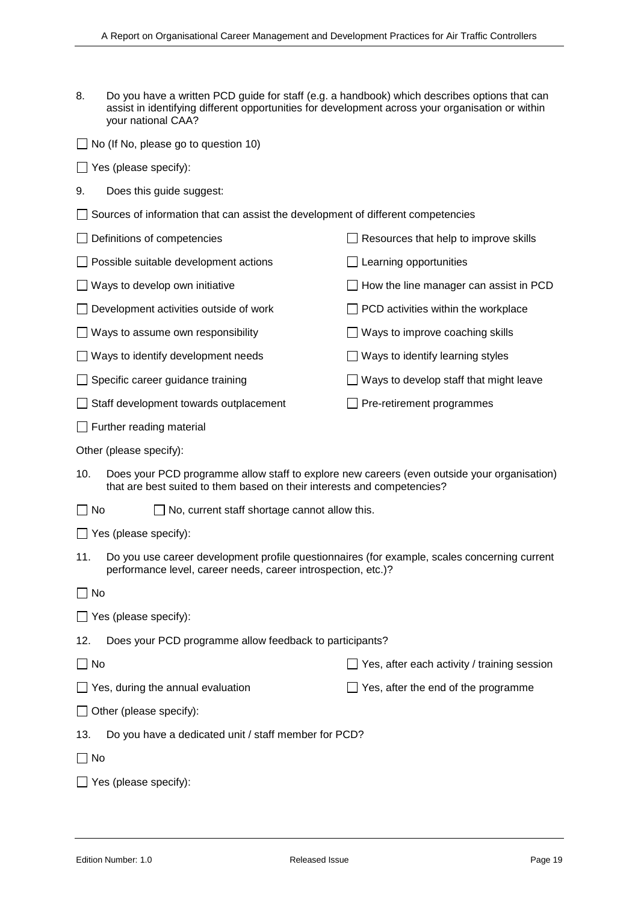| 8.                                                                                                                                                                   | Do you have a written PCD guide for staff (e.g. a handbook) which describes options that can<br>assist in identifying different opportunities for development across your organisation or within<br>your national CAA? |                                                    |  |  |
|----------------------------------------------------------------------------------------------------------------------------------------------------------------------|------------------------------------------------------------------------------------------------------------------------------------------------------------------------------------------------------------------------|----------------------------------------------------|--|--|
|                                                                                                                                                                      | $\Box$ No (If No, please go to question 10)                                                                                                                                                                            |                                                    |  |  |
|                                                                                                                                                                      | $\Box$ Yes (please specify):                                                                                                                                                                                           |                                                    |  |  |
| 9.                                                                                                                                                                   | Does this guide suggest:                                                                                                                                                                                               |                                                    |  |  |
|                                                                                                                                                                      | Sources of information that can assist the development of different competencies                                                                                                                                       |                                                    |  |  |
|                                                                                                                                                                      | $\Box$ Definitions of competencies                                                                                                                                                                                     | Resources that help to improve skills              |  |  |
|                                                                                                                                                                      | $\Box$ Possible suitable development actions                                                                                                                                                                           | $\Box$ Learning opportunities                      |  |  |
|                                                                                                                                                                      | $\Box$ Ways to develop own initiative                                                                                                                                                                                  | How the line manager can assist in PCD             |  |  |
|                                                                                                                                                                      | $\Box$ Development activities outside of work                                                                                                                                                                          | PCD activities within the workplace                |  |  |
|                                                                                                                                                                      | $\Box$ Ways to assume own responsibility                                                                                                                                                                               | Ways to improve coaching skills                    |  |  |
|                                                                                                                                                                      | $\Box$ Ways to identify development needs                                                                                                                                                                              | $\Box$ Ways to identify learning styles            |  |  |
|                                                                                                                                                                      | $\Box$ Specific career guidance training                                                                                                                                                                               | Ways to develop staff that might leave             |  |  |
|                                                                                                                                                                      | Staff development towards outplacement                                                                                                                                                                                 | Pre-retirement programmes                          |  |  |
|                                                                                                                                                                      | $\Box$ Further reading material                                                                                                                                                                                        |                                                    |  |  |
|                                                                                                                                                                      | Other (please specify):                                                                                                                                                                                                |                                                    |  |  |
| 10.                                                                                                                                                                  | Does your PCD programme allow staff to explore new careers (even outside your organisation)<br>that are best suited to them based on their interests and competencies?                                                 |                                                    |  |  |
| $\Box$ No                                                                                                                                                            | $\Box$ No, current staff shortage cannot allow this.                                                                                                                                                                   |                                                    |  |  |
|                                                                                                                                                                      | $\Box$ Yes (please specify):                                                                                                                                                                                           |                                                    |  |  |
| 11.<br>Do you use career development profile questionnaires (for example, scales concerning current<br>performance level, career needs, career introspection, etc.)? |                                                                                                                                                                                                                        |                                                    |  |  |
| $\Box$ No                                                                                                                                                            |                                                                                                                                                                                                                        |                                                    |  |  |
|                                                                                                                                                                      | $\Box$ Yes (please specify):                                                                                                                                                                                           |                                                    |  |  |
| 12.                                                                                                                                                                  | Does your PCD programme allow feedback to participants?                                                                                                                                                                |                                                    |  |  |
| $\square$ No                                                                                                                                                         |                                                                                                                                                                                                                        | $\Box$ Yes, after each activity / training session |  |  |
|                                                                                                                                                                      | $\Box$ Yes, during the annual evaluation                                                                                                                                                                               | $\Box$ Yes, after the end of the programme         |  |  |
|                                                                                                                                                                      | $\Box$ Other (please specify):                                                                                                                                                                                         |                                                    |  |  |
| 13.                                                                                                                                                                  | Do you have a dedicated unit / staff member for PCD?                                                                                                                                                                   |                                                    |  |  |
| $\Box$ No                                                                                                                                                            |                                                                                                                                                                                                                        |                                                    |  |  |
|                                                                                                                                                                      | Yes (please specify):                                                                                                                                                                                                  |                                                    |  |  |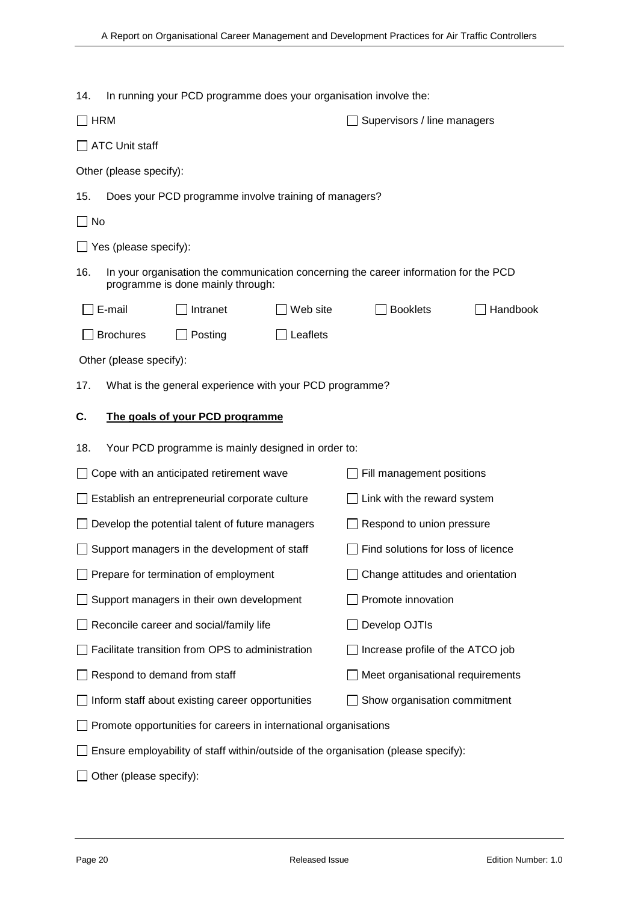| 14.                                       | In running your PCD programme does your organisation involve the: |                                                                  |                                  |                                                                                      |          |
|-------------------------------------------|-------------------------------------------------------------------|------------------------------------------------------------------|----------------------------------|--------------------------------------------------------------------------------------|----------|
|                                           | $\Box$ HRM<br>Supervisors / line managers                         |                                                                  |                                  |                                                                                      |          |
|                                           | $\Box$ ATC Unit staff                                             |                                                                  |                                  |                                                                                      |          |
|                                           | Other (please specify):                                           |                                                                  |                                  |                                                                                      |          |
| 15.                                       |                                                                   | Does your PCD programme involve training of managers?            |                                  |                                                                                      |          |
| $\Box$ No                                 |                                                                   |                                                                  |                                  |                                                                                      |          |
|                                           | $\Box$ Yes (please specify):                                      |                                                                  |                                  |                                                                                      |          |
| 16.                                       |                                                                   | programme is done mainly through:                                |                                  | In your organisation the communication concerning the career information for the PCD |          |
|                                           | E-mail                                                            | Intranet                                                         | Web site                         | <b>Booklets</b>                                                                      | Handbook |
|                                           | <b>Brochures</b>                                                  | Posting                                                          | Leaflets                         |                                                                                      |          |
|                                           | Other (please specify):                                           |                                                                  |                                  |                                                                                      |          |
| 17.                                       |                                                                   | What is the general experience with your PCD programme?          |                                  |                                                                                      |          |
| C.                                        |                                                                   | The goals of your PCD programme                                  |                                  |                                                                                      |          |
| 18.                                       |                                                                   | Your PCD programme is mainly designed in order to:               |                                  |                                                                                      |          |
|                                           |                                                                   | Cope with an anticipated retirement wave                         |                                  | Fill management positions                                                            |          |
|                                           |                                                                   | Establish an entrepreneurial corporate culture                   |                                  | Link with the reward system                                                          |          |
|                                           |                                                                   | Develop the potential talent of future managers                  |                                  | Respond to union pressure                                                            |          |
|                                           |                                                                   | Support managers in the development of staff                     |                                  | Find solutions for loss of licence                                                   |          |
| Prepare for termination of employment     |                                                                   |                                                                  | Change attitudes and orientation |                                                                                      |          |
| Support managers in their own development |                                                                   |                                                                  | Promote innovation               |                                                                                      |          |
| Reconcile career and social/family life   |                                                                   |                                                                  | Develop OJTIs                    |                                                                                      |          |
|                                           |                                                                   | Facilitate transition from OPS to administration                 |                                  | Increase profile of the ATCO job                                                     |          |
|                                           | Respond to demand from staff                                      |                                                                  |                                  | Meet organisational requirements                                                     |          |
|                                           |                                                                   | Inform staff about existing career opportunities                 |                                  | Show organisation commitment                                                         |          |
|                                           |                                                                   | Promote opportunities for careers in international organisations |                                  |                                                                                      |          |
|                                           |                                                                   |                                                                  |                                  | Ensure employability of staff within/outside of the organisation (please specify):   |          |

□ Other (please specify):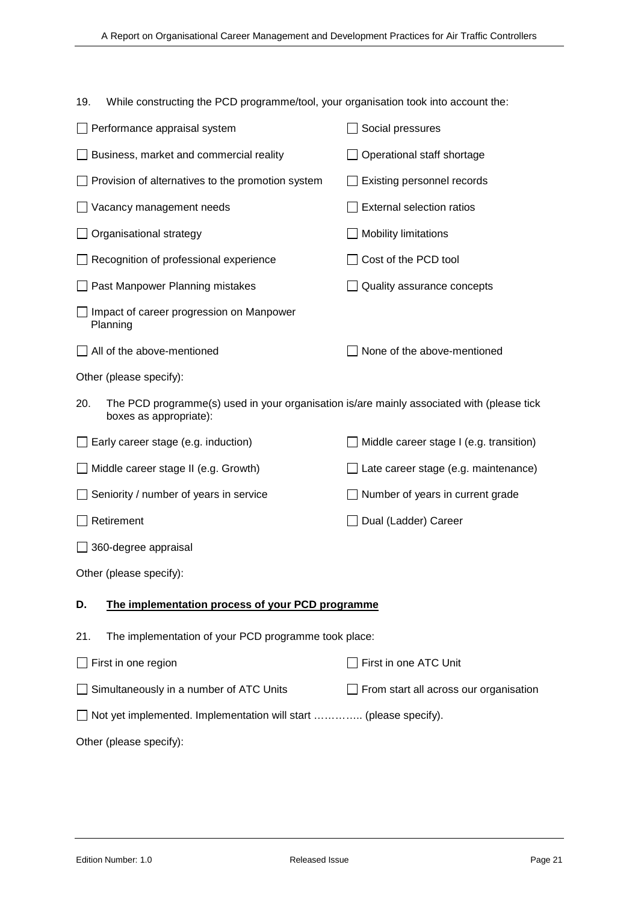| While constructing the PCD programme/tool, your organisation took into account the:<br>19.                                 |                                             |
|----------------------------------------------------------------------------------------------------------------------------|---------------------------------------------|
| Performance appraisal system                                                                                               | Social pressures                            |
| Business, market and commercial reality                                                                                    | Operational staff shortage                  |
| Provision of alternatives to the promotion system                                                                          | Existing personnel records                  |
| $\Box$ Vacancy management needs                                                                                            | <b>External selection ratios</b>            |
| Organisational strategy                                                                                                    | Mobility limitations                        |
| Recognition of professional experience                                                                                     | Cost of the PCD tool                        |
| Past Manpower Planning mistakes                                                                                            | Quality assurance concepts                  |
| Impact of career progression on Manpower<br>Planning                                                                       |                                             |
| All of the above-mentioned                                                                                                 | None of the above-mentioned                 |
| Other (please specify):                                                                                                    |                                             |
| 20.<br>The PCD programme(s) used in your organisation is/are mainly associated with (please tick<br>boxes as appropriate): |                                             |
| Early career stage (e.g. induction)                                                                                        | Middle career stage I (e.g. transition)     |
| Middle career stage II (e.g. Growth)                                                                                       | $\Box$ Late career stage (e.g. maintenance) |
| Seniority / number of years in service                                                                                     | Number of years in current grade            |
| Retirement                                                                                                                 | Dual (Ladder) Career                        |
| 360-degree appraisal                                                                                                       |                                             |
| Other (please specify):                                                                                                    |                                             |
| The implementation process of your PCD programme<br>D.                                                                     |                                             |
| The implementation of your PCD programme took place:<br>21.                                                                |                                             |
| First in one region                                                                                                        | First in one ATC Unit                       |
| Simultaneously in a number of ATC Units                                                                                    | From start all across our organisation      |
| $\Box$ Not yet implemented. Implementation will start  (please specify).                                                   |                                             |
| Other (please specify):                                                                                                    |                                             |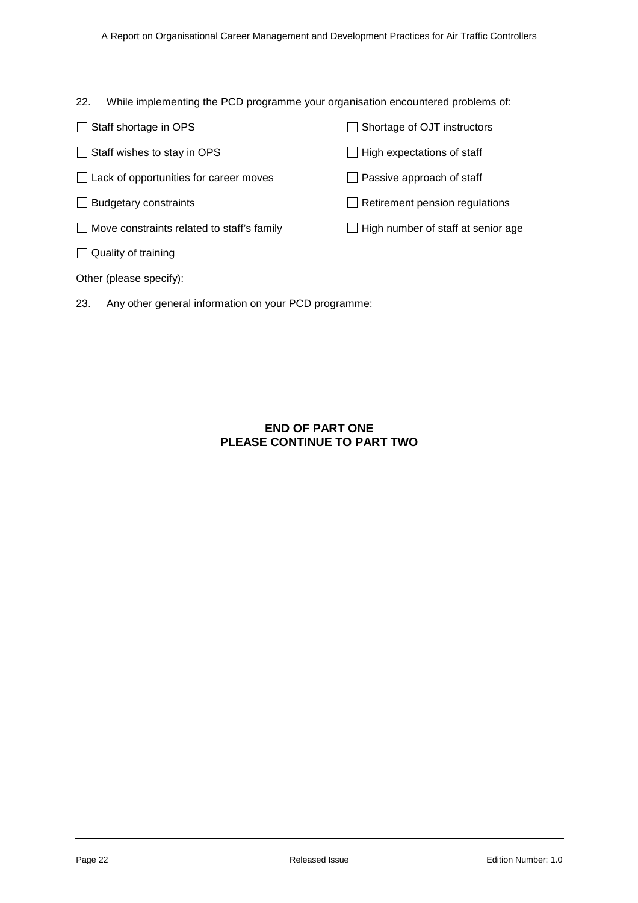22. While implementing the PCD programme your organisation encountered problems of:

| Staff shortage in OPS                      | Shortage of OJT instructors          |
|--------------------------------------------|--------------------------------------|
| Staff wishes to stay in OPS                | High expectations of staff<br>$\Box$ |
| Lack of opportunities for career moves     | Passive approach of staff            |
| <b>Budgetary constraints</b>               | Retirement pension regulations       |
| Move constraints related to staff's family | High number of staff at senior age   |
| Quality of training                        |                                      |
| Other (please specify):                    |                                      |
|                                            |                                      |

23. Any other general information on your PCD programme:

#### **END OF PART ONE PLEASE CONTINUE TO PART TWO**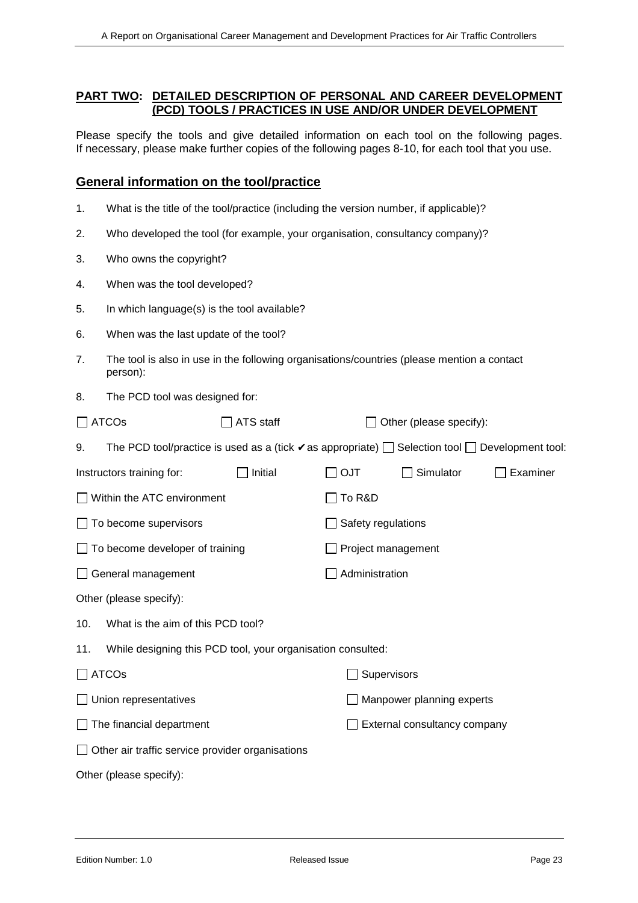#### **PART TWO: DETAILED DESCRIPTION OF PERSONAL AND CAREER DEVELOPMENT (PCD) TOOLS / PRACTICES IN USE AND/OR UNDER DEVELOPMENT**

Please specify the tools and give detailed information on each tool on the following pages. If necessary, please make further copies of the following pages 8-10, for each tool that you use.

#### **General information on the tool/practice**

- 1. What is the title of the tool/practice (including the version number, if applicable)?
- 2. Who developed the tool (for example, your organisation, consultancy company)?
- 3. Who owns the copyright?
- 4. When was the tool developed?
- 5. In which language(s) is the tool available?
- 6. When was the last update of the tool?
- 7. The tool is also in use in the following organisations/countries (please mention a contact person):
- 8. The PCD tool was designed for:

| $\Box$ ATCOs                                                                                                         | ATS staff |                    | Other (please specify):      |          |
|----------------------------------------------------------------------------------------------------------------------|-----------|--------------------|------------------------------|----------|
| The PCD tool/practice is used as a (tick $\vee$ as appropriate) $\Box$ Selection tool $\Box$ Development tool:<br>9. |           |                    |                              |          |
| Instructors training for:                                                                                            | Initial   | <b>OJT</b>         | Simulator                    | Examiner |
| □ Within the ATC environment                                                                                         |           | To R&D             |                              |          |
| $\Box$ To become supervisors                                                                                         |           | Safety regulations |                              |          |
| To become developer of training                                                                                      |           |                    | Project management           |          |
| $\Box$ General management                                                                                            |           | Administration     |                              |          |
| Other (please specify):                                                                                              |           |                    |                              |          |
| What is the aim of this PCD tool?<br>10.                                                                             |           |                    |                              |          |
| While designing this PCD tool, your organisation consulted:<br>11.                                                   |           |                    |                              |          |
| $\Box$ ATCOs                                                                                                         |           |                    | Supervisors                  |          |
| Union representatives                                                                                                |           |                    | Manpower planning experts    |          |
| $\Box$ The financial department                                                                                      |           |                    | External consultancy company |          |
| Other air traffic service provider organisations                                                                     |           |                    |                              |          |
| Other (please specify):                                                                                              |           |                    |                              |          |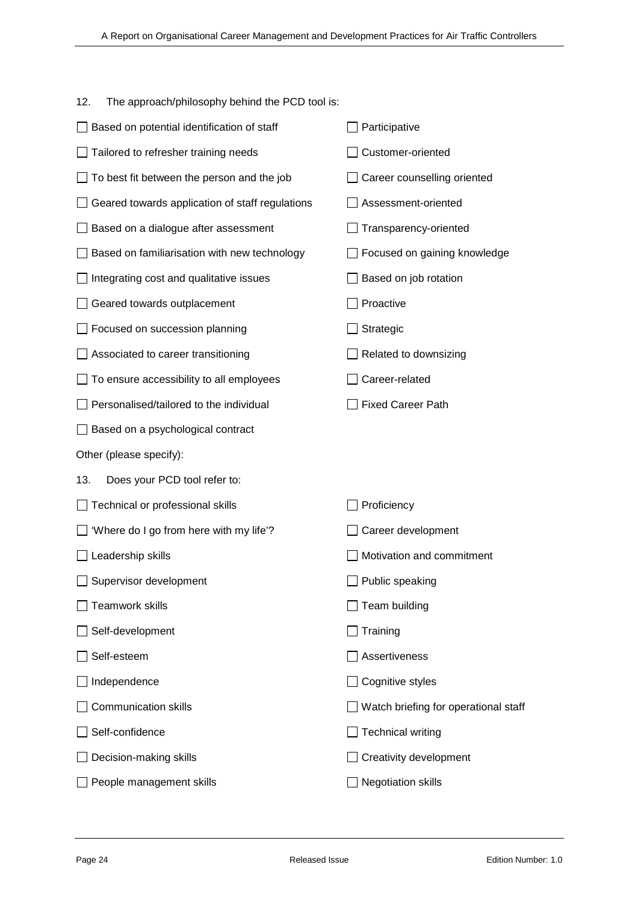| 12.<br>The approach/philosophy behind the PCD tool is: |                                      |
|--------------------------------------------------------|--------------------------------------|
| Based on potential identification of staff             | Participative                        |
| Tailored to refresher training needs                   | Customer-oriented                    |
| To best fit between the person and the job             | Career counselling oriented          |
| Geared towards application of staff regulations        | Assessment-oriented                  |
| Based on a dialogue after assessment                   | Transparency-oriented                |
| Based on familiarisation with new technology           | Focused on gaining knowledge         |
| Integrating cost and qualitative issues                | Based on job rotation                |
| Geared towards outplacement                            | Proactive                            |
| Focused on succession planning                         | Strategic                            |
| Associated to career transitioning                     | Related to downsizing                |
| To ensure accessibility to all employees               | Career-related                       |
| Personalised/tailored to the individual                | <b>Fixed Career Path</b>             |
| Based on a psychological contract                      |                                      |
| Other (please specify):                                |                                      |
| 13.<br>Does your PCD tool refer to:                    |                                      |
| Technical or professional skills                       | Proficiency                          |
| 'Where do I go from here with my life'?                | Career development                   |
| Leadership skills                                      | Motivation and commitment            |
| Supervisor development                                 | Public speaking                      |
| <b>Teamwork skills</b>                                 | Team building                        |
| Self-development                                       | Training                             |
| Self-esteem                                            | Assertiveness                        |
| Independence                                           | Cognitive styles                     |
| <b>Communication skills</b>                            | Watch briefing for operational staff |
| Self-confidence                                        | <b>Technical writing</b>             |
| Decision-making skills                                 | Creativity development               |
| People management skills                               | <b>Negotiation skills</b>            |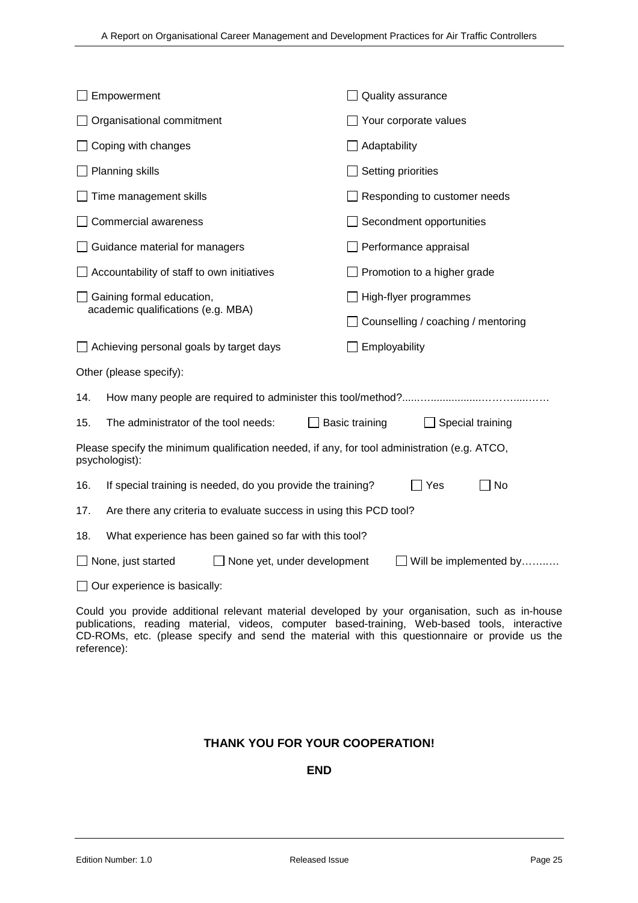| Empowerment                                                                                                    | Quality assurance                  |  |  |
|----------------------------------------------------------------------------------------------------------------|------------------------------------|--|--|
| Organisational commitment                                                                                      | Your corporate values              |  |  |
| Coping with changes                                                                                            | Adaptability                       |  |  |
| <b>Planning skills</b>                                                                                         | Setting priorities                 |  |  |
| Time management skills                                                                                         | Responding to customer needs       |  |  |
| <b>Commercial awareness</b>                                                                                    | Secondment opportunities           |  |  |
| Guidance material for managers                                                                                 | Performance appraisal              |  |  |
| Accountability of staff to own initiatives                                                                     | Promotion to a higher grade        |  |  |
| Gaining formal education,                                                                                      | High-flyer programmes              |  |  |
| academic qualifications (e.g. MBA)                                                                             | Counselling / coaching / mentoring |  |  |
| Achieving personal goals by target days                                                                        | Employability                      |  |  |
| Other (please specify):                                                                                        |                                    |  |  |
| 14.                                                                                                            |                                    |  |  |
| The administrator of the tool needs:<br>15.                                                                    | Basic training<br>Special training |  |  |
| Please specify the minimum qualification needed, if any, for tool administration (e.g. ATCO,<br>psychologist): |                                    |  |  |
| 16.<br>If special training is needed, do you provide the training?                                             | Yes<br>No                          |  |  |
| 17.<br>Are there any criteria to evaluate success in using this PCD tool?                                      |                                    |  |  |
| 18.<br>What experience has been gained so far with this tool?                                                  |                                    |  |  |
| None, just started<br>None yet, under development                                                              | Will be implemented by             |  |  |
| Our experience is basically:                                                                                   |                                    |  |  |

Could you provide additional relevant material developed by your organisation, such as in-house publications, reading material, videos, computer based-training, Web-based tools, interactive CD-ROMs, etc. (please specify and send the material with this questionnaire or provide us the reference):

#### **THANK YOU FOR YOUR COOPERATION!**

**END**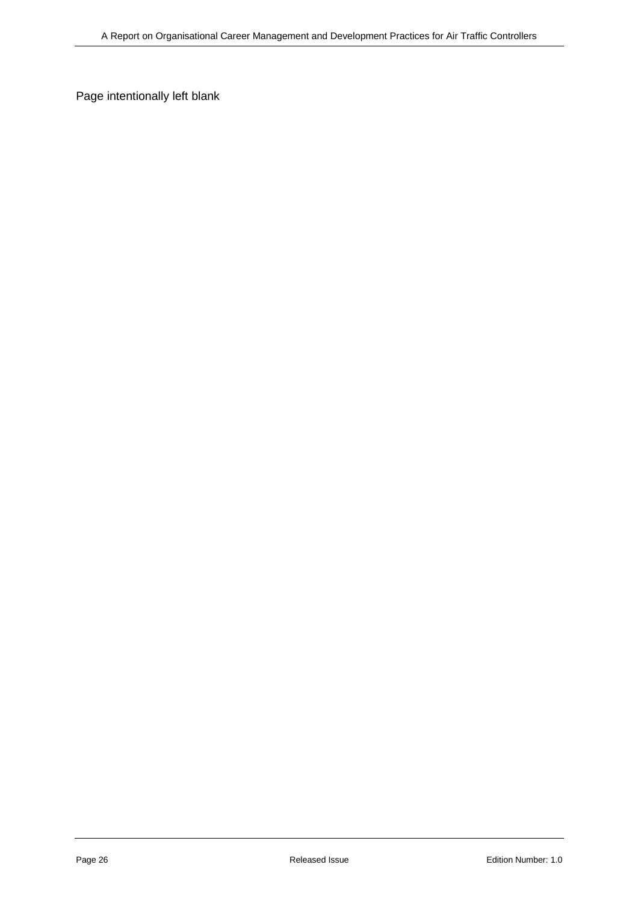Page intentionally left blank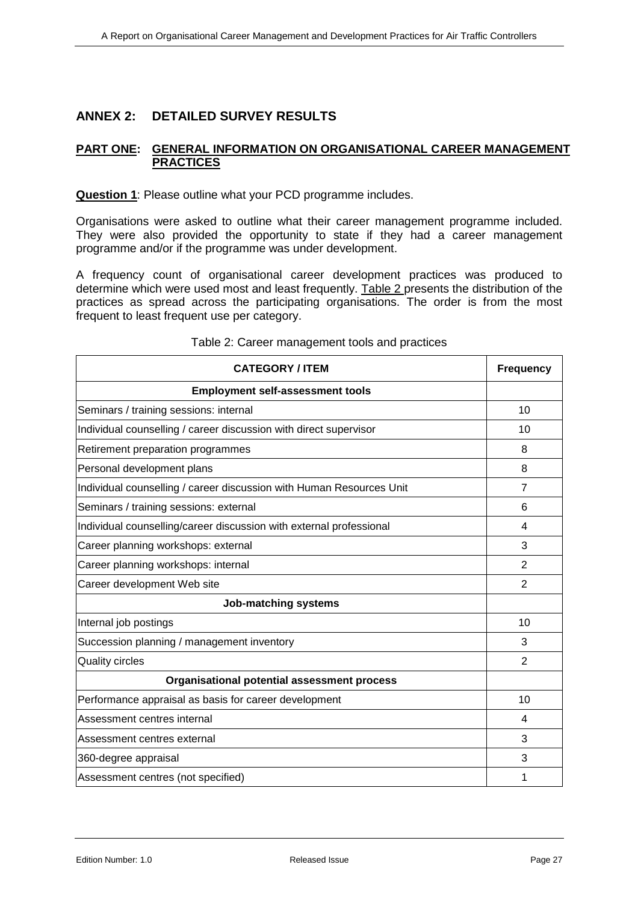#### **ANNEX 2: DETAILED SURVEY RESULTS**

#### **PART ONE: GENERAL INFORMATION ON ORGANISATIONAL CAREER MANAGEMENT PRACTICES**

**Question 1**: Please outline what your PCD programme includes.

Organisations were asked to outline what their career management programme included. They were also provided the opportunity to state if they had a career management programme and/or if the programme was under development.

A frequency count of organisational career development practices was produced to determine which were used most and least frequently. Table 2 presents the distribution of the practices as spread across the participating organisations. The order is from the most frequent to least frequent use per category.

| <b>CATEGORY / ITEM</b>                                               | <b>Frequency</b> |
|----------------------------------------------------------------------|------------------|
| <b>Employment self-assessment tools</b>                              |                  |
| Seminars / training sessions: internal                               | 10               |
| Individual counselling / career discussion with direct supervisor    | 10               |
| Retirement preparation programmes                                    | 8                |
| Personal development plans                                           | 8                |
| Individual counselling / career discussion with Human Resources Unit | $\overline{7}$   |
| Seminars / training sessions: external                               | 6                |
| Individual counselling/career discussion with external professional  | 4                |
| Career planning workshops: external                                  | 3                |
| Career planning workshops: internal                                  | 2                |
| Career development Web site                                          | $\overline{2}$   |
| <b>Job-matching systems</b>                                          |                  |
| Internal job postings                                                | 10               |
| Succession planning / management inventory                           | 3                |
| <b>Quality circles</b>                                               | $\overline{2}$   |
| <b>Organisational potential assessment process</b>                   |                  |
| Performance appraisal as basis for career development                | 10               |
| Assessment centres internal                                          | 4                |
| Assessment centres external                                          | 3                |
| 360-degree appraisal                                                 | 3                |
| Assessment centres (not specified)                                   | 1                |

#### Table 2: Career management tools and practices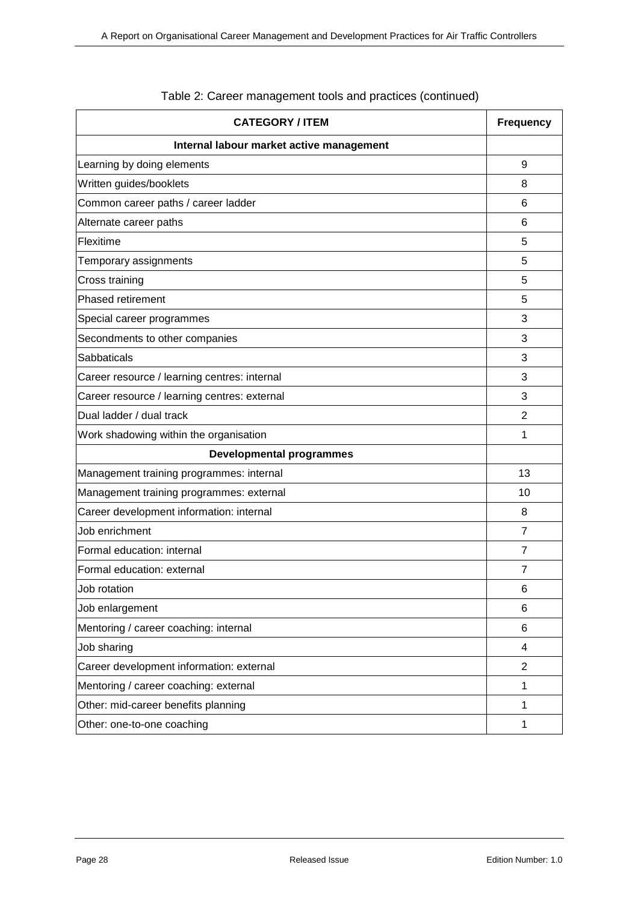| <b>CATEGORY / ITEM</b>                       | <b>Frequency</b> |
|----------------------------------------------|------------------|
| Internal labour market active management     |                  |
| Learning by doing elements                   | 9                |
| Written guides/booklets                      | 8                |
| Common career paths / career ladder          | 6                |
| Alternate career paths                       | 6                |
| Flexitime                                    | 5                |
| Temporary assignments                        | 5                |
| Cross training                               | 5                |
| Phased retirement                            | 5                |
| Special career programmes                    | 3                |
| Secondments to other companies               | 3                |
| <b>Sabbaticals</b>                           | 3                |
| Career resource / learning centres: internal | 3                |
| Career resource / learning centres: external | 3                |
| Dual ladder / dual track                     | $\overline{2}$   |
| Work shadowing within the organisation       | 1                |
| <b>Developmental programmes</b>              |                  |
| Management training programmes: internal     | 13               |
| Management training programmes: external     | 10               |
| Career development information: internal     | 8                |
| Job enrichment                               | $\overline{7}$   |
| Formal education: internal                   | 7                |
| Formal education: external                   | 7                |
| Job rotation                                 | 6                |
| Job enlargement                              | 6                |
| Mentoring / career coaching: internal        | 6                |
| Job sharing                                  | 4                |
| Career development information: external     | 2                |
| Mentoring / career coaching: external        | $\mathbf{1}$     |
| Other: mid-career benefits planning          | 1                |
| Other: one-to-one coaching                   | 1                |

#### Table 2: Career management tools and practices (continued)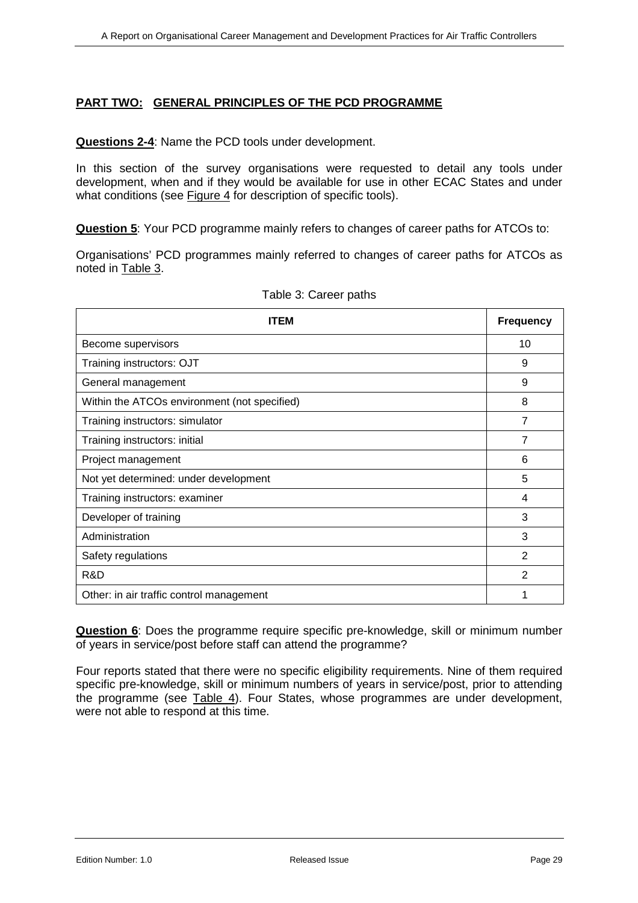#### **PART TWO: GENERAL PRINCIPLES OF THE PCD PROGRAMME**

**Questions 2-4**: Name the PCD tools under development.

In this section of the survey organisations were requested to detail any tools under development, when and if they would be available for use in other ECAC States and under what conditions (see Figure 4 for description of specific tools).

**Question 5**: Your PCD programme mainly refers to changes of career paths for ATCOs to:

Organisations' PCD programmes mainly referred to changes of career paths for ATCOs as noted in Table 3.

| ITEM                                         | <b>Frequency</b> |
|----------------------------------------------|------------------|
| Become supervisors                           | 10               |
| Training instructors: OJT                    | 9                |
| General management                           | 9                |
| Within the ATCOs environment (not specified) | 8                |
| Training instructors: simulator              | $\overline{7}$   |
| Training instructors: initial                | $\overline{7}$   |
| Project management                           | 6                |
| Not yet determined: under development        | 5                |
| Training instructors: examiner               | 4                |
| Developer of training                        | 3                |
| Administration                               | 3                |
| Safety regulations                           | 2                |
| R&D                                          | $\mathfrak{p}$   |
| Other: in air traffic control management     |                  |

#### Table 3: Career paths

**Question 6**: Does the programme require specific pre-knowledge, skill or minimum number of years in service/post before staff can attend the programme?

Four reports stated that there were no specific eligibility requirements. Nine of them required specific pre-knowledge, skill or minimum numbers of years in service/post, prior to attending the programme (see Table 4). Four States, whose programmes are under development, were not able to respond at this time.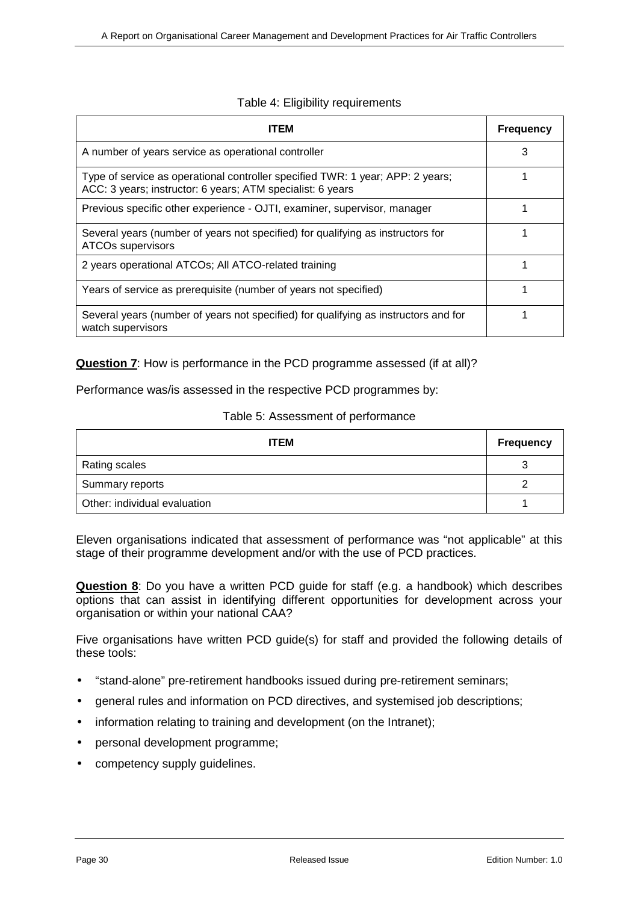| ITEM                                                                                                                                         | <b>Frequency</b> |
|----------------------------------------------------------------------------------------------------------------------------------------------|------------------|
| A number of years service as operational controller                                                                                          |                  |
| Type of service as operational controller specified TWR: 1 year; APP: 2 years;<br>ACC: 3 years; instructor: 6 years; ATM specialist: 6 years |                  |
| Previous specific other experience - OJTI, examiner, supervisor, manager                                                                     |                  |
| Several years (number of years not specified) for qualifying as instructors for<br>ATCOs supervisors                                         |                  |
| 2 years operational ATCOs; All ATCO-related training                                                                                         |                  |
| Years of service as prerequisite (number of years not specified)                                                                             |                  |
| Several years (number of years not specified) for qualifying as instructors and for<br>watch supervisors                                     |                  |

#### Table 4: Eligibility requirements

**Question 7:** How is performance in the PCD programme assessed (if at all)?

Performance was/is assessed in the respective PCD programmes by:

#### Table 5: Assessment of performance

| <b>ITEM</b>                  | <b>Frequency</b> |
|------------------------------|------------------|
| Rating scales                |                  |
| Summary reports              |                  |
| Other: individual evaluation |                  |

Eleven organisations indicated that assessment of performance was "not applicable" at this stage of their programme development and/or with the use of PCD practices.

**Question 8**: Do you have a written PCD guide for staff (e.g. a handbook) which describes options that can assist in identifying different opportunities for development across your organisation or within your national CAA?

Five organisations have written PCD guide(s) for staff and provided the following details of these tools:

- "stand-alone" pre-retirement handbooks issued during pre-retirement seminars;
- general rules and information on PCD directives, and systemised job descriptions;
- information relating to training and development (on the Intranet);
- personal development programme;
- competency supply guidelines.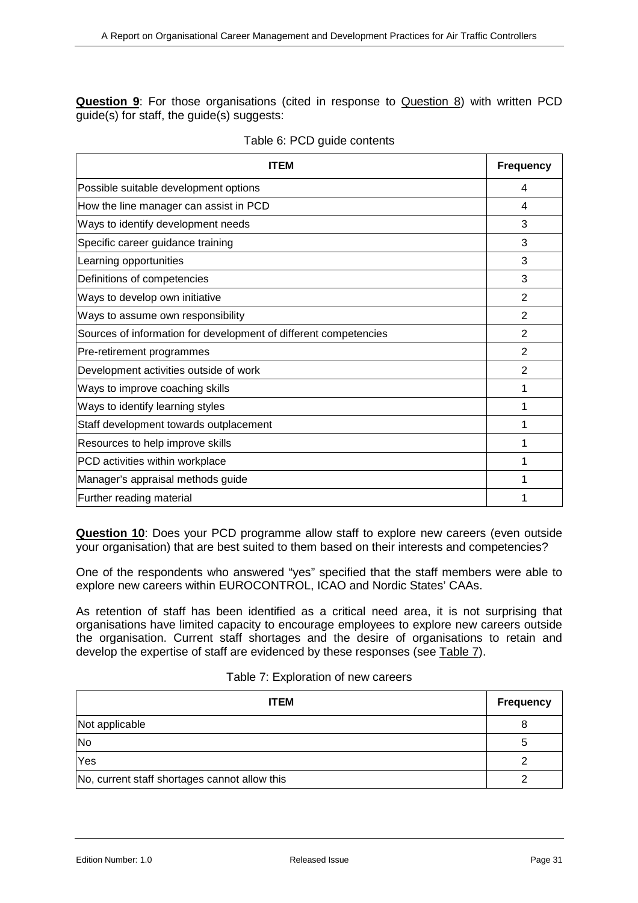**Question 9**: For those organisations (cited in response to Question 8) with written PCD guide(s) for staff, the guide(s) suggests:

| <b>ITEM</b>                                                      | <b>Frequency</b> |
|------------------------------------------------------------------|------------------|
| Possible suitable development options                            | 4                |
| How the line manager can assist in PCD                           | 4                |
| Ways to identify development needs                               | 3                |
| Specific career guidance training                                | 3                |
| Learning opportunities                                           | 3                |
| Definitions of competencies                                      | 3                |
| Ways to develop own initiative                                   | $\overline{2}$   |
| Ways to assume own responsibility                                | $\overline{2}$   |
| Sources of information for development of different competencies | 2                |
| Pre-retirement programmes                                        | $\overline{2}$   |
| Development activities outside of work                           | $\overline{2}$   |
| Ways to improve coaching skills                                  | 1                |
| Ways to identify learning styles                                 |                  |
| Staff development towards outplacement                           |                  |
| Resources to help improve skills                                 |                  |
| PCD activities within workplace                                  |                  |
| Manager's appraisal methods guide                                |                  |
| Further reading material                                         |                  |

**Question 10**: Does your PCD programme allow staff to explore new careers (even outside your organisation) that are best suited to them based on their interests and competencies?

One of the respondents who answered "yes" specified that the staff members were able to explore new careers within EUROCONTROL, ICAO and Nordic States' CAAs.

As retention of staff has been identified as a critical need area, it is not surprising that organisations have limited capacity to encourage employees to explore new careers outside the organisation. Current staff shortages and the desire of organisations to retain and develop the expertise of staff are evidenced by these responses (see Table 7).

| Table 7: Exploration of new careers |  |
|-------------------------------------|--|
|-------------------------------------|--|

| <b>ITEM</b>                                   | <b>Frequency</b> |
|-----------------------------------------------|------------------|
| Not applicable                                |                  |
| No                                            | b                |
| Yes                                           |                  |
| No, current staff shortages cannot allow this |                  |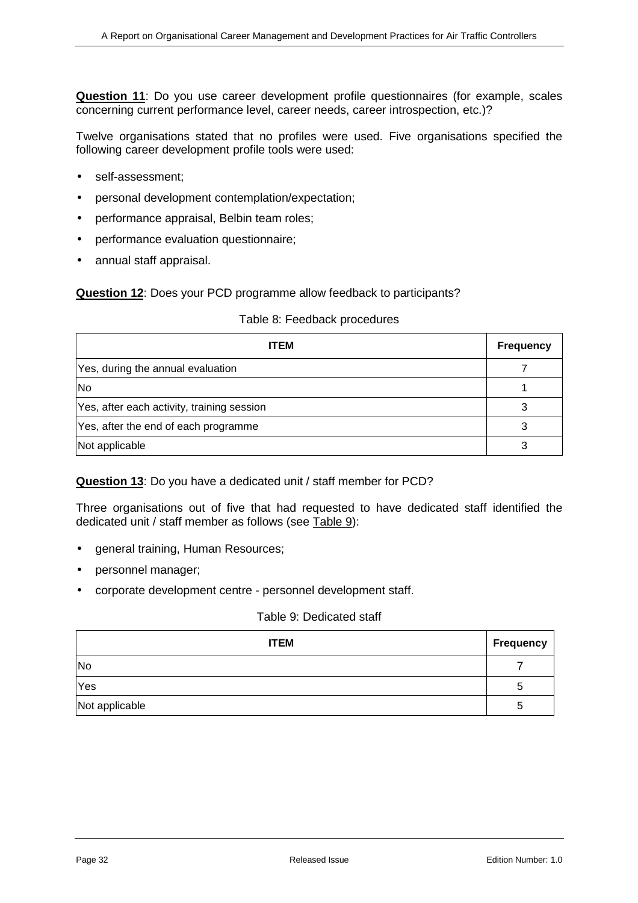**Question 11**: Do you use career development profile questionnaires (for example, scales concerning current performance level, career needs, career introspection, etc.)?

Twelve organisations stated that no profiles were used. Five organisations specified the following career development profile tools were used:

- self-assessment;
- personal development contemplation/expectation;
- performance appraisal, Belbin team roles;
- performance evaluation questionnaire;
- annual staff appraisal.

## **Question 12**: Does your PCD programme allow feedback to participants?

#### Table 8: Feedback procedures

| <b>ITEM</b>                                | <b>Frequency</b> |
|--------------------------------------------|------------------|
| Yes, during the annual evaluation          |                  |
| <b>No</b>                                  |                  |
| Yes, after each activity, training session |                  |
| Yes, after the end of each programme       |                  |
| Not applicable                             |                  |

#### **Question 13**: Do you have a dedicated unit / staff member for PCD?

Three organisations out of five that had requested to have dedicated staff identified the dedicated unit / staff member as follows (see Table 9):

- general training, Human Resources;
- personnel manager;
- corporate development centre personnel development staff.

#### Table 9: Dedicated staff

| <b>ITEM</b>    | <b>Frequency</b> |
|----------------|------------------|
| No             |                  |
| Yes            | ວ                |
| Not applicable | G                |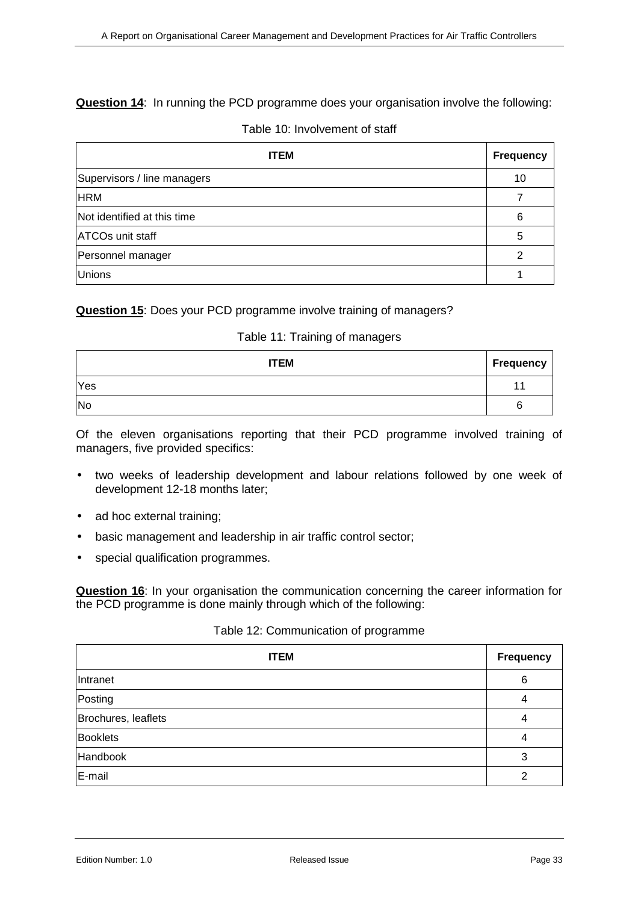**Question 14**: In running the PCD programme does your organisation involve the following:

|  | Table 10: Involvement of staff |  |
|--|--------------------------------|--|
|  |                                |  |

| <b>ITEM</b>                 | <b>Frequency</b> |
|-----------------------------|------------------|
| Supervisors / line managers | 10               |
| <b>HRM</b>                  |                  |
| Not identified at this time | 6                |
| ATCOs unit staff            | 5                |
| Personnel manager           | 2                |
| <b>Unions</b>               |                  |

# **Question 15**: Does your PCD programme involve training of managers?

## Table 11: Training of managers

| <b>ITEM</b> | <b>Frequency</b> |
|-------------|------------------|
| Yes         |                  |
| No          |                  |

Of the eleven organisations reporting that their PCD programme involved training of managers, five provided specifics:

- two weeks of leadership development and labour relations followed by one week of development 12-18 months later;
- ad hoc external training;
- basic management and leadership in air traffic control sector;
- special qualification programmes.

**Question 16:** In your organisation the communication concerning the career information for the PCD programme is done mainly through which of the following:

#### Table 12: Communication of programme

| <b>ITEM</b>         | <b>Frequency</b> |
|---------------------|------------------|
| Intranet            | 6                |
| Posting             | 4                |
| Brochures, leaflets | 4                |
| <b>Booklets</b>     |                  |
| Handbook            | 3                |
| E-mail              | ⌒                |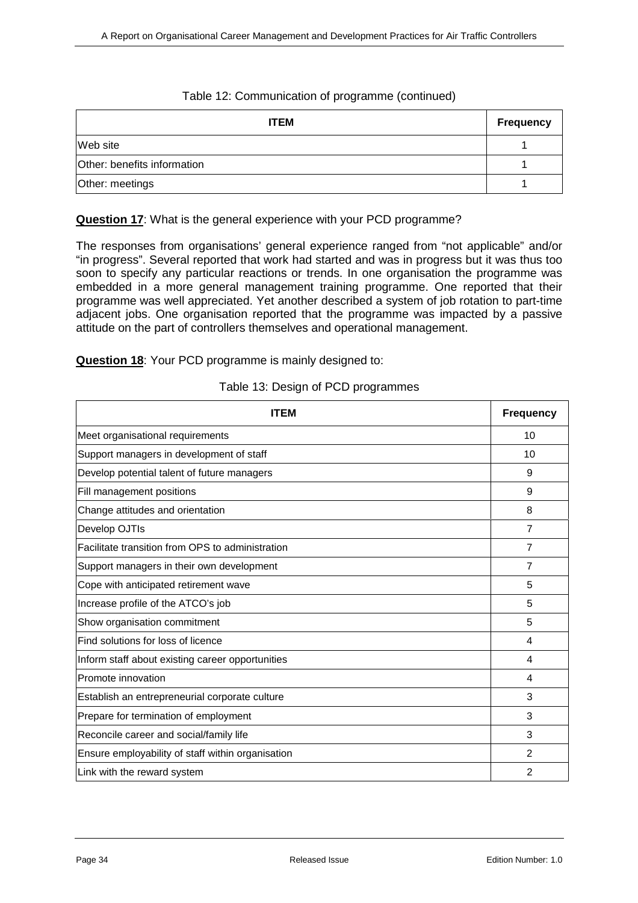| <b>ITEM</b>                 | <b>Frequency</b> |
|-----------------------------|------------------|
| Web site                    |                  |
| Other: benefits information |                  |
| Other: meetings             |                  |

# **Question 17:** What is the general experience with your PCD programme?

The responses from organisations' general experience ranged from "not applicable" and/or "in progress". Several reported that work had started and was in progress but it was thus too soon to specify any particular reactions or trends. In one organisation the programme was embedded in a more general management training programme. One reported that their programme was well appreciated. Yet another described a system of job rotation to part-time adjacent jobs. One organisation reported that the programme was impacted by a passive attitude on the part of controllers themselves and operational management.

**Question 18**: Your PCD programme is mainly designed to:

| <b>ITEM</b>                                       | <b>Frequency</b> |
|---------------------------------------------------|------------------|
| Meet organisational requirements                  | 10               |
| Support managers in development of staff          | 10               |
| Develop potential talent of future managers       | 9                |
| Fill management positions                         | 9                |
| Change attitudes and orientation                  | 8                |
| Develop OJTIs                                     | 7                |
| Facilitate transition from OPS to administration  | 7                |
| Support managers in their own development         | 7                |
| Cope with anticipated retirement wave             | 5                |
| Increase profile of the ATCO's job                | 5                |
| Show organisation commitment                      | 5                |
| Find solutions for loss of licence                | 4                |
| Inform staff about existing career opportunities  | 4                |
| Promote innovation                                | 4                |
| Establish an entrepreneurial corporate culture    | 3                |
| Prepare for termination of employment             | 3                |
| Reconcile career and social/family life           | 3                |
| Ensure employability of staff within organisation | 2                |
| Link with the reward system                       | 2                |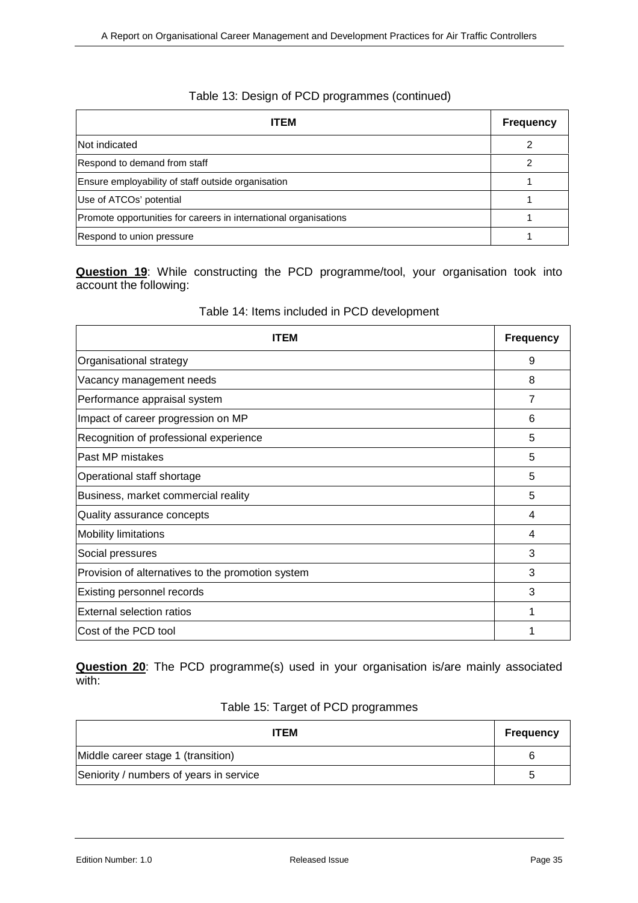# Table 13: Design of PCD programmes (continued)

| <b>ITEM</b>                                                      | <b>Frequency</b> |
|------------------------------------------------------------------|------------------|
| Not indicated                                                    |                  |
| Respond to demand from staff                                     |                  |
| Ensure employability of staff outside organisation               |                  |
| Use of ATCOs' potential                                          |                  |
| Promote opportunities for careers in international organisations |                  |
| Respond to union pressure                                        |                  |

**Question 19**: While constructing the PCD programme/tool, your organisation took into account the following:

| <b>TEM</b>                                        | <b>Frequency</b> |
|---------------------------------------------------|------------------|
| Organisational strategy                           | 9                |
| Vacancy management needs                          | 8                |
| Performance appraisal system                      | 7                |
| Impact of career progression on MP                | 6                |
| Recognition of professional experience            | 5                |
| Past MP mistakes                                  | 5                |
| Operational staff shortage                        | 5                |
| Business, market commercial reality               | 5                |
| Quality assurance concepts                        | 4                |
| Mobility limitations                              | 4                |
| Social pressures                                  | 3                |
| Provision of alternatives to the promotion system | 3                |
| Existing personnel records                        | 3                |
| <b>External selection ratios</b>                  |                  |
| Cost of the PCD tool                              |                  |

## Table 14: Items included in PCD development

**Question 20**: The PCD programme(s) used in your organisation is/are mainly associated with:

## Table 15: Target of PCD programmes

| <b>ITEM</b>                             | <b>Frequency</b> |
|-----------------------------------------|------------------|
| Middle career stage 1 (transition)      |                  |
| Seniority / numbers of years in service |                  |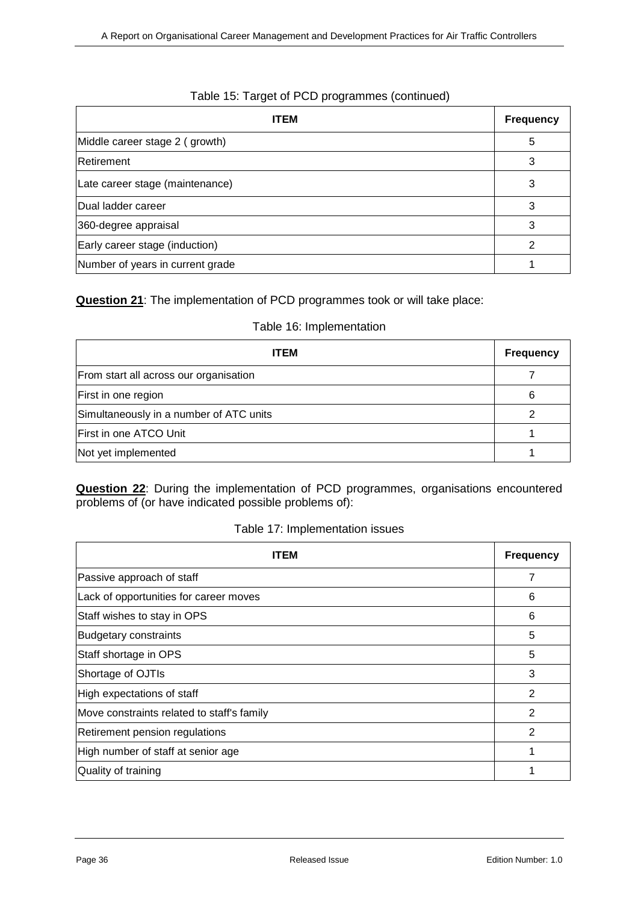# Table 15: Target of PCD programmes (continued)

| <b>ITEM</b>                      | <b>Frequency</b> |
|----------------------------------|------------------|
| Middle career stage 2 (growth)   | 5                |
| Retirement                       | 3                |
| Late career stage (maintenance)  | 3                |
| Dual ladder career               | 3                |
| 360-degree appraisal             | 3                |
| Early career stage (induction)   | ⌒                |
| Number of years in current grade |                  |

# **Question 21**: The implementation of PCD programmes took or will take place:

# Table 16: Implementation

| <b>ITEM</b>                             | <b>Frequency</b> |
|-----------------------------------------|------------------|
| From start all across our organisation  |                  |
| First in one region                     | 6                |
| Simultaneously in a number of ATC units |                  |
| First in one ATCO Unit                  |                  |
| Not yet implemented                     |                  |

**Question 22**: During the implementation of PCD programmes, organisations encountered problems of (or have indicated possible problems of):

#### Table 17: Implementation issues

| ITEM                                       | <b>Frequency</b> |
|--------------------------------------------|------------------|
| Passive approach of staff                  | 7                |
| Lack of opportunities for career moves     | 6                |
| Staff wishes to stay in OPS                | 6                |
| <b>Budgetary constraints</b>               | 5                |
| Staff shortage in OPS                      | 5                |
| Shortage of OJTIs                          | 3                |
| High expectations of staff                 | 2                |
| Move constraints related to staff's family | 2                |
| Retirement pension regulations             | $\overline{2}$   |
| High number of staff at senior age         |                  |
| Quality of training                        |                  |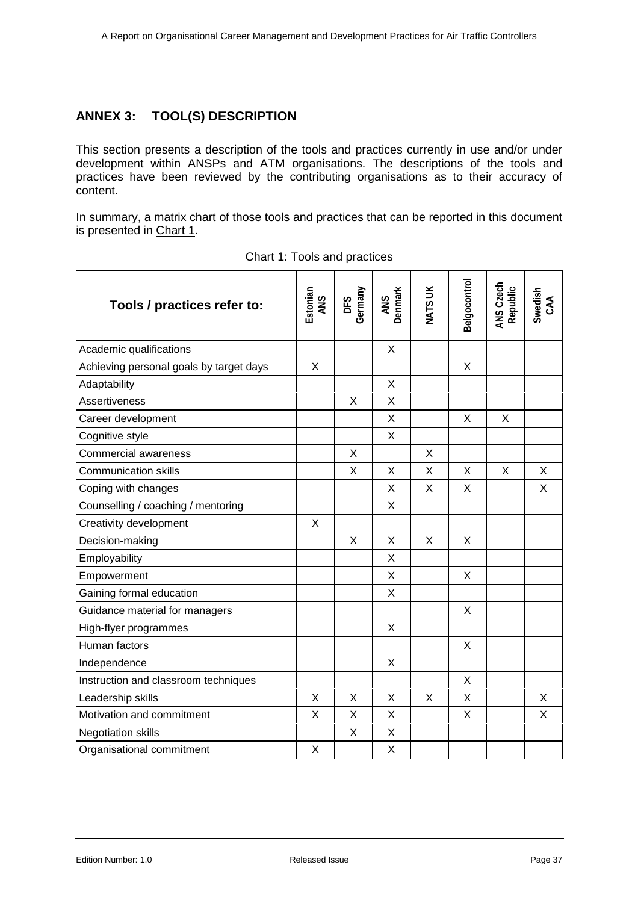# **ANNEX 3: TOOL(S) DESCRIPTION**

This section presents a description of the tools and practices currently in use and/or under development within ANSPs and ATM organisations. The descriptions of the tools and practices have been reviewed by the contributing organisations as to their accuracy of content.

In summary, a matrix chart of those tools and practices that can be reported in this document is presented in Chart 1.

| Tools / practices refer to:             | Estonian<br>ANS | DFS<br>Germany | ANS<br>Denmark | <b>NATS UK</b> | Belgocontrol | ANS Czech<br>Republic | Swedish<br>CAA |
|-----------------------------------------|-----------------|----------------|----------------|----------------|--------------|-----------------------|----------------|
| Academic qualifications                 |                 |                | X              |                |              |                       |                |
| Achieving personal goals by target days | X               |                |                |                | X            |                       |                |
| Adaptability                            |                 |                | X              |                |              |                       |                |
| <b>Assertiveness</b>                    |                 | X              | X              |                |              |                       |                |
| Career development                      |                 |                | X              |                | X            | X                     |                |
| Cognitive style                         |                 |                | X              |                |              |                       |                |
| <b>Commercial awareness</b>             |                 | X              |                | X              |              |                       |                |
| <b>Communication skills</b>             |                 | X              | $\sf X$        | X              | X            | X                     | X              |
| Coping with changes                     |                 |                | X              | X              | X            |                       | X              |
| Counselling / coaching / mentoring      |                 |                | X              |                |              |                       |                |
| Creativity development                  | X               |                |                |                |              |                       |                |
| Decision-making                         |                 | X              | X              | X              | X            |                       |                |
| Employability                           |                 |                | X              |                |              |                       |                |
| Empowerment                             |                 |                | X              |                | X            |                       |                |
| Gaining formal education                |                 |                | X              |                |              |                       |                |
| Guidance material for managers          |                 |                |                |                | X            |                       |                |
| High-flyer programmes                   |                 |                | X              |                |              |                       |                |
| Human factors                           |                 |                |                |                | X            |                       |                |
| Independence                            |                 |                | X              |                |              |                       |                |
| Instruction and classroom techniques    |                 |                |                |                | X            |                       |                |
| Leadership skills                       | X               | X              | X              | X              | X            |                       | X              |
| Motivation and commitment               | X               | X              | X              |                | X            |                       | X              |
| <b>Negotiation skills</b>               |                 | X              | X              |                |              |                       |                |
| Organisational commitment               | X               |                | X              |                |              |                       |                |

Chart 1: Tools and practices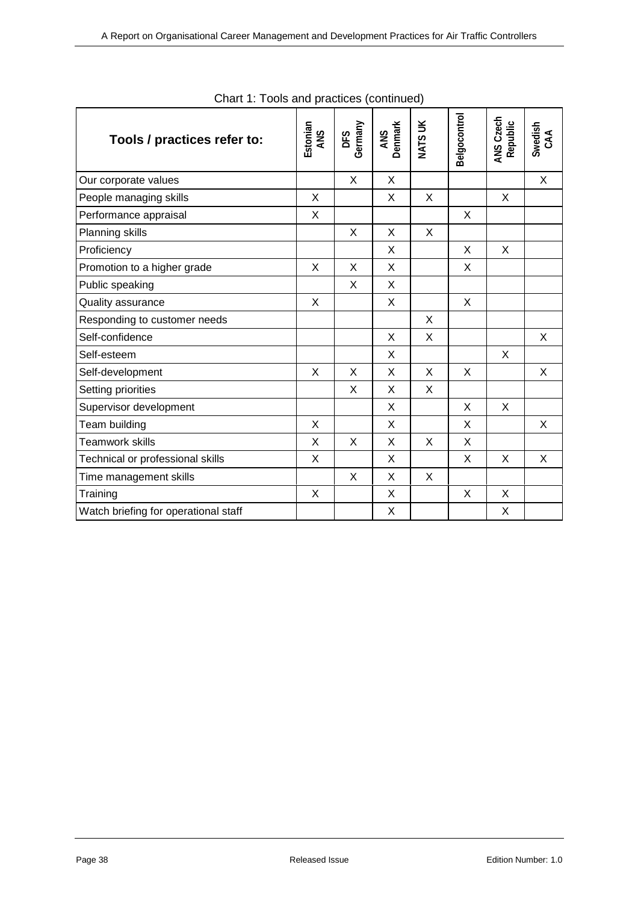|                                      |                 | `              |                | $\overline{\phantom{a}}$ |              |                       |                |
|--------------------------------------|-----------------|----------------|----------------|--------------------------|--------------|-----------------------|----------------|
| Tools / practices refer to:          | Estonian<br>ANS | DFS<br>Germany | ANS<br>Denmark | NATS UK                  | Belgocontrol | ANS Czech<br>Republic | Swedish<br>CAA |
| Our corporate values                 |                 | X              | X              |                          |              |                       | X              |
| People managing skills               | X               |                | X              | X                        |              | X                     |                |
| Performance appraisal                | X               |                |                |                          | X            |                       |                |
| Planning skills                      |                 | X              | X              | X                        |              |                       |                |
| Proficiency                          |                 |                | X              |                          | X            | X                     |                |
| Promotion to a higher grade          | X               | X              | Χ              |                          | X            |                       |                |
| Public speaking                      |                 | X              | X              |                          |              |                       |                |
| Quality assurance                    | X               |                | X              |                          | X            |                       |                |
| Responding to customer needs         |                 |                |                | X                        |              |                       |                |
| Self-confidence                      |                 |                | X              | X                        |              |                       | X              |
| Self-esteem                          |                 |                | X              |                          |              | X                     |                |
| Self-development                     | X               | X              | X              | X                        | X            |                       | X              |
| Setting priorities                   |                 | X              | X              | X                        |              |                       |                |
| Supervisor development               |                 |                | X              |                          | X            | X                     |                |
| Team building                        | X               |                | X              |                          | X            |                       | X              |
| <b>Teamwork skills</b>               | X               | X              | X              | X                        | X            |                       |                |
| Technical or professional skills     | X               |                | X              |                          | X            | X                     | X              |
| Time management skills               |                 | X              | X              | X                        |              |                       |                |
| Training                             | X               |                | X              |                          | X            | X                     |                |
| Watch briefing for operational staff |                 |                | X              |                          |              | X                     |                |

Chart 1: Tools and practices (continued)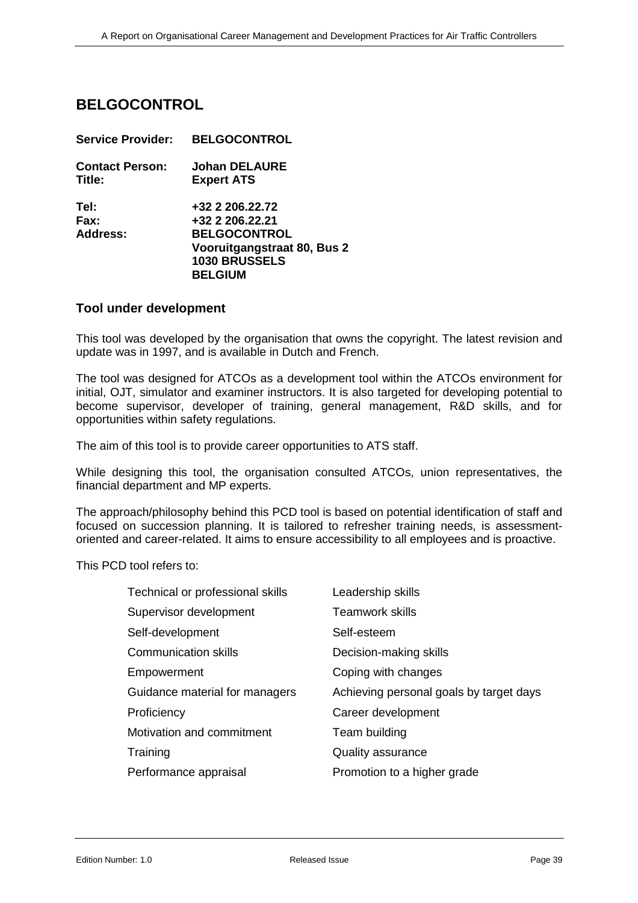# **BELGOCONTROL**

|                                  | Service Provider: BELGOCONTROL            |
|----------------------------------|-------------------------------------------|
| <b>Contact Person:</b><br>Title: | <b>Johan DELAURE</b><br><b>Expert ATS</b> |
| Tel:                             | +32 2 206.22.72                           |
| Fax:                             | +32 2 206.22.21                           |
| <b>Address:</b>                  | <b>BELGOCONTROL</b>                       |
|                                  | Vooruitgangstraat 80, Bus 2               |
|                                  | <b>1030 BRUSSELS</b>                      |
|                                  | <b>BELGIUM</b>                            |

## **Tool under development**

This tool was developed by the organisation that owns the copyright. The latest revision and update was in 1997, and is available in Dutch and French.

The tool was designed for ATCOs as a development tool within the ATCOs environment for initial, OJT, simulator and examiner instructors. It is also targeted for developing potential to become supervisor, developer of training, general management, R&D skills, and for opportunities within safety regulations.

The aim of this tool is to provide career opportunities to ATS staff.

While designing this tool, the organisation consulted ATCOs, union representatives, the financial department and MP experts.

The approach/philosophy behind this PCD tool is based on potential identification of staff and focused on succession planning. It is tailored to refresher training needs, is assessmentoriented and career-related. It aims to ensure accessibility to all employees and is proactive.

This PCD tool refers to:

| Technical or professional skills | Leadership skills                       |
|----------------------------------|-----------------------------------------|
| Supervisor development           | Teamwork skills                         |
| Self-development                 | Self-esteem                             |
| <b>Communication skills</b>      | Decision-making skills                  |
| Empowerment                      | Coping with changes                     |
| Guidance material for managers   | Achieving personal goals by target days |
| Proficiency                      | Career development                      |
| Motivation and commitment        | Team building                           |
| Training                         | <b>Quality assurance</b>                |
| Performance appraisal            | Promotion to a higher grade             |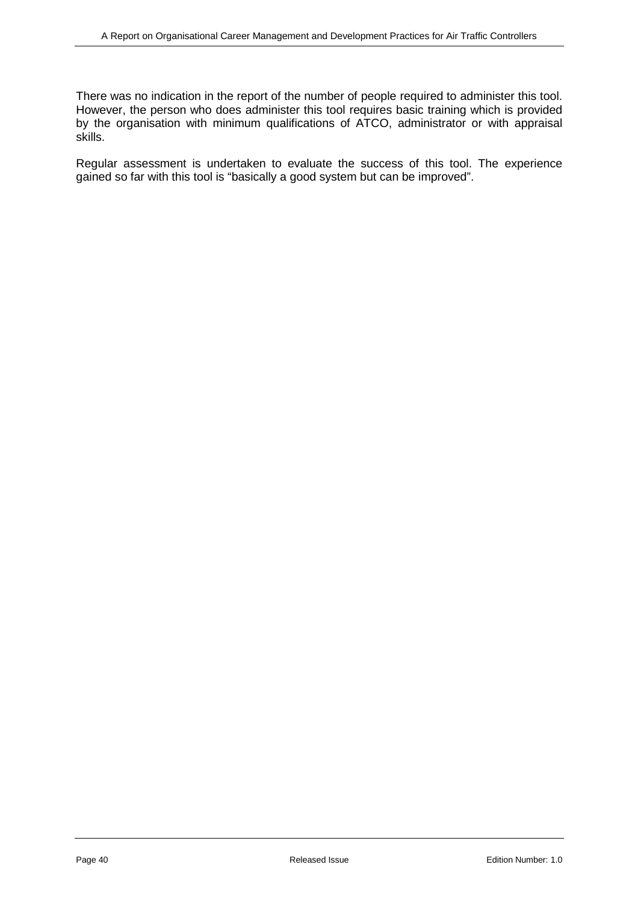There was no indication in the report of the number of people required to administer this tool. However, the person who does administer this tool requires basic training which is provided by the organisation with minimum qualifications of ATCO, administrator or with appraisal skills.

Regular assessment is undertaken to evaluate the success of this tool. The experience gained so far with this tool is "basically a good system but can be improved".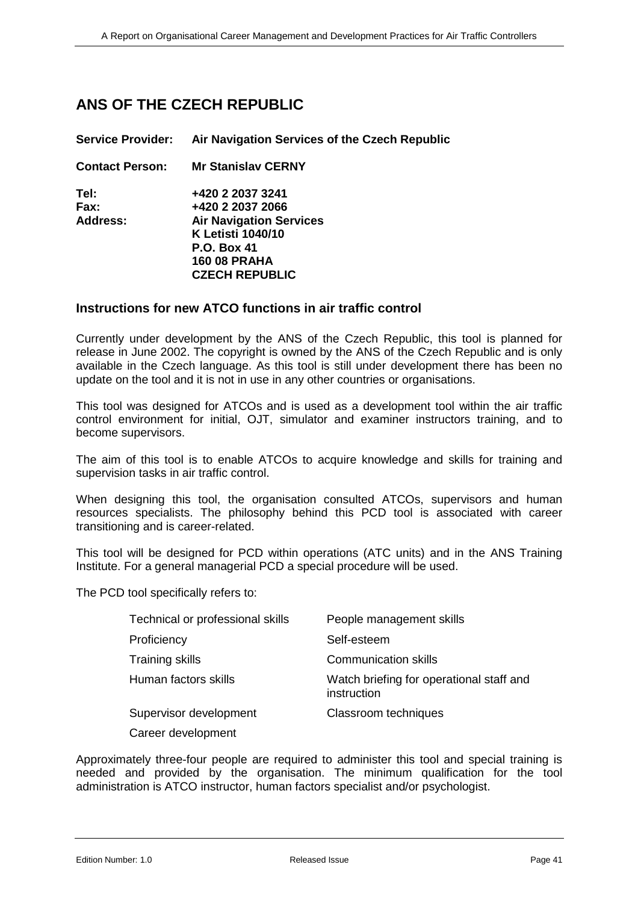# **ANS OF THE CZECH REPUBLIC**

**Service Provider: Air Navigation Services of the Czech Republic**

**Contact Person: Mr Stanislav CERNY Tel: +420 2 2037 3241 Fax: +420 2 2037 2066 Address: Air Navigation Services K Letisti 1040/10 P.O. Box 41 160 08 PRAHA CZECH REPUBLIC**

# **Instructions for new ATCO functions in air traffic control**

Currently under development by the ANS of the Czech Republic, this tool is planned for release in June 2002. The copyright is owned by the ANS of the Czech Republic and is only available in the Czech language. As this tool is still under development there has been no update on the tool and it is not in use in any other countries or organisations.

This tool was designed for ATCOs and is used as a development tool within the air traffic control environment for initial, OJT, simulator and examiner instructors training, and to become supervisors.

The aim of this tool is to enable ATCOs to acquire knowledge and skills for training and supervision tasks in air traffic control.

When designing this tool, the organisation consulted ATCOs, supervisors and human resources specialists. The philosophy behind this PCD tool is associated with career transitioning and is career-related.

This tool will be designed for PCD within operations (ATC units) and in the ANS Training Institute. For a general managerial PCD a special procedure will be used.

The PCD tool specifically refers to:

| Technical or professional skills | People management skills                                |
|----------------------------------|---------------------------------------------------------|
| Proficiency                      | Self-esteem                                             |
| Training skills                  | <b>Communication skills</b>                             |
| Human factors skills             | Watch briefing for operational staff and<br>instruction |
| Supervisor development           | Classroom techniques                                    |
| Career development               |                                                         |

Approximately three-four people are required to administer this tool and special training is needed and provided by the organisation. The minimum qualification for the tool administration is ATCO instructor, human factors specialist and/or psychologist.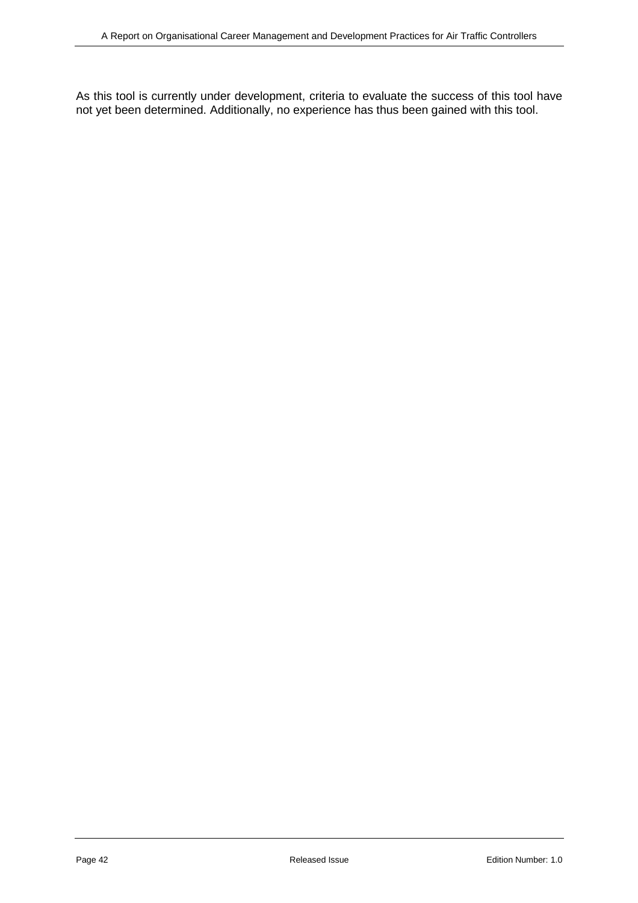As this tool is currently under development, criteria to evaluate the success of this tool have not yet been determined. Additionally, no experience has thus been gained with this tool.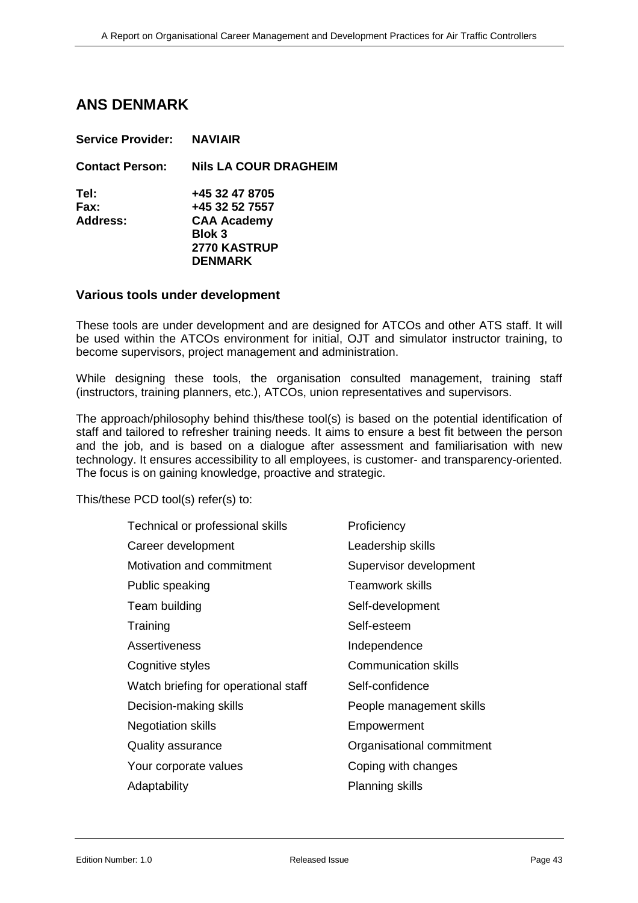# **ANS DENMARK**

| <b>Service Provider: NAVIAIR</b> |                                                                                                           |
|----------------------------------|-----------------------------------------------------------------------------------------------------------|
| <b>Contact Person:</b>           | Nils LA COUR DRAGHEIM                                                                                     |
| Tel:<br>Fax:<br><b>Address:</b>  | +45 32 47 8705<br>+45 32 52 7557<br><b>CAA Academy</b><br><b>Blok 3</b><br><b>2770 KASTRUP</b><br>DENMARK |

#### **Various tools under development**

These tools are under development and are designed for ATCOs and other ATS staff. It will be used within the ATCOs environment for initial, OJT and simulator instructor training, to become supervisors, project management and administration.

While designing these tools, the organisation consulted management, training staff (instructors, training planners, etc.), ATCOs, union representatives and supervisors.

The approach/philosophy behind this/these tool(s) is based on the potential identification of staff and tailored to refresher training needs. It aims to ensure a best fit between the person and the job, and is based on a dialogue after assessment and familiarisation with new technology. It ensures accessibility to all employees, is customer- and transparency-oriented. The focus is on gaining knowledge, proactive and strategic.

This/these PCD tool(s) refer(s) to:

| Technical or professional skills     | Proficiency                 |
|--------------------------------------|-----------------------------|
| Career development                   | Leadership skills           |
| Motivation and commitment            | Supervisor development      |
| Public speaking                      | Teamwork skills             |
| Team building                        | Self-development            |
| Training                             | Self-esteem                 |
| <b>Assertiveness</b>                 | Independence                |
| Cognitive styles                     | <b>Communication skills</b> |
| Watch briefing for operational staff | Self-confidence             |
| Decision-making skills               | People management skills    |
| <b>Negotiation skills</b>            | Empowerment                 |
| <b>Quality assurance</b>             | Organisational commitment   |
| Your corporate values                | Coping with changes         |
| Adaptability                         | Planning skills             |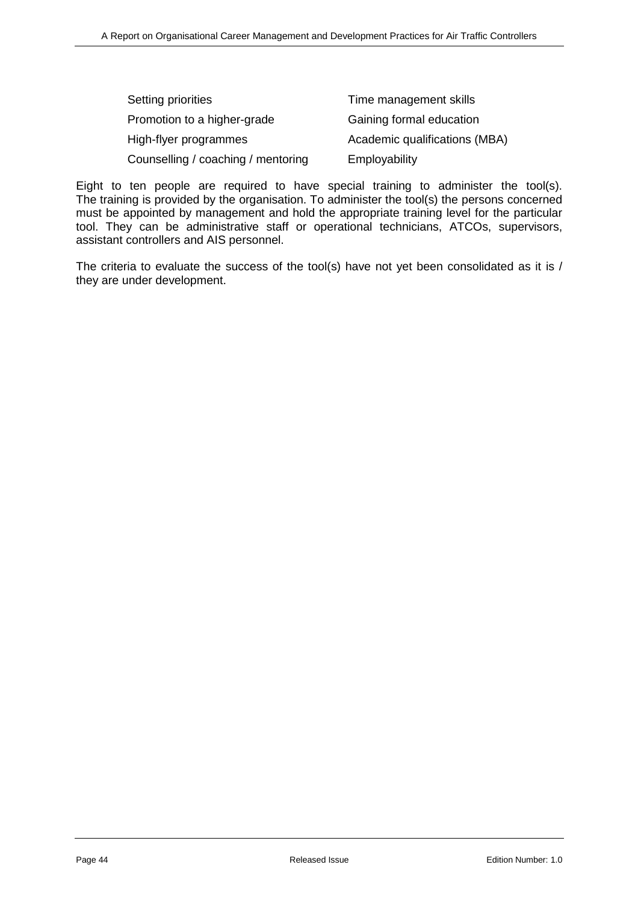| Setting priorities                 | Time management skills        |
|------------------------------------|-------------------------------|
| Promotion to a higher-grade        | Gaining formal education      |
| High-flyer programmes              | Academic qualifications (MBA) |
| Counselling / coaching / mentoring | Employability                 |

Eight to ten people are required to have special training to administer the tool(s). The training is provided by the organisation. To administer the tool(s) the persons concerned must be appointed by management and hold the appropriate training level for the particular tool. They can be administrative staff or operational technicians, ATCOs, supervisors, assistant controllers and AIS personnel.

The criteria to evaluate the success of the tool(s) have not yet been consolidated as it is / they are under development.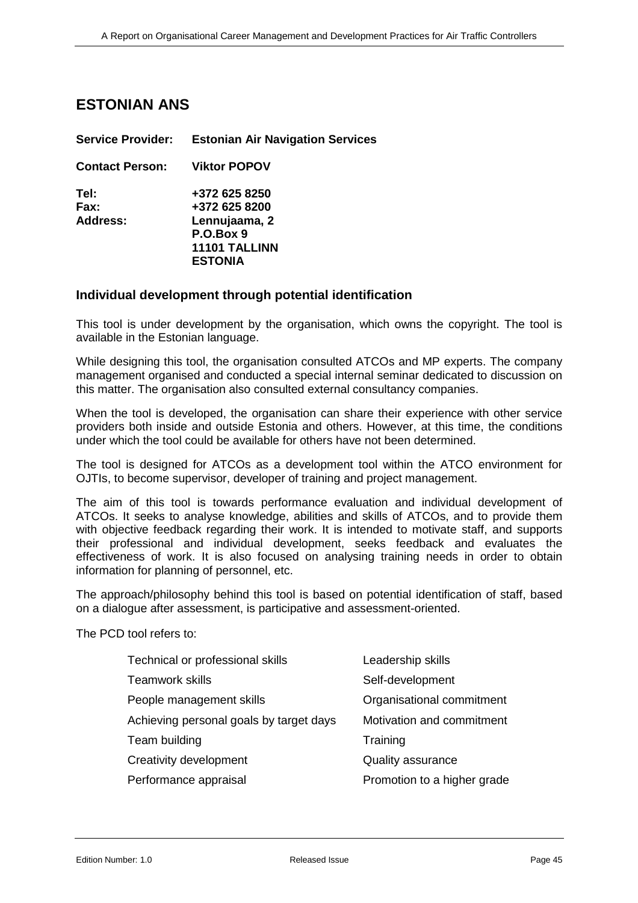# **ESTONIAN ANS**

| <b>Service Provider:</b> | <b>Estonian Air Navigation Services</b> |
|--------------------------|-----------------------------------------|
| <b>Contact Person:</b>   | <b>Viktor POPOV</b>                     |
| Tel:                     | +372 625 8250                           |
| Fax:                     | +372 625 8200                           |
| <b>Address:</b>          | Lennujaama, 2                           |
|                          | P.O.Box 9                               |
|                          | 11101 TALLINN                           |
|                          | <b>ESTONIA</b>                          |
|                          |                                         |

## **Individual development through potential identification**

This tool is under development by the organisation, which owns the copyright. The tool is available in the Estonian language.

While designing this tool, the organisation consulted ATCOs and MP experts. The company management organised and conducted a special internal seminar dedicated to discussion on this matter. The organisation also consulted external consultancy companies.

When the tool is developed, the organisation can share their experience with other service providers both inside and outside Estonia and others. However, at this time, the conditions under which the tool could be available for others have not been determined.

The tool is designed for ATCOs as a development tool within the ATCO environment for OJTIs, to become supervisor, developer of training and project management.

The aim of this tool is towards performance evaluation and individual development of ATCOs. It seeks to analyse knowledge, abilities and skills of ATCOs, and to provide them with objective feedback regarding their work. It is intended to motivate staff, and supports their professional and individual development, seeks feedback and evaluates the effectiveness of work. It is also focused on analysing training needs in order to obtain information for planning of personnel, etc.

The approach/philosophy behind this tool is based on potential identification of staff, based on a dialogue after assessment, is participative and assessment-oriented.

The PCD tool refers to:

| Technical or professional skills        | Leadership skills           |
|-----------------------------------------|-----------------------------|
| Teamwork skills                         | Self-development            |
| People management skills                | Organisational commitment   |
| Achieving personal goals by target days | Motivation and commitment   |
| Team building                           | Training                    |
| Creativity development                  | <b>Quality assurance</b>    |
| Performance appraisal                   | Promotion to a higher grade |
|                                         |                             |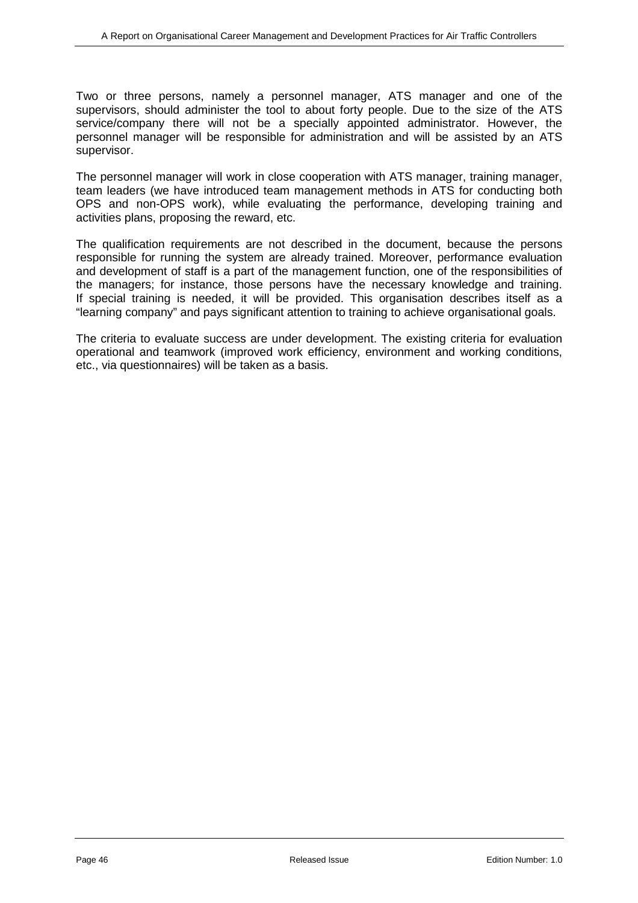Two or three persons, namely a personnel manager, ATS manager and one of the supervisors, should administer the tool to about forty people. Due to the size of the ATS service/company there will not be a specially appointed administrator. However, the personnel manager will be responsible for administration and will be assisted by an ATS supervisor.

The personnel manager will work in close cooperation with ATS manager, training manager, team leaders (we have introduced team management methods in ATS for conducting both OPS and non-OPS work), while evaluating the performance, developing training and activities plans, proposing the reward, etc.

The qualification requirements are not described in the document, because the persons responsible for running the system are already trained. Moreover, performance evaluation and development of staff is a part of the management function, one of the responsibilities of the managers; for instance, those persons have the necessary knowledge and training. If special training is needed, it will be provided. This organisation describes itself as a "learning company" and pays significant attention to training to achieve organisational goals.

The criteria to evaluate success are under development. The existing criteria for evaluation operational and teamwork (improved work efficiency, environment and working conditions, etc., via questionnaires) will be taken as a basis.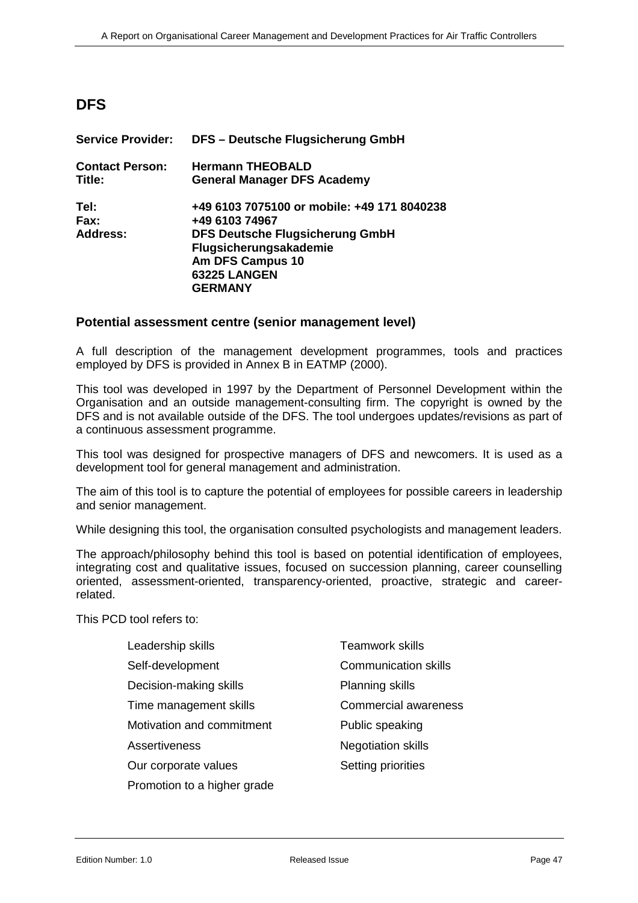# **DFS**

| <b>Service Provider:</b> | DFS - Deutsche Flugsicherung GmbH           |
|--------------------------|---------------------------------------------|
| <b>Contact Person:</b>   | <b>Hermann THEOBALD</b>                     |
| Title:                   | <b>General Manager DFS Academy</b>          |
| Tel:                     | +49 6103 7075100 or mobile: +49 171 8040238 |
| <b>Fax:</b>              | +49 6103 74967                              |
| <b>Address:</b>          | <b>DFS Deutsche Flugsicherung GmbH</b>      |
|                          | Flugsicherungsakademie                      |
|                          | Am DFS Campus 10                            |
|                          | 63225 LANGEN                                |
|                          | <b>GERMANY</b>                              |

## **Potential assessment centre (senior management level)**

A full description of the management development programmes, tools and practices employed by DFS is provided in Annex B in EATMP (2000).

This tool was developed in 1997 by the Department of Personnel Development within the Organisation and an outside management-consulting firm. The copyright is owned by the DFS and is not available outside of the DFS. The tool undergoes updates/revisions as part of a continuous assessment programme.

This tool was designed for prospective managers of DFS and newcomers. It is used as a development tool for general management and administration.

The aim of this tool is to capture the potential of employees for possible careers in leadership and senior management.

While designing this tool, the organisation consulted psychologists and management leaders.

The approach/philosophy behind this tool is based on potential identification of employees, integrating cost and qualitative issues, focused on succession planning, career counselling oriented, assessment-oriented, transparency-oriented, proactive, strategic and careerrelated.

This PCD tool refers to:

| Leadership skills           | <b>Teamwork skills</b>      |
|-----------------------------|-----------------------------|
| Self-development            | <b>Communication skills</b> |
| Decision-making skills      | <b>Planning skills</b>      |
| Time management skills      | <b>Commercial awareness</b> |
| Motivation and commitment   | Public speaking             |
| Assertiveness               | <b>Negotiation skills</b>   |
| Our corporate values        | Setting priorities          |
| Promotion to a higher grade |                             |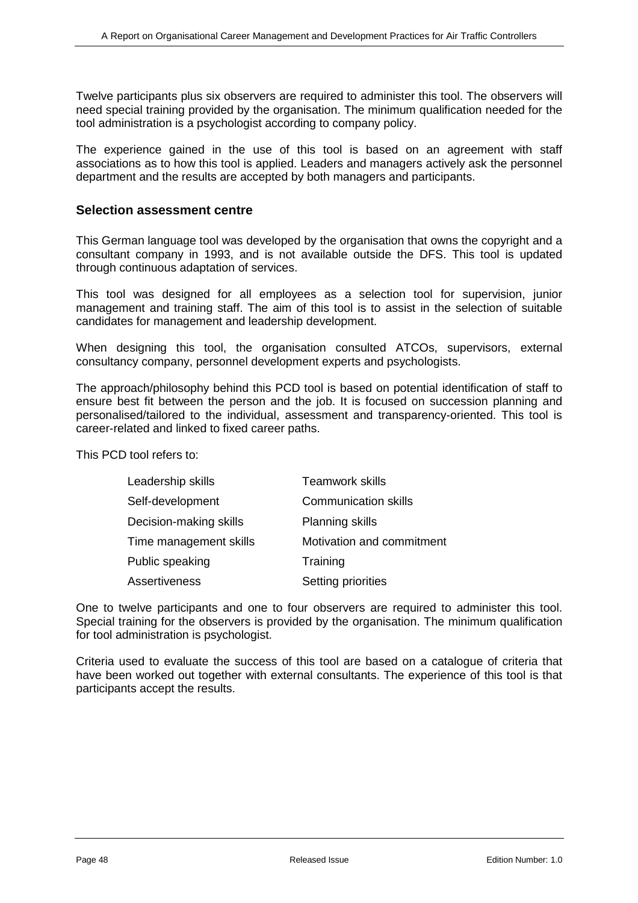Twelve participants plus six observers are required to administer this tool. The observers will need special training provided by the organisation. The minimum qualification needed for the tool administration is a psychologist according to company policy.

The experience gained in the use of this tool is based on an agreement with staff associations as to how this tool is applied. Leaders and managers actively ask the personnel department and the results are accepted by both managers and participants.

# **Selection assessment centre**

This German language tool was developed by the organisation that owns the copyright and a consultant company in 1993, and is not available outside the DFS. This tool is updated through continuous adaptation of services.

This tool was designed for all employees as a selection tool for supervision, junior management and training staff. The aim of this tool is to assist in the selection of suitable candidates for management and leadership development.

When designing this tool, the organisation consulted ATCOs, supervisors, external consultancy company, personnel development experts and psychologists.

The approach/philosophy behind this PCD tool is based on potential identification of staff to ensure best fit between the person and the job. It is focused on succession planning and personalised/tailored to the individual, assessment and transparency-oriented. This tool is career-related and linked to fixed career paths.

This PCD tool refers to:

| Leadership skills      | <b>Teamwork skills</b>      |
|------------------------|-----------------------------|
| Self-development       | <b>Communication skills</b> |
| Decision-making skills | <b>Planning skills</b>      |
| Time management skills | Motivation and commitment   |
| Public speaking        | Training                    |
| Assertiveness          | Setting priorities          |

One to twelve participants and one to four observers are required to administer this tool. Special training for the observers is provided by the organisation. The minimum qualification for tool administration is psychologist.

Criteria used to evaluate the success of this tool are based on a catalogue of criteria that have been worked out together with external consultants. The experience of this tool is that participants accept the results.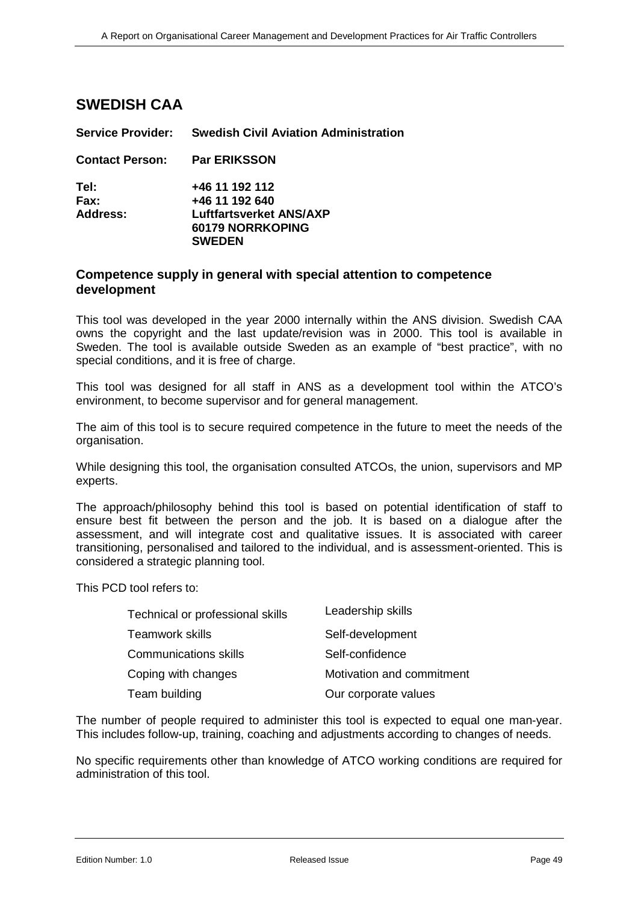# **SWEDISH CAA**

**Service Provider: Swedish Civil Aviation Administration**

| <b>Contact Person:</b> | <b>Par ERIKSSON</b>                                |
|------------------------|----------------------------------------------------|
| Tel:                   | +46 11 192 112                                     |
| Fax:                   | +46 11 192 640                                     |
| <b>Address:</b>        | <b>Luftfartsverket ANS/AXP</b><br>60179 NORRKOPING |

# **SWEDEN**

## **Competence supply in general with special attention to competence development**

This tool was developed in the year 2000 internally within the ANS division. Swedish CAA owns the copyright and the last update/revision was in 2000. This tool is available in Sweden. The tool is available outside Sweden as an example of "best practice", with no special conditions, and it is free of charge.

This tool was designed for all staff in ANS as a development tool within the ATCO's environment, to become supervisor and for general management.

The aim of this tool is to secure required competence in the future to meet the needs of the organisation.

While designing this tool, the organisation consulted ATCOs, the union, supervisors and MP experts.

The approach/philosophy behind this tool is based on potential identification of staff to ensure best fit between the person and the job. It is based on a dialogue after the assessment, and will integrate cost and qualitative issues. It is associated with career transitioning, personalised and tailored to the individual, and is assessment-oriented. This is considered a strategic planning tool.

This PCD tool refers to:

| Technical or professional skills | Leadership skills         |
|----------------------------------|---------------------------|
| Teamwork skills                  | Self-development          |
| <b>Communications skills</b>     | Self-confidence           |
| Coping with changes              | Motivation and commitment |
| Team building                    | Our corporate values      |
|                                  |                           |

The number of people required to administer this tool is expected to equal one man-year. This includes follow-up, training, coaching and adjustments according to changes of needs.

No specific requirements other than knowledge of ATCO working conditions are required for administration of this tool.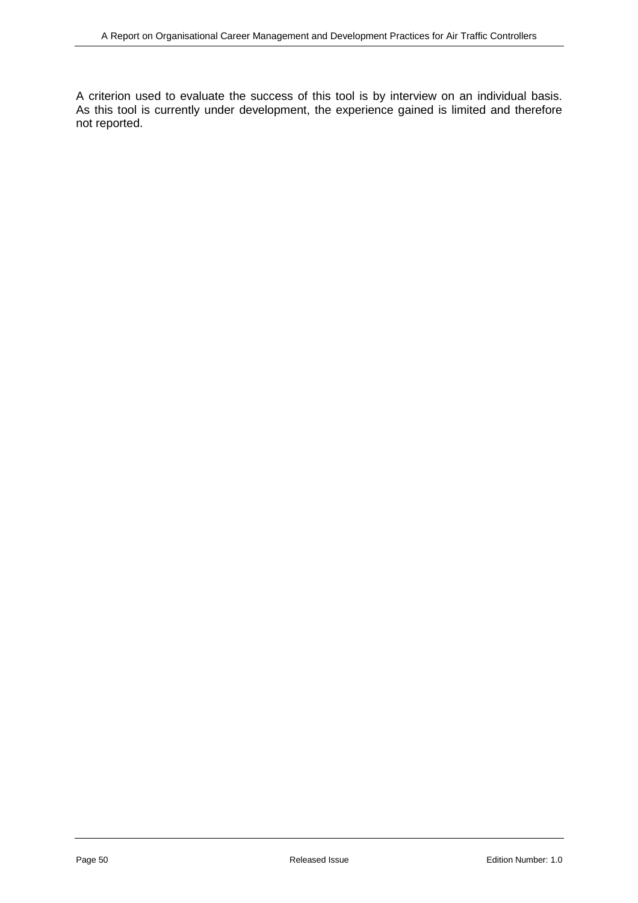A criterion used to evaluate the success of this tool is by interview on an individual basis. As this tool is currently under development, the experience gained is limited and therefore not reported.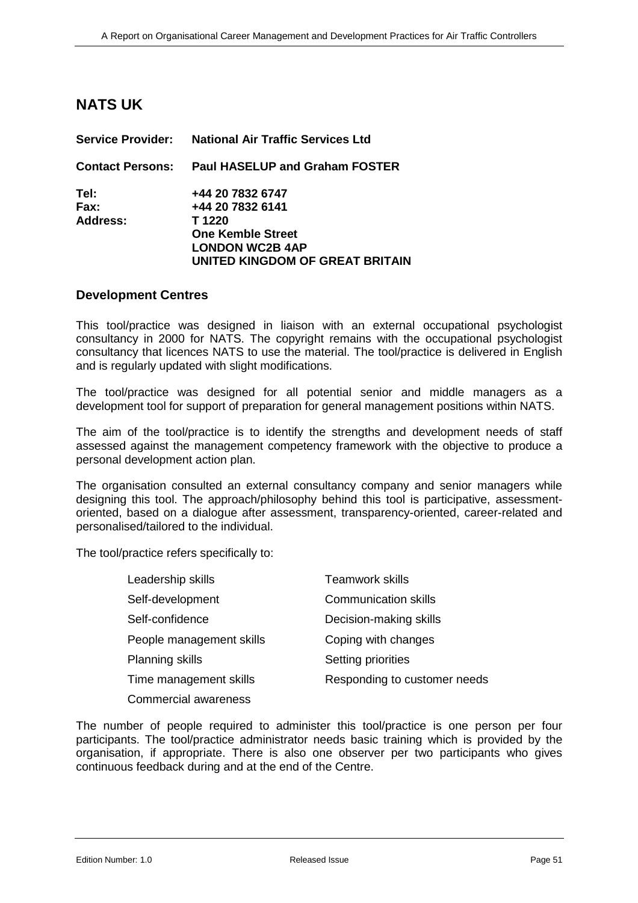# **NATS UK**

|                         | Service Provider: National Air Traffic Services Ltd |
|-------------------------|-----------------------------------------------------|
| <b>Contact Persons:</b> | <b>Paul HASELUP and Graham FOSTER</b>               |
| Tel:                    | +44 20 7832 6747                                    |
| Fax:                    | +44 20 7832 6141                                    |
| <b>Address:</b>         | T 1220                                              |
|                         | <b>One Kemble Street</b>                            |
|                         | <b>LONDON WC2B 4AP</b>                              |
|                         | UNITED KINGDOM OF GREAT BRITAIN                     |
|                         |                                                     |

## **Development Centres**

This tool/practice was designed in liaison with an external occupational psychologist consultancy in 2000 for NATS. The copyright remains with the occupational psychologist consultancy that licences NATS to use the material. The tool/practice is delivered in English and is regularly updated with slight modifications.

The tool/practice was designed for all potential senior and middle managers as a development tool for support of preparation for general management positions within NATS.

The aim of the tool/practice is to identify the strengths and development needs of staff assessed against the management competency framework with the objective to produce a personal development action plan.

The organisation consulted an external consultancy company and senior managers while designing this tool. The approach/philosophy behind this tool is participative, assessmentoriented, based on a dialogue after assessment, transparency-oriented, career-related and personalised/tailored to the individual.

The tool/practice refers specifically to:

| Leadership skills           | <b>Teamwork skills</b>       |
|-----------------------------|------------------------------|
| Self-development            | <b>Communication skills</b>  |
| Self-confidence             | Decision-making skills       |
| People management skills    | Coping with changes          |
| Planning skills             | Setting priorities           |
| Time management skills      | Responding to customer needs |
| <b>Commercial awareness</b> |                              |

The number of people required to administer this tool/practice is one person per four participants. The tool/practice administrator needs basic training which is provided by the organisation, if appropriate. There is also one observer per two participants who gives continuous feedback during and at the end of the Centre.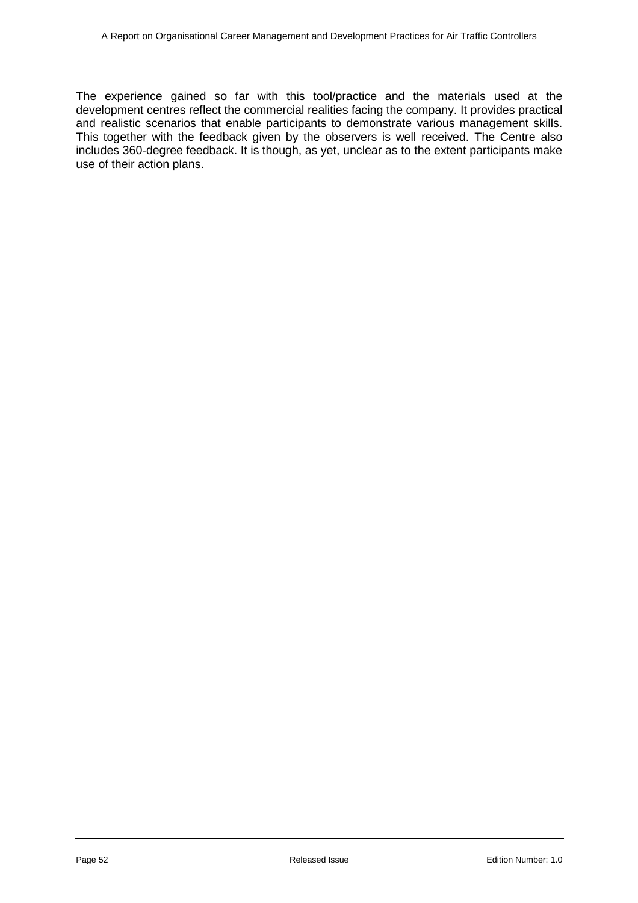The experience gained so far with this tool/practice and the materials used at the development centres reflect the commercial realities facing the company. It provides practical and realistic scenarios that enable participants to demonstrate various management skills. This together with the feedback given by the observers is well received. The Centre also includes 360-degree feedback. It is though, as yet, unclear as to the extent participants make use of their action plans.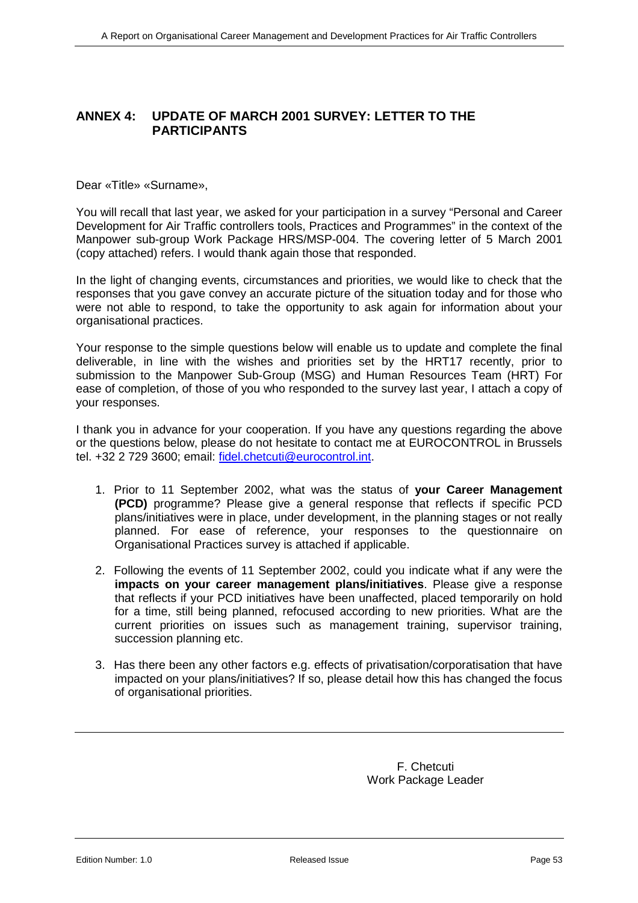# **ANNEX 4: UPDATE OF MARCH 2001 SURVEY: LETTER TO THE PARTICIPANTS**

Dear «Title» «Surname»,

You will recall that last year, we asked for your participation in a survey "Personal and Career Development for Air Traffic controllers tools, Practices and Programmes" in the context of the Manpower sub-group Work Package HRS/MSP-004. The covering letter of 5 March 2001 (copy attached) refers. I would thank again those that responded.

In the light of changing events, circumstances and priorities, we would like to check that the responses that you gave convey an accurate picture of the situation today and for those who were not able to respond, to take the opportunity to ask again for information about your organisational practices.

Your response to the simple questions below will enable us to update and complete the final deliverable, in line with the wishes and priorities set by the HRT17 recently, prior to submission to the Manpower Sub-Group (MSG) and Human Resources Team (HRT) For ease of completion, of those of you who responded to the survey last year, I attach a copy of your responses.

I thank you in advance for your cooperation. If you have any questions regarding the above or the questions below, please do not hesitate to contact me at EUROCONTROL in Brussels tel. +32 2 729 3600; email: fidel.chetcuti@eurocontrol.int.

- 1. Prior to 11 September 2002, what was the status of **your Career Management (PCD)** programme? Please give a general response that reflects if specific PCD plans/initiatives were in place, under development, in the planning stages or not really planned. For ease of reference, your responses to the questionnaire on Organisational Practices survey is attached if applicable.
- 2. Following the events of 11 September 2002, could you indicate what if any were the **impacts on your career management plans/initiatives**. Please give a response that reflects if your PCD initiatives have been unaffected, placed temporarily on hold for a time, still being planned, refocused according to new priorities. What are the current priorities on issues such as management training, supervisor training, succession planning etc.
- 3. Has there been any other factors e.g. effects of privatisation/corporatisation that have impacted on your plans/initiatives? If so, please detail how this has changed the focus of organisational priorities.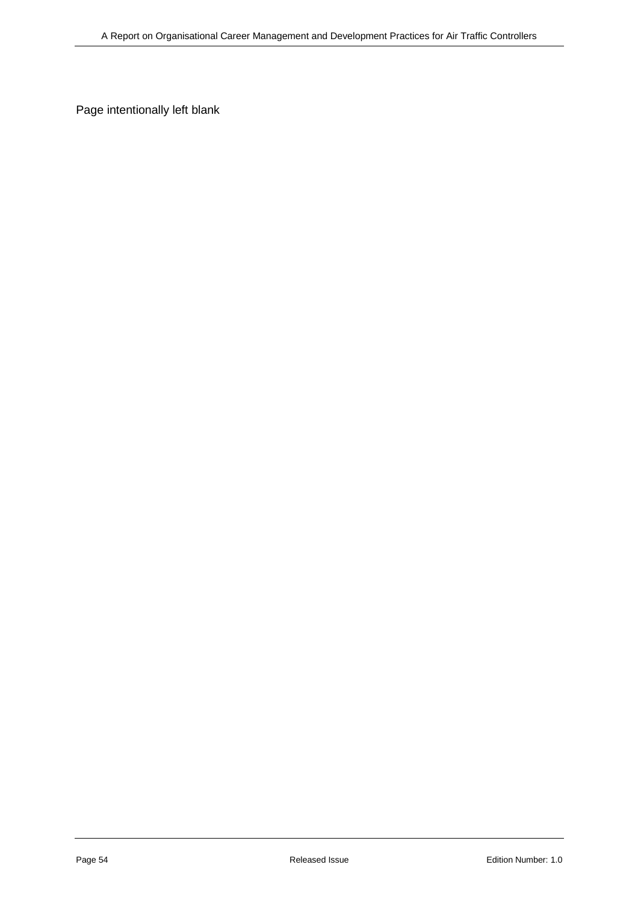Page intentionally left blank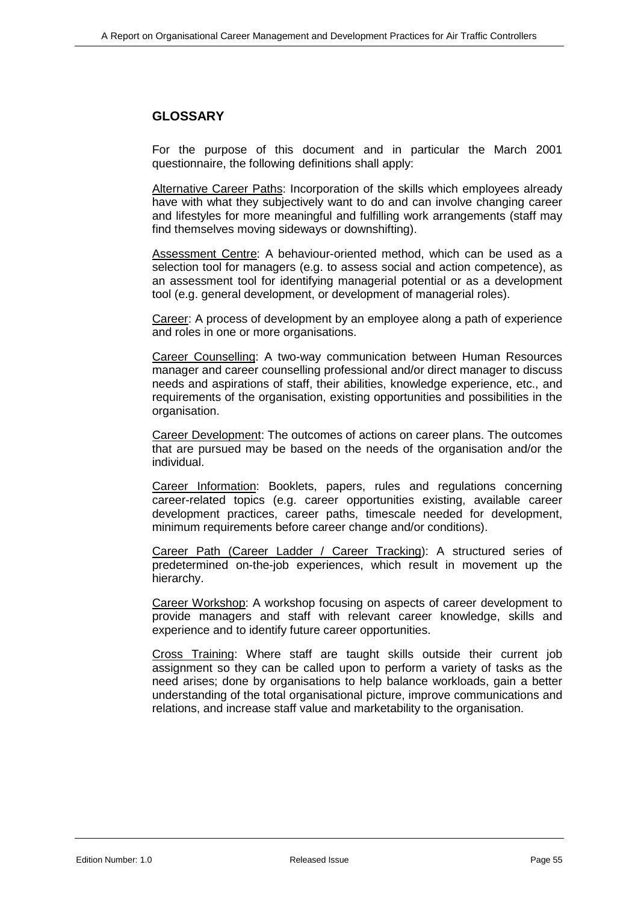## **GLOSSARY**

For the purpose of this document and in particular the March 2001 questionnaire, the following definitions shall apply:

Alternative Career Paths: Incorporation of the skills which employees already have with what they subjectively want to do and can involve changing career and lifestyles for more meaningful and fulfilling work arrangements (staff may find themselves moving sideways or downshifting).

Assessment Centre: A behaviour-oriented method, which can be used as a selection tool for managers (e.g. to assess social and action competence), as an assessment tool for identifying managerial potential or as a development tool (e.g. general development, or development of managerial roles).

Career: A process of development by an employee along a path of experience and roles in one or more organisations.

Career Counselling: A two-way communication between Human Resources manager and career counselling professional and/or direct manager to discuss needs and aspirations of staff, their abilities, knowledge experience, etc., and requirements of the organisation, existing opportunities and possibilities in the organisation.

Career Development: The outcomes of actions on career plans. The outcomes that are pursued may be based on the needs of the organisation and/or the individual.

Career Information: Booklets, papers, rules and regulations concerning career-related topics (e.g. career opportunities existing, available career development practices, career paths, timescale needed for development, minimum requirements before career change and/or conditions).

Career Path (Career Ladder / Career Tracking): A structured series of predetermined on-the-job experiences, which result in movement up the hierarchy.

Career Workshop: A workshop focusing on aspects of career development to provide managers and staff with relevant career knowledge, skills and experience and to identify future career opportunities.

Cross Training: Where staff are taught skills outside their current job assignment so they can be called upon to perform a variety of tasks as the need arises; done by organisations to help balance workloads, gain a better understanding of the total organisational picture, improve communications and relations, and increase staff value and marketability to the organisation.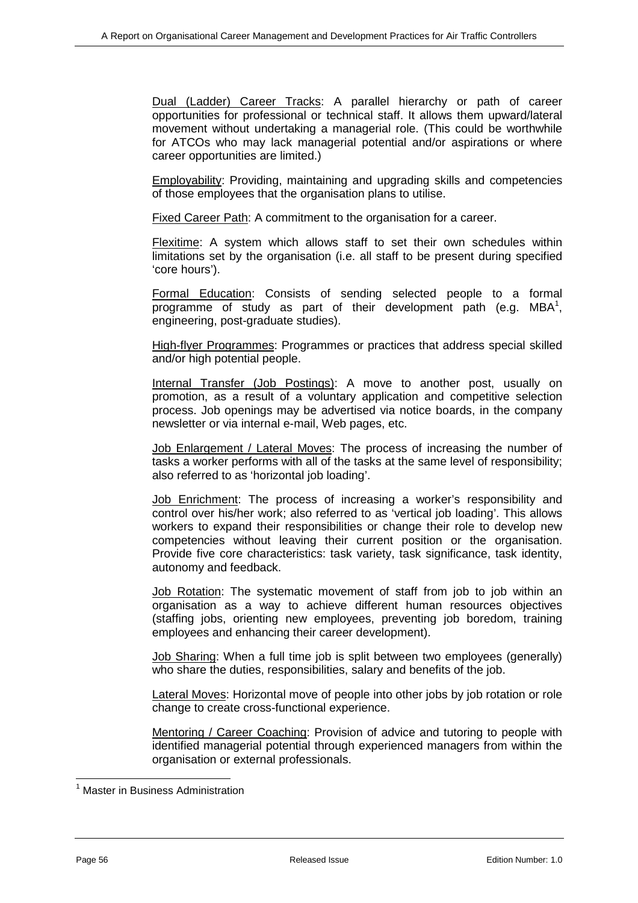Dual (Ladder) Career Tracks: A parallel hierarchy or path of career opportunities for professional or technical staff. It allows them upward/lateral movement without undertaking a managerial role. (This could be worthwhile for ATCOs who may lack managerial potential and/or aspirations or where career opportunities are limited.)

Employability: Providing, maintaining and upgrading skills and competencies of those employees that the organisation plans to utilise.

Fixed Career Path: A commitment to the organisation for a career.

Flexitime: A system which allows staff to set their own schedules within limitations set by the organisation (i.e. all staff to be present during specified 'core hours').

Formal Education: Consists of sending selected people to a formal programme of study as part of their development path (e.g.  $MBA<sup>1</sup>$ , engineering, post-graduate studies).

High-flyer Programmes: Programmes or practices that address special skilled and/or high potential people.

Internal Transfer (Job Postings): A move to another post, usually on promotion, as a result of a voluntary application and competitive selection process. Job openings may be advertised via notice boards, in the company newsletter or via internal e-mail, Web pages, etc.

Job Enlargement / Lateral Moves: The process of increasing the number of tasks a worker performs with all of the tasks at the same level of responsibility; also referred to as 'horizontal job loading'.

Job Enrichment: The process of increasing a worker's responsibility and control over his/her work; also referred to as 'vertical job loading'. This allows workers to expand their responsibilities or change their role to develop new competencies without leaving their current position or the organisation. Provide five core characteristics: task variety, task significance, task identity, autonomy and feedback.

Job Rotation: The systematic movement of staff from job to job within an organisation as a way to achieve different human resources objectives (staffing jobs, orienting new employees, preventing job boredom, training employees and enhancing their career development).

Job Sharing: When a full time job is split between two employees (generally) who share the duties, responsibilities, salary and benefits of the job.

Lateral Moves: Horizontal move of people into other jobs by job rotation or role change to create cross-functional experience.

Mentoring / Career Coaching: Provision of advice and tutoring to people with identified managerial potential through experienced managers from within the organisation or external professionals.

<sup>&</sup>lt;sup>1</sup> Master in Business Administration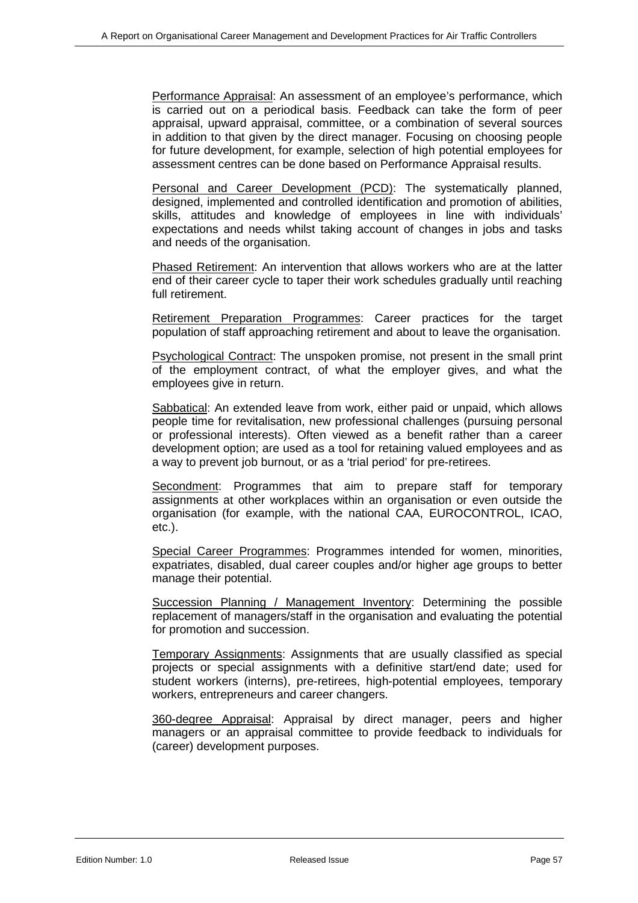Performance Appraisal: An assessment of an employee's performance, which is carried out on a periodical basis. Feedback can take the form of peer appraisal, upward appraisal, committee, or a combination of several sources in addition to that given by the direct manager. Focusing on choosing people for future development, for example, selection of high potential employees for assessment centres can be done based on Performance Appraisal results.

Personal and Career Development (PCD): The systematically planned, designed, implemented and controlled identification and promotion of abilities, skills, attitudes and knowledge of employees in line with individuals' expectations and needs whilst taking account of changes in jobs and tasks and needs of the organisation.

Phased Retirement: An intervention that allows workers who are at the latter end of their career cycle to taper their work schedules gradually until reaching full retirement.

Retirement Preparation Programmes: Career practices for the target population of staff approaching retirement and about to leave the organisation.

Psychological Contract: The unspoken promise, not present in the small print of the employment contract, of what the employer gives, and what the employees give in return.

Sabbatical: An extended leave from work, either paid or unpaid, which allows people time for revitalisation, new professional challenges (pursuing personal or professional interests). Often viewed as a benefit rather than a career development option; are used as a tool for retaining valued employees and as a way to prevent job burnout, or as a 'trial period' for pre-retirees.

Secondment: Programmes that aim to prepare staff for temporary assignments at other workplaces within an organisation or even outside the organisation (for example, with the national CAA, EUROCONTROL, ICAO, etc.).

Special Career Programmes: Programmes intended for women, minorities, expatriates, disabled, dual career couples and/or higher age groups to better manage their potential.

Succession Planning / Management Inventory: Determining the possible replacement of managers/staff in the organisation and evaluating the potential for promotion and succession.

Temporary Assignments: Assignments that are usually classified as special projects or special assignments with a definitive start/end date; used for student workers (interns), pre-retirees, high-potential employees, temporary workers, entrepreneurs and career changers.

360-degree Appraisal: Appraisal by direct manager, peers and higher managers or an appraisal committee to provide feedback to individuals for (career) development purposes.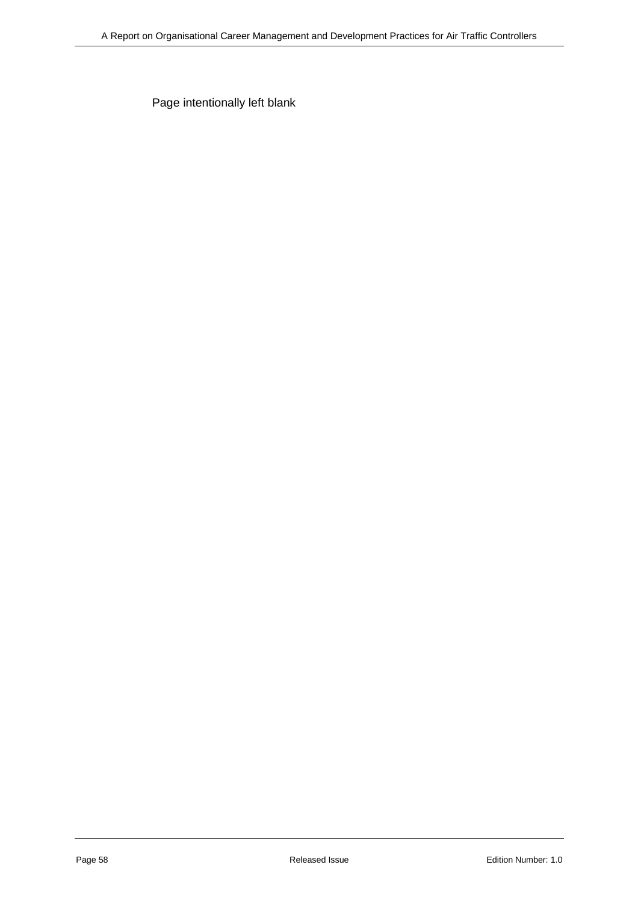Page intentionally left blank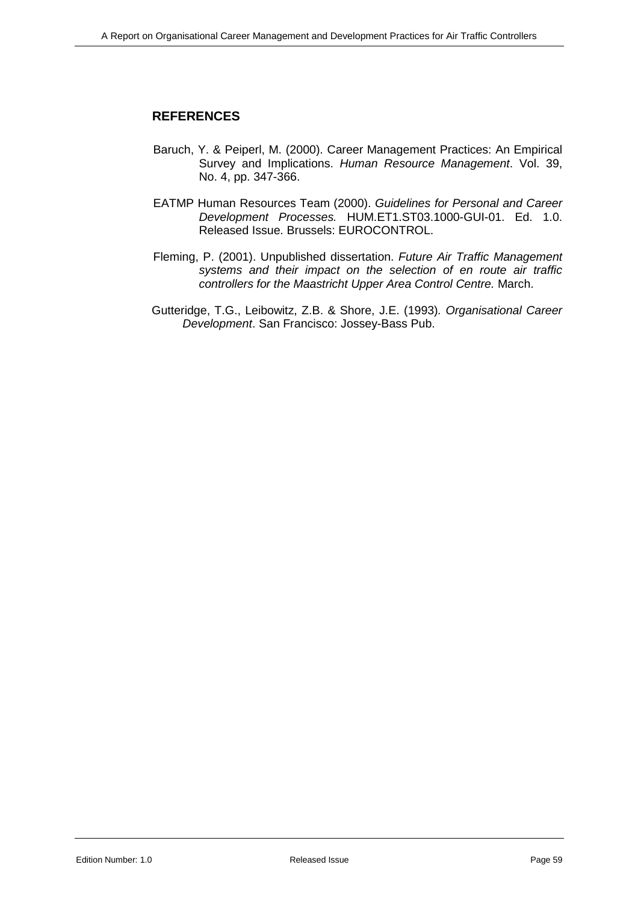# **REFERENCES**

- Baruch, Y. & Peiperl, M. (2000). Career Management Practices: An Empirical Survey and Implications. *Human Resource Management*. Vol. 39, No. 4, pp. 347-366.
- EATMP Human Resources Team (2000). *Guidelines for Personal and Career Development Processes.* HUM.ET1.ST03.1000-GUI-01. Ed. 1.0. Released Issue. Brussels: EUROCONTROL.
- Fleming, P. (2001). Unpublished dissertation. *Future Air Traffic Management systems and their impact on the selection of en route air traffic controllers for the Maastricht Upper Area Control Centre.* March.
- Gutteridge, T.G., Leibowitz, Z.B. & Shore, J.E. (1993)*. Organisational Career Development*. San Francisco: Jossey-Bass Pub.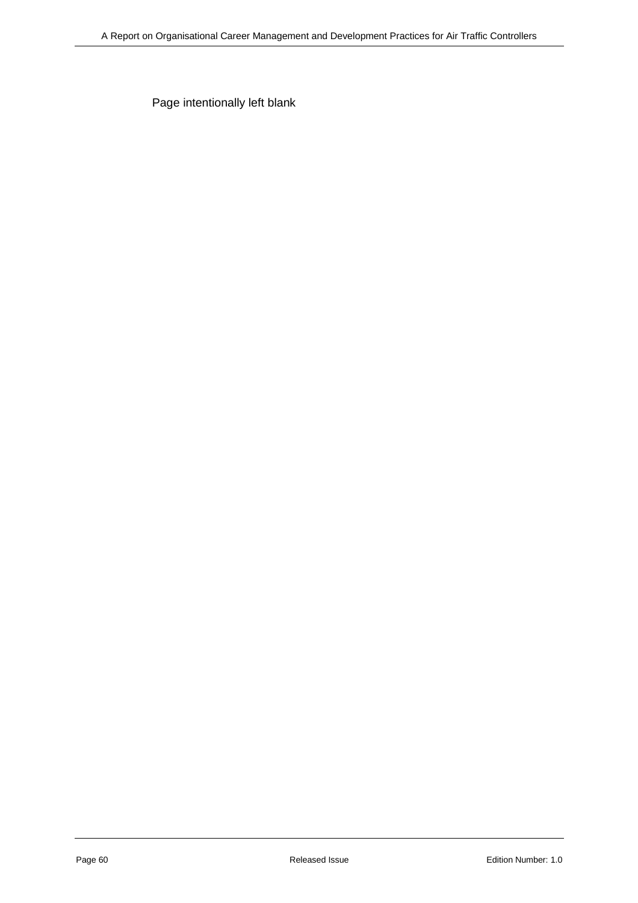Page intentionally left blank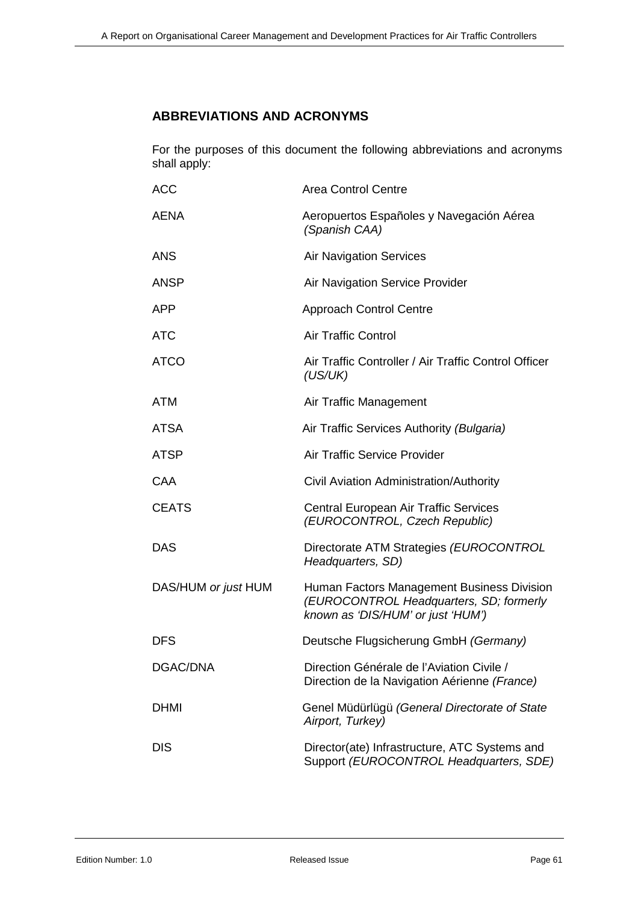# **ABBREVIATIONS AND ACRONYMS**

For the purposes of this document the following abbreviations and acronyms shall apply:

| <b>ACC</b>          | <b>Area Control Centre</b>                                                                                                 |
|---------------------|----------------------------------------------------------------------------------------------------------------------------|
| AENA                | Aeropuertos Españoles y Navegación Aérea<br>(Spanish CAA)                                                                  |
| ANS                 | <b>Air Navigation Services</b>                                                                                             |
| ANSP                | Air Navigation Service Provider                                                                                            |
| APP                 | <b>Approach Control Centre</b>                                                                                             |
| ATC                 | <b>Air Traffic Control</b>                                                                                                 |
| ATCO                | Air Traffic Controller / Air Traffic Control Officer<br>(US/UK)                                                            |
| <b>ATM</b>          | Air Traffic Management                                                                                                     |
| <b>ATSA</b>         | Air Traffic Services Authority (Bulgaria)                                                                                  |
| ATSP                | Air Traffic Service Provider                                                                                               |
| CAA                 | Civil Aviation Administration/Authority                                                                                    |
| <b>CEATS</b>        | <b>Central European Air Traffic Services</b><br>(EUROCONTROL, Czech Republic)                                              |
| <b>DAS</b>          | Directorate ATM Strategies (EUROCONTROL<br>Headquarters, SD)                                                               |
| DAS/HUM or just HUM | Human Factors Management Business Division<br>(EUROCONTROL Headquarters, SD; formerly<br>known as 'DIS/HUM' or just 'HUM') |
| <b>DFS</b>          | Deutsche Flugsicherung GmbH (Germany)                                                                                      |
| DGAC/DNA            | Direction Générale de l'Aviation Civile /<br>Direction de la Navigation Aérienne (France)                                  |
| <b>DHMI</b>         | Genel Müdürlügü (General Directorate of State<br>Airport, Turkey)                                                          |
| DIS                 | Director(ate) Infrastructure, ATC Systems and<br>Support (EUROCONTROL Headquarters, SDE)                                   |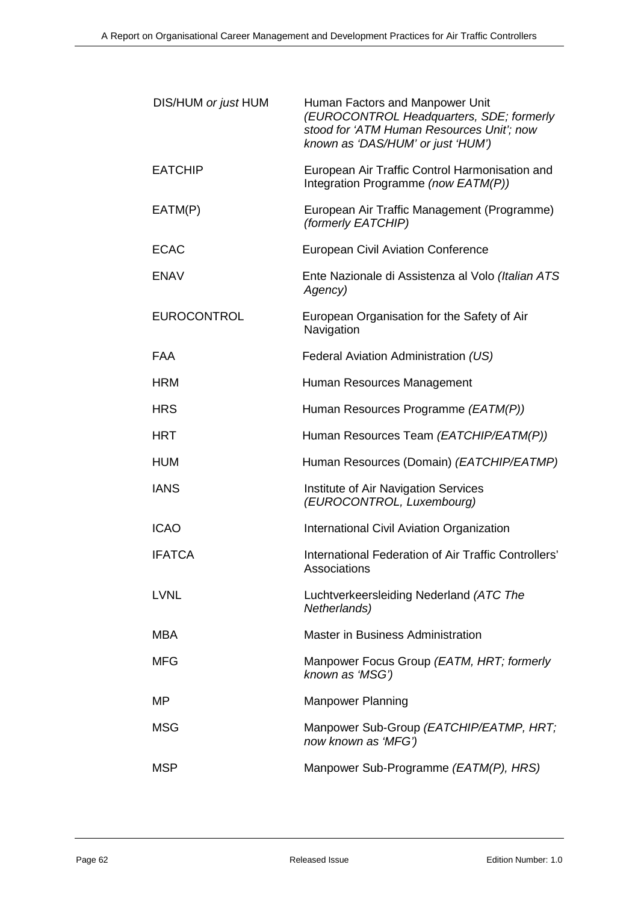| DIS/HUM or just HUM | Human Factors and Manpower Unit<br>(EUROCONTROL Headquarters, SDE; formerly<br>stood for 'ATM Human Resources Unit'; now<br>known as 'DAS/HUM' or just 'HUM') |
|---------------------|---------------------------------------------------------------------------------------------------------------------------------------------------------------|
| <b>EATCHIP</b>      | European Air Traffic Control Harmonisation and<br>Integration Programme (now EATM(P))                                                                         |
| EATM(P)             | European Air Traffic Management (Programme)<br>(formerly EATCHIP)                                                                                             |
| <b>ECAC</b>         | <b>European Civil Aviation Conference</b>                                                                                                                     |
| <b>ENAV</b>         | Ente Nazionale di Assistenza al Volo (Italian ATS<br>Agency)                                                                                                  |
| <b>EUROCONTROL</b>  | European Organisation for the Safety of Air<br>Navigation                                                                                                     |
| <b>FAA</b>          | Federal Aviation Administration (US)                                                                                                                          |
| <b>HRM</b>          | Human Resources Management                                                                                                                                    |
| <b>HRS</b>          | Human Resources Programme (EATM(P))                                                                                                                           |
| HRT                 | Human Resources Team (EATCHIP/EATM(P))                                                                                                                        |
| <b>HUM</b>          | Human Resources (Domain) (EATCHIP/EATMP)                                                                                                                      |
| <b>IANS</b>         | Institute of Air Navigation Services<br>(EUROCONTROL, Luxembourg)                                                                                             |
| <b>ICAO</b>         | <b>International Civil Aviation Organization</b>                                                                                                              |
| <b>IFATCA</b>       | International Federation of Air Traffic Controllers'<br>Associations                                                                                          |
| <b>LVNL</b>         | Luchtverkeersleiding Nederland (ATC The<br>Netherlands)                                                                                                       |
| <b>MBA</b>          | Master in Business Administration                                                                                                                             |
| <b>MFG</b>          | Manpower Focus Group (EATM, HRT; formerly<br>known as 'MSG')                                                                                                  |
| MP                  | <b>Manpower Planning</b>                                                                                                                                      |
| <b>MSG</b>          | Manpower Sub-Group (EATCHIP/EATMP, HRT;<br>now known as 'MFG')                                                                                                |
| <b>MSP</b>          | Manpower Sub-Programme (EATM(P), HRS)                                                                                                                         |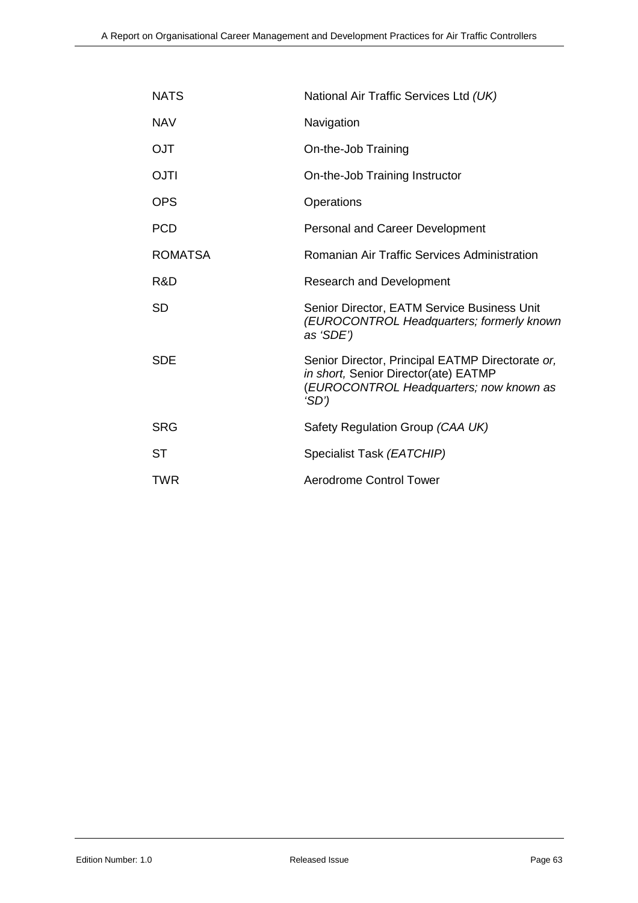| <b>NATS</b>    | National Air Traffic Services Ltd (UK)                                                                                                       |
|----------------|----------------------------------------------------------------------------------------------------------------------------------------------|
| <b>NAV</b>     | Navigation                                                                                                                                   |
| <b>OJT</b>     | On-the-Job Training                                                                                                                          |
| <b>OJTI</b>    | On-the-Job Training Instructor                                                                                                               |
| <b>OPS</b>     | Operations                                                                                                                                   |
| <b>PCD</b>     | <b>Personal and Career Development</b>                                                                                                       |
| <b>ROMATSA</b> | Romanian Air Traffic Services Administration                                                                                                 |
| R&D            | <b>Research and Development</b>                                                                                                              |
| <b>SD</b>      | Senior Director, EATM Service Business Unit<br>(EUROCONTROL Headquarters; formerly known<br>as 'SDE')                                        |
| <b>SDE</b>     | Senior Director, Principal EATMP Directorate or,<br>in short, Senior Director(ate) EATMP<br>(EUROCONTROL Headquarters; now known as<br>'SD') |
| <b>SRG</b>     | Safety Regulation Group (CAA UK)                                                                                                             |
| <b>ST</b>      | Specialist Task (EATCHIP)                                                                                                                    |
| TWR            | <b>Aerodrome Control Tower</b>                                                                                                               |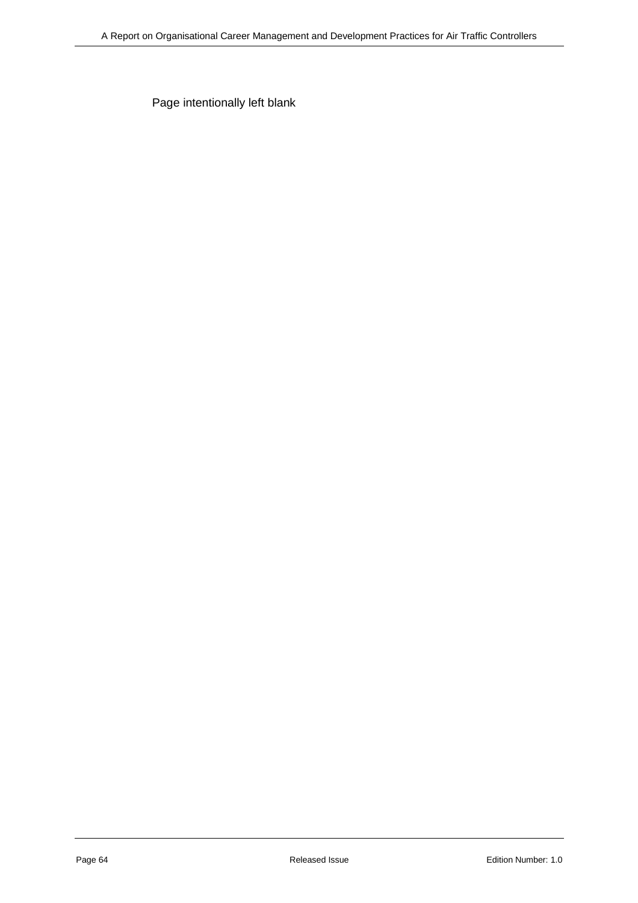Page intentionally left blank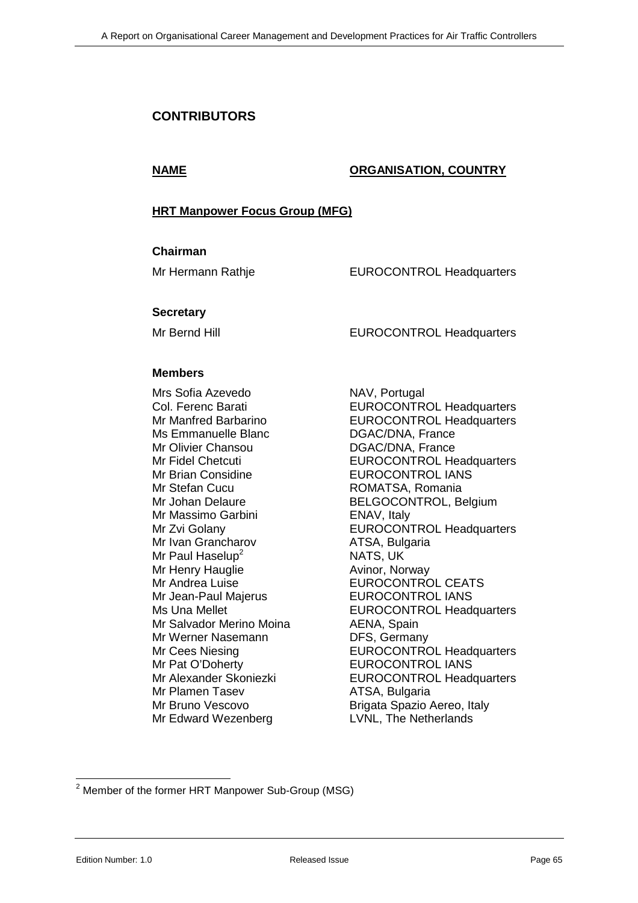# **CONTRIBUTORS**

## **NAME** ORGANISATION, COUNTRY

## **HRT Manpower Focus Group (MFG)**

#### **Chairman**

Mr Hermann Rathje **EUROCONTROL Headquarters** 

#### **Secretary**

#### Mr Bernd Hill **EUROCONTROL Headquarters**

#### **Members**

Mrs Sofia Azevedo NAV, Portugal Ms Emmanuelle Blanc DGAC/DNA, France Mr Olivier Chansou DGAC/DNA, France Mr Brian Considine **EUROCONTROL IANS** Mr Stefan Cucu ROMATSA, Romania Mr Massimo Garbini **ENAV, Italy** Mr Ivan Grancharov **ATSA, Bulgaria** Mr Paul Haselup<sup>2</sup> Mr Henry Hauglie **Avinor**, Norway Mr Jean-Paul Majerus **EUROCONTROL IANS** Mr Salvador Merino Moina **AENA**, Spain Mr Werner Nasemann DFS, Germany Mr Pat O'Doherty **EUROCONTROL IANS** Mr Plamen Tasev **ATSA, Bulgaria** Mr Edward Wezenberg LVNL, The Netherlands

Col. Ferenc Barati EUROCONTROL Headquarters Mr Manfred Barbarino EUROCONTROL Headquarters Mr Fidel Chetcuti **EUROCONTROL Headquarters** Mr Johan Delaure BELGOCONTROL, Belgium Mr Zvi Golany **EUROCONTROL Headquarters**  NATS, UK Mr Andrea Luise **EUROCONTROL CEATS** Ms Una Mellet **EUROCONTROL Headquarters** Mr Cees Niesing **EUROCONTROL Headquarters** Mr Alexander Skoniezki **EUROCONTROL Headquarters** Mr Bruno Vescovo Brigata Spazio Aereo, Italy

2 Member of the former HRT Manpower Sub-Group (MSG)